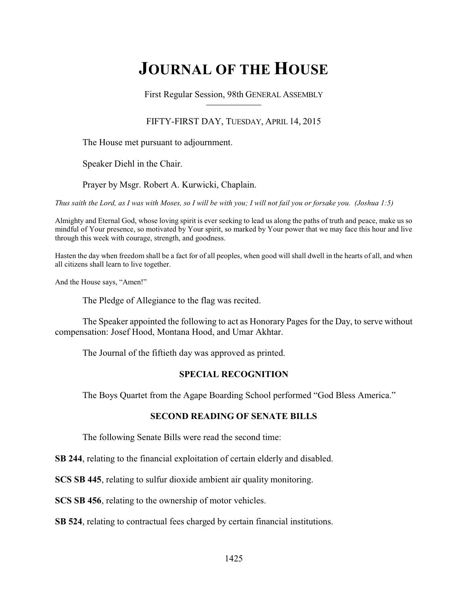# **JOURNAL OF THE HOUSE**

First Regular Session, 98th GENERAL ASSEMBLY

## FIFTY-FIRST DAY, TUESDAY, APRIL 14, 2015

The House met pursuant to adjournment.

Speaker Diehl in the Chair.

Prayer by Msgr. Robert A. Kurwicki, Chaplain.

*Thus saith the Lord, as I was with Moses, so I will be with you; I will not fail you or forsake you. (Joshua 1:5)*

Almighty and Eternal God, whose loving spirit is ever seeking to lead us along the paths of truth and peace, make us so mindful of Your presence, so motivated by Your spirit, so marked by Your power that we may face this hour and live through this week with courage, strength, and goodness.

Hasten the day when freedom shall be a fact for of all peoples, when good will shall dwell in the hearts of all, and when all citizens shall learn to live together.

And the House says, "Amen!"

The Pledge of Allegiance to the flag was recited.

The Speaker appointed the following to act as Honorary Pages for the Day, to serve without compensation: Josef Hood, Montana Hood, and Umar Akhtar.

The Journal of the fiftieth day was approved as printed.

## **SPECIAL RECOGNITION**

The Boys Quartet from the Agape Boarding School performed "God Bless America."

## **SECOND READING OF SENATE BILLS**

The following Senate Bills were read the second time:

**SB 244**, relating to the financial exploitation of certain elderly and disabled.

**SCS SB 445**, relating to sulfur dioxide ambient air quality monitoring.

**SCS SB 456**, relating to the ownership of motor vehicles.

**SB 524**, relating to contractual fees charged by certain financial institutions.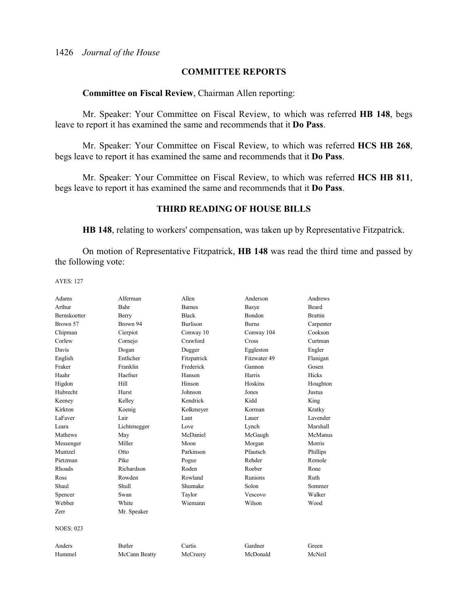## **COMMITTEE REPORTS**

## **Committee on Fiscal Review**, Chairman Allen reporting:

Mr. Speaker: Your Committee on Fiscal Review, to which was referred **HB 148**, begs leave to report it has examined the same and recommends that it **Do Pass**.

Mr. Speaker: Your Committee on Fiscal Review, to which was referred **HCS HB 268**, begs leave to report it has examined the same and recommends that it **Do Pass**.

Mr. Speaker: Your Committee on Fiscal Review, to which was referred **HCS HB 811**, begs leave to report it has examined the same and recommends that it **Do Pass**.

## **THIRD READING OF HOUSE BILLS**

**HB 148**, relating to workers' compensation, was taken up by Representative Fitzpatrick.

On motion of Representative Fitzpatrick, **HB 148** was read the third time and passed by the following vote:

| Adams               | Alferman      | Allen           | Anderson      | Andrews        |
|---------------------|---------------|-----------------|---------------|----------------|
| Arthur              | Bahr          | <b>Barnes</b>   | Basye         | <b>Beard</b>   |
| <b>Bernskoetter</b> | Berry         | <b>Black</b>    | <b>Bondon</b> | <b>Brattin</b> |
| Brown 57            | Brown 94      | <b>Burlison</b> | <b>Burns</b>  | Carpenter      |
| Chipman             | Cierpiot      | Conway 10       | Conway 104    | Cookson        |
| Corlew              | Cornejo       | Crawford        | Cross         | Curtman        |
| Davis               | Dogan         | Dugger          | Eggleston     | Engler         |
| English             | Entlicher     | Fitzpatrick     | Fitzwater 49  | Flanigan       |
| Fraker              | Franklin      | Frederick       | Gannon        | Gosen          |
| Haahr               | Haefner       | Hansen          | Harris        | Hicks          |
| Higdon              | Hill          | Hinson          | Hoskins       | Houghton       |
| Hubrecht            | Hurst         | Johnson         | Jones         | <b>Justus</b>  |
| Keeney              | Kelley        | Kendrick        | Kidd          | King           |
| Kirkton             | Koenig        | Kolkmeyer       | Korman        | Kratky         |
| LaFaver             | Lair          | Lant            | Lauer         | Lavender       |
| Leara               | Lichtenegger  | Love            | Lynch         | Marshall       |
| Mathews             | May           | McDaniel        | McGaugh       | McManus        |
| Messenger           | Miller        | Moon            | Morgan        | Morris         |
| Muntzel             | Otto          | Parkinson       | Pfautsch      | Phillips       |
| Pietzman            | Pike          | Pogue           | Rehder        | Remole         |
| Rhoads              | Richardson    | Roden           | Roeber        | Rone           |
| Ross                | Rowden        | Rowland         | Runions       | Ruth           |
| Shaul               | Shull         | Shumake         | Solon         | Sommer         |
| Spencer             | Swan          | Taylor          | Vescovo       | Walker         |
| Webber              | White         | Wiemann         | Wilson        | Wood           |
| Zerr                | Mr. Speaker   |                 |               |                |
| <b>NOES: 023</b>    |               |                 |               |                |
| Anders              | <b>Butler</b> | Curtis          | Gardner       | Green          |
| Hummel              | McCann Beatty | McCreery        | McDonald      | McNeil         |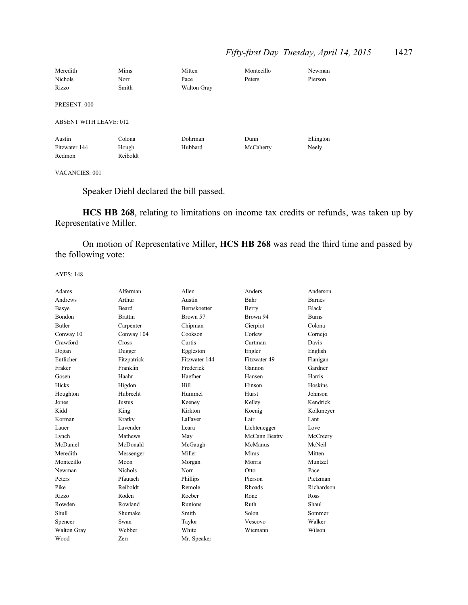## *Fifty-first Day–Tuesday, April 14, 2015* 1427

| Meredith                      | Mims     | Mitten             | Montecillo | Newman    |
|-------------------------------|----------|--------------------|------------|-----------|
| <b>Nichols</b>                | Norr     | Pace               | Peters     | Pierson   |
| Rizzo                         | Smith    | <b>Walton Gray</b> |            |           |
| PRESENT: 000                  |          |                    |            |           |
| <b>ABSENT WITH LEAVE: 012</b> |          |                    |            |           |
| Austin                        | Colona   | Dohrman            | Dunn       | Ellington |
| Fitzwater 144                 | Hough    | Hubbard            | McCaherty  | Neely     |
| Redmon                        | Reiboldt |                    |            |           |

## VACANCIES: 001

Speaker Diehl declared the bill passed.

**HCS HB 268**, relating to limitations on income tax credits or refunds, was taken up by Representative Miller.

On motion of Representative Miller, **HCS HB 268** was read the third time and passed by the following vote:

| Adams         | Alferman       | Allen         | Anders        | Anderson      |
|---------------|----------------|---------------|---------------|---------------|
| Andrews       | Arthur         | Austin        | Bahr          | <b>Barnes</b> |
| Basye         | Beard          | Bernskoetter  | Berry         | <b>Black</b>  |
| Bondon        | <b>Brattin</b> | Brown 57      | Brown 94      | <b>Burns</b>  |
| <b>Butler</b> | Carpenter      | Chipman       | Cierpiot      | Colona        |
| Conway 10     | Conway 104     | Cookson       | Corlew        | Cornejo       |
| Crawford      | Cross          | Curtis        | Curtman       | Davis         |
| Dogan         | Dugger         | Eggleston     | Engler        | English       |
| Entlicher     | Fitzpatrick    | Fitzwater 144 | Fitzwater 49  | Flanigan      |
| Fraker        | Franklin       | Frederick     | Gannon        | Gardner       |
| Gosen         | Haahr          | Haefner       | Hansen        | Harris        |
| Hicks         | Higdon         | Hill          | Hinson        | Hoskins       |
| Houghton      | Hubrecht       | Hummel        | Hurst         | Johnson       |
| Jones         | Justus         | Keeney        | Kelley        | Kendrick      |
| Kidd          | King           | Kirkton       | Koenig        | Kolkmeyer     |
| Korman        | Kratky         | LaFaver       | Lair          | Lant          |
| Lauer         | Lavender       | Leara         | Lichtenegger  | Love          |
| Lynch         | Mathews        | May           | McCann Beatty | McCreery      |
| McDaniel      | McDonald       | McGaugh       | McManus       | McNeil        |
| Meredith      | Messenger      | Miller        | Mims          | Mitten        |
| Montecillo    | Moon           | Morgan        | Morris        | Muntzel       |
| Newman        | <b>Nichols</b> | Norr          | Otto          | Pace          |
| Peters        | Pfautsch       | Phillips      | Pierson       | Pietzman      |
| Pike          | Reiboldt       | Remole        | Rhoads        | Richardson    |
| Rizzo         | Roden          | Roeber        | Rone          | Ross          |
| Rowden        | Rowland        | Runions       | Ruth          | Shaul         |
| Shull         | Shumake        | Smith         | Solon         | Sommer        |
| Spencer       | Swan           | Taylor        | Vescovo       | Walker        |
| Walton Gray   | Webber         | White         | Wiemann       | Wilson        |
| Wood          | Zerr           | Mr. Speaker   |               |               |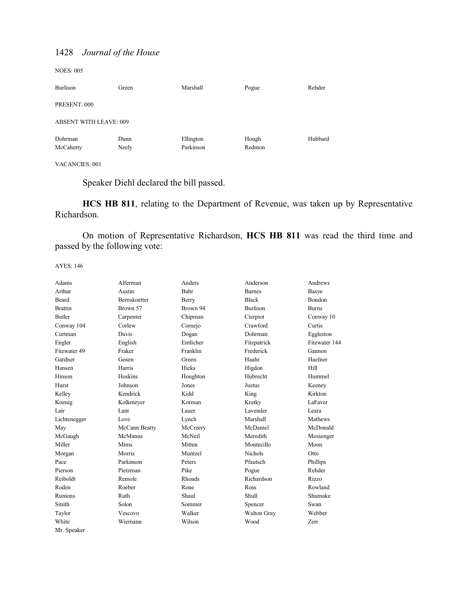NOES: 005

| <b>Burlison</b>               | Green         | Marshall               | Pogue           | Rehder  |
|-------------------------------|---------------|------------------------|-----------------|---------|
| PRESENT: 000                  |               |                        |                 |         |
| <b>ABSENT WITH LEAVE: 009</b> |               |                        |                 |         |
| Dohrman<br>McCaherty          | Dunn<br>Neely | Ellington<br>Parkinson | Hough<br>Redmon | Hubbard |

VACANCIES: 001

Speaker Diehl declared the bill passed.

**HCS HB 811**, relating to the Department of Revenue, was taken up by Representative Richardson.

On motion of Representative Richardson, **HCS HB 811** was read the third time and passed by the following vote:

| Adams          | Alferman            | Anders       | Anderson        | Andrews       |
|----------------|---------------------|--------------|-----------------|---------------|
| Arthur         | Austin              | Bahr         | <b>Barnes</b>   | Basye         |
| Beard          | <b>Bernskoetter</b> | <b>Berry</b> | <b>Black</b>    | <b>Bondon</b> |
| <b>Brattin</b> | Brown 57            | Brown 94     | <b>Burlison</b> | <b>Burns</b>  |
| <b>Butler</b>  | Carpenter           | Chipman      | Cierpiot        | Conway 10     |
| Conway 104     | Corlew              | Cornejo      | Crawford        | Curtis        |
| Curtman        | Davis               | Dogan        | Dohrman         | Eggleston     |
| Engler         | English             | Entlicher    | Fitzpatrick     | Fitzwater 144 |
| Fitzwater 49   | Fraker              | Franklin     | Frederick       | Gannon        |
| Gardner        | Gosen               | Green        | Haahr           | Haefner       |
| Hansen         | Harris              | <b>Hicks</b> | Higdon          | Hill          |
| Hinson         | Hoskins             | Houghton     | Hubrecht        | Hummel        |
| Hurst          | Johnson             | Jones        | Justus          | Keeney        |
| Kelley         | Kendrick            | Kidd         | King            | Kirkton       |
| Koenig         | Kolkmeyer           | Korman       | Kratky          | LaFaver       |
| Lair           | Lant                | Lauer        | Lavender        | Leara         |
| Lichtenegger   | Love                | Lynch        | Marshall        | Mathews       |
| May            | McCann Beatty       | McCreery     | McDaniel        | McDonald      |
| McGaugh        | McManus             | McNeil       | Meredith        | Messenger     |
| Miller         | Mims                | Mitten       | Montecillo      | Moon          |
| Morgan         | Morris              | Muntzel      | Nichols         | Otto          |
| Pace           | Parkinson           | Peters       | Pfautsch        | Phillips      |
| Pierson        | Pietzman            | Pike         | Pogue           | Rehder        |
| Reiboldt       | Remole              | Rhoads       | Richardson      | Rizzo         |
| Roden          | Roeber              | Rone         | Ross            | Rowland       |
| Runions        | Ruth                | Shaul        | Shull           | Shumake       |
| Smith          | Solon               | Sommer       | Spencer         | Swan          |
| Taylor         | Vescovo             | Walker       | Walton Gray     | Webber        |
| White          | Wiemann             | Wilson       | Wood            | Zerr          |
| Mr. Speaker    |                     |              |                 |               |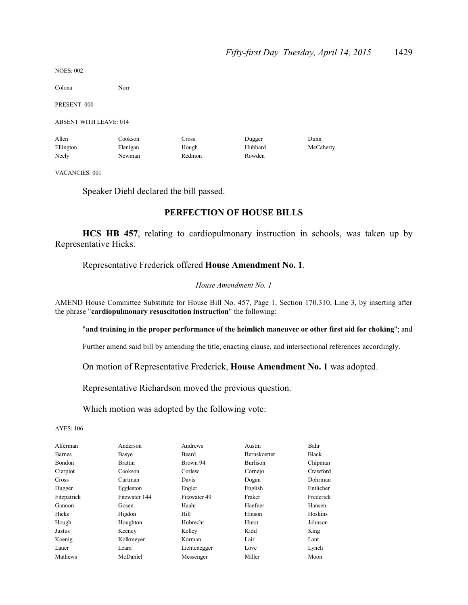NOES: 002

Colona Norr

PRESENT: 000

ABSENT WITH LEAVE: 014

| Allen     | Cookson  | $\sim$ ross | Dugger  | Dunn      |
|-----------|----------|-------------|---------|-----------|
| Ellington | Flanigan | Hough       | Hubbard | McCaherty |
| Neely     | Newman   | Redmon      | Rowden  |           |

VACANCIES: 001

Speaker Diehl declared the bill passed.

## **PERFECTION OF HOUSE BILLS**

**HCS HB 457**, relating to cardiopulmonary instruction in schools, was taken up by Representative Hicks.

## Representative Frederick offered **House Amendment No. 1**.

### *House Amendment No. 1*

AMEND House Committee Substitute for House Bill No. 457, Page 1, Section 170.310, Line 3, by inserting after the phrase "**cardiopulmonary resuscitation instruction**" the following:

## "**and training in the proper performance of the heimlich maneuver or other first aid for choking**"; and

Further amend said bill by amending the title, enacting clause, and intersectional references accordingly.

On motion of Representative Frederick, **House Amendment No. 1** was adopted.

Representative Richardson moved the previous question.

Which motion was adopted by the following vote:

| Alferman      | Anderson       | Andrews      | Austin          | Bahr         |
|---------------|----------------|--------------|-----------------|--------------|
| <b>Barnes</b> | Basye          | Beard        | Bernskoetter    | <b>Black</b> |
| Bondon        | <b>Brattin</b> | Brown 94     | <b>Burlison</b> | Chipman      |
| Cierpiot      | Cookson        | Corlew       | Cornejo         | Crawford     |
| Cross         | Curtman        | Davis        | Dogan           | Dohrman      |
| Dugger        | Eggleston      | Engler       | English         | Entlicher    |
| Fitzpatrick   | Fitzwater 144  | Fitzwater 49 | Fraker          | Frederick    |
| Gannon        | Gosen          | Haahr        | Haefner         | Hansen       |
| Hicks         | Higdon         | Hill         | Hinson          | Hoskins      |
| Hough         | Houghton       | Hubrecht     | Hurst           | Johnson      |
| Justus        | Keeney         | Kelley       | Kidd            | King         |
| Koenig        | Kolkmeyer      | Korman       | Lair            | Lant         |
| Lauer         | Leara          | Lichtenegger | Love            | Lynch        |
| Mathews       | McDaniel       | Messenger    | Miller          | Moon         |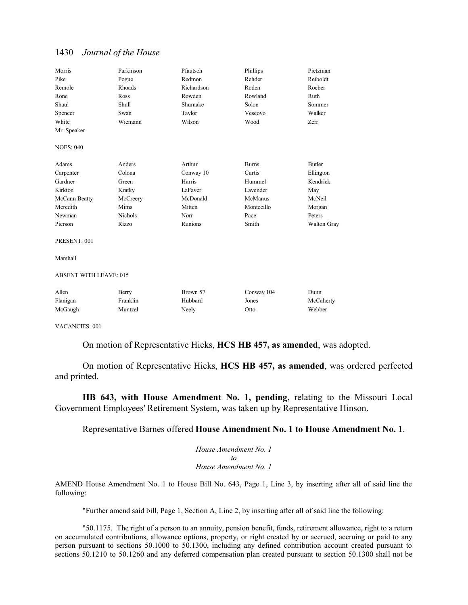| Morris                        | Parkinson      | Pfautsch   | Phillips     | Pietzman      |
|-------------------------------|----------------|------------|--------------|---------------|
| Pike                          | Pogue          | Redmon     | Rehder       | Reiboldt      |
| Remole                        | Rhoads         | Richardson | Roden        | Roeber        |
| Rone                          | Ross           | Rowden     | Rowland      | Ruth          |
| Shaul                         | Shull          | Shumake    | Solon        | Sommer        |
| Spencer                       | Swan           | Taylor     | Vescovo      | Walker        |
| White                         | Wiemann        | Wilson     | Wood         | Zerr          |
| Mr. Speaker                   |                |            |              |               |
| <b>NOES: 040</b>              |                |            |              |               |
| Adams                         | Anders         | Arthur     | <b>Burns</b> | <b>Butler</b> |
| Carpenter                     | Colona         | Conway 10  | Curtis       | Ellington     |
| Gardner                       | Green          | Harris     | Hummel       | Kendrick      |
| Kirkton                       | Kratky         | LaFaver    | Lavender     | May           |
| McCann Beatty                 | McCreery       | McDonald   | McManus      | McNeil        |
| Meredith                      | Mims           | Mitten     | Montecillo   | Morgan        |
| Newman                        | <b>Nichols</b> | Norr       | Pace         | Peters        |
| Pierson                       | Rizzo          | Runions    | Smith        | Walton Gray   |
| PRESENT: 001                  |                |            |              |               |
| Marshall                      |                |            |              |               |
| <b>ABSENT WITH LEAVE: 015</b> |                |            |              |               |
| Allen                         | Berry          | Brown 57   | Conway 104   | Dunn          |
| Flanigan                      | Franklin       | Hubbard    | Jones        | McCaherty     |
| McGaugh                       | Muntzel        | Neely      | Otto         | Webber        |

VACANCIES: 001

On motion of Representative Hicks, **HCS HB 457, as amended**, was adopted.

On motion of Representative Hicks, **HCS HB 457, as amended**, was ordered perfected and printed.

**HB 643, with House Amendment No. 1, pending**, relating to the Missouri Local Government Employees' Retirement System, was taken up by Representative Hinson.

Representative Barnes offered **House Amendment No. 1 to House Amendment No. 1**.

*House Amendment No. 1 to House Amendment No. 1*

AMEND House Amendment No. 1 to House Bill No. 643, Page 1, Line 3, by inserting after all of said line the following:

"Further amend said bill, Page 1, Section A, Line 2, by inserting after all of said line the following:

"50.1175. The right of a person to an annuity, pension benefit, funds, retirement allowance, right to a return on accumulated contributions, allowance options, property, or right created by or accrued, accruing or paid to any person pursuant to sections 50.1000 to 50.1300, including any defined contribution account created pursuant to sections 50.1210 to 50.1260 and any deferred compensation plan created pursuant to section 50.1300 shall not be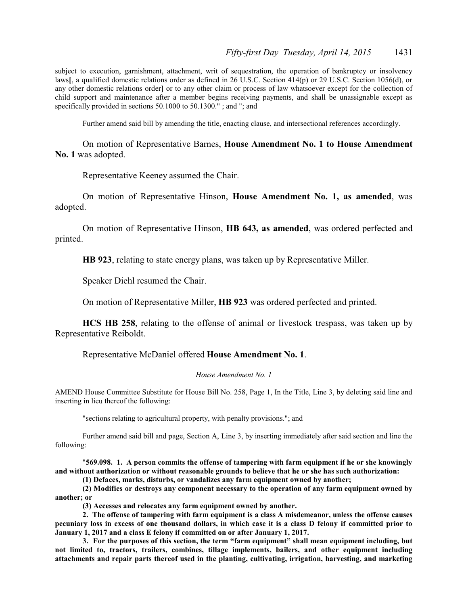subject to execution, garnishment, attachment, writ of sequestration, the operation of bankruptcy or insolvency laws**[**, a qualified domestic relations order as defined in 26 U.S.C. Section 414(p) or 29 U.S.C. Section 1056(d), or any other domestic relations order**]** or to any other claim or process of law whatsoever except for the collection of child support and maintenance after a member begins receiving payments, and shall be unassignable except as specifically provided in sections 50.1000 to 50.1300."; and "; and

Further amend said bill by amending the title, enacting clause, and intersectional references accordingly.

On motion of Representative Barnes, **House Amendment No. 1 to House Amendment No. 1** was adopted.

Representative Keeney assumed the Chair.

On motion of Representative Hinson, **House Amendment No. 1, as amended**, was adopted.

On motion of Representative Hinson, **HB 643, as amended**, was ordered perfected and printed.

**HB 923**, relating to state energy plans, was taken up by Representative Miller.

Speaker Diehl resumed the Chair.

On motion of Representative Miller, **HB 923** was ordered perfected and printed.

**HCS HB 258**, relating to the offense of animal or livestock trespass, was taken up by Representative Reiboldt.

Representative McDaniel offered **House Amendment No. 1**.

#### *House Amendment No. 1*

AMEND House Committee Substitute for House Bill No. 258, Page 1, In the Title, Line 3, by deleting said line and inserting in lieu thereof the following:

"sections relating to agricultural property, with penalty provisions."; and

Further amend said bill and page, Section A, Line 3, by inserting immediately after said section and line the following:

"**569.098. 1. A person commits the offense of tampering with farm equipment if he or she knowingly and without authorization or without reasonable grounds to believe that he or she has such authorization:**

**(1) Defaces, marks, disturbs, or vandalizes any farm equipment owned by another;**

**(2) Modifies or destroys any component necessary to the operation of any farm equipment owned by another; or**

**(3) Accesses and relocates any farm equipment owned by another.**

**2. The offense of tampering with farm equipment is a class A misdemeanor, unless the offense causes pecuniary loss in excess of one thousand dollars, in which case it is a class D felony if committed prior to January 1, 2017 and a class E felony if committed on or after January 1, 2017.**

**3. For the purposes of this section, the term "farm equipment" shall mean equipment including, but not limited to, tractors, trailers, combines, tillage implements, bailers, and other equipment including attachments and repair parts thereof used in the planting, cultivating, irrigation, harvesting, and marketing**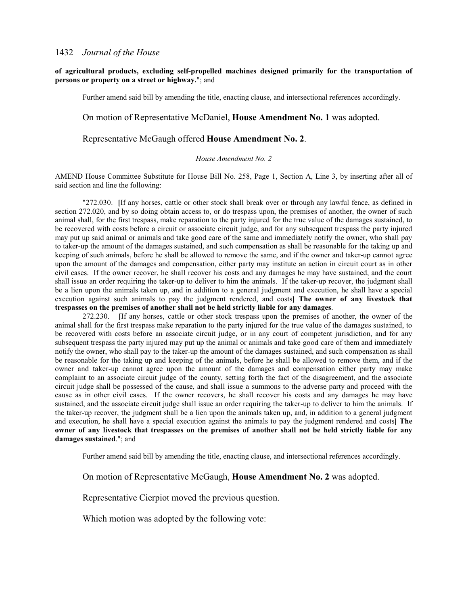## **of agricultural products, excluding self-propelled machines designed primarily for the transportation of persons or property on a street or highway.**"; and

Further amend said bill by amending the title, enacting clause, and intersectional references accordingly.

## On motion of Representative McDaniel, **House Amendment No. 1** was adopted.

## Representative McGaugh offered **House Amendment No. 2**.

#### *House Amendment No. 2*

AMEND House Committee Substitute for House Bill No. 258, Page 1, Section A, Line 3, by inserting after all of said section and line the following:

"272.030. **[**If any horses, cattle or other stock shall break over or through any lawful fence, as defined in section 272.020, and by so doing obtain access to, or do trespass upon, the premises of another, the owner of such animal shall, for the first trespass, make reparation to the party injured for the true value of the damages sustained, to be recovered with costs before a circuit or associate circuit judge, and for any subsequent trespass the party injured may put up said animal or animals and take good care of the same and immediately notify the owner, who shall pay to taker-up the amount of the damages sustained, and such compensation as shall be reasonable for the taking up and keeping of such animals, before he shall be allowed to remove the same, and if the owner and taker-up cannot agree upon the amount of the damages and compensation, either party may institute an action in circuit court as in other civil cases. If the owner recover, he shall recover his costs and any damages he may have sustained, and the court shall issue an order requiring the taker-up to deliver to him the animals. If the taker-up recover, the judgment shall be a lien upon the animals taken up, and in addition to a general judgment and execution, he shall have a special execution against such animals to pay the judgment rendered, and costs**] The owner of any livestock that trespasses on the premises of another shall not be held strictly liable for any damages**.

272.230. **[**If any horses, cattle or other stock trespass upon the premises of another, the owner of the animal shall for the first trespass make reparation to the party injured for the true value of the damages sustained, to be recovered with costs before an associate circuit judge, or in any court of competent jurisdiction, and for any subsequent trespass the party injured may put up the animal or animals and take good care of them and immediately notify the owner, who shall pay to the taker-up the amount of the damages sustained, and such compensation as shall be reasonable for the taking up and keeping of the animals, before he shall be allowed to remove them, and if the owner and taker-up cannot agree upon the amount of the damages and compensation either party may make complaint to an associate circuit judge of the county, setting forth the fact of the disagreement, and the associate circuit judge shall be possessed of the cause, and shall issue a summons to the adverse party and proceed with the cause as in other civil cases. If the owner recovers, he shall recover his costs and any damages he may have sustained, and the associate circuit judge shall issue an order requiring the taker-up to deliver to him the animals. If the taker-up recover, the judgment shall be a lien upon the animals taken up, and, in addition to a general judgment and execution, he shall have a special execution against the animals to pay the judgment rendered and costs**] The owner of any livestock that trespasses on the premises of another shall not be held strictly liable for any damages sustained**."; and

Further amend said bill by amending the title, enacting clause, and intersectional references accordingly.

## On motion of Representative McGaugh, **House Amendment No. 2** was adopted.

Representative Cierpiot moved the previous question.

Which motion was adopted by the following vote: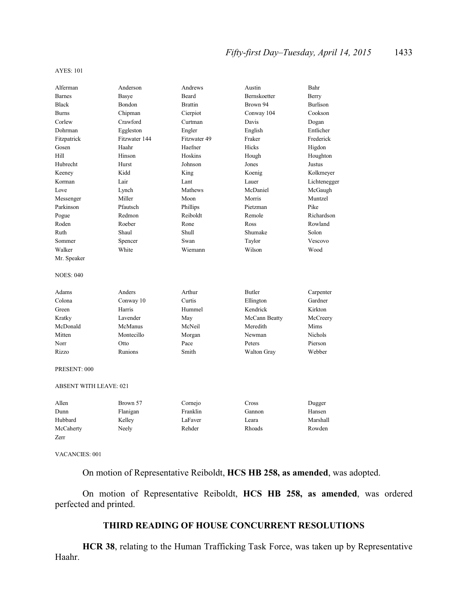## *Fifty-first Day–Tuesday, April 14, 2015* 1433

#### AYES: 101

| Alferman                      | Anderson      | Andrews        | Austin              | Bahr            |
|-------------------------------|---------------|----------------|---------------------|-----------------|
| <b>Barnes</b>                 | Basye         | <b>Beard</b>   | <b>Bernskoetter</b> | Berry           |
| <b>Black</b>                  | Bondon        | <b>Brattin</b> | Brown 94            | <b>Burlison</b> |
| <b>Burns</b>                  | Chipman       | Cierpiot       | Conway 104          | Cookson         |
| Corlew                        | Crawford      | Curtman        | Davis               | Dogan           |
| Dohrman                       | Eggleston     | Engler         | English             | Entlicher       |
| Fitzpatrick                   | Fitzwater 144 | Fitzwater 49   | Fraker              | Frederick       |
| Gosen                         | Haahr         | Haefner        | <b>Hicks</b>        | Higdon          |
| Hill                          | Hinson        | Hoskins        | Hough               | Houghton        |
| Hubrecht                      | Hurst         | Johnson        | Jones               | Justus          |
| Keeney                        | Kidd          | King           | Koenig              | Kolkmeyer       |
| Korman                        | Lair          | Lant           | Lauer               | Lichtenegger    |
| Love                          | Lynch         | Mathews        | McDaniel            | McGaugh         |
| Messenger                     | Miller        | Moon           | Morris              | Muntzel         |
| Parkinson                     | Pfautsch      | Phillips       | Pietzman            | Pike            |
| Pogue                         | Redmon        | Reiboldt       | Remole              | Richardson      |
| Roden                         | Roeber        | Rone           | Ross                | Rowland         |
| Ruth                          | Shaul         | <b>Shull</b>   | Shumake             | Solon           |
| Sommer                        | Spencer       | Swan           | Taylor              | Vescovo         |
| Walker                        | White         | Wiemann        | Wilson              | Wood            |
| Mr. Speaker                   |               |                |                     |                 |
| <b>NOES: 040</b>              |               |                |                     |                 |
| Adams                         | Anders        | Arthur         | <b>Butler</b>       | Carpenter       |
| Colona                        | Conway 10     | Curtis         | Ellington           | Gardner         |
| Green                         | Harris        | Hummel         | Kendrick            | Kirkton         |
| Kratky                        | Lavender      | May            | McCann Beatty       | McCreery        |
| McDonald                      | McManus       | McNeil         | Meredith            | Mims            |
| Mitten                        | Montecillo    | Morgan         | Newman              | <b>Nichols</b>  |
| Norr                          | Otto          | Pace           | Peters              | Pierson         |
| Rizzo                         | Runions       | Smith          | Walton Gray         | Webber          |
| PRESENT: 000                  |               |                |                     |                 |
| <b>ABSENT WITH LEAVE: 021</b> |               |                |                     |                 |
| Allen                         | Brown 57      | Cornejo        | Cross               | Dugger          |
| Dunn                          | Flanigan      | Franklin       | Gannon              | Hansen          |
| Hubbard                       | Kelley        | LaFaver        | Leara               | Marshall        |
| McCaherty                     | Neely         | Rehder         | Rhoads              | Rowden          |
| Zerr                          |               |                |                     |                 |
|                               |               |                |                     |                 |

VACANCIES: 001

On motion of Representative Reiboldt, **HCS HB 258, as amended**, was adopted.

On motion of Representative Reiboldt, **HCS HB 258, as amended**, was ordered perfected and printed.

## **THIRD READING OF HOUSE CONCURRENT RESOLUTIONS**

**HCR 38**, relating to the Human Trafficking Task Force, was taken up by Representative Haahr.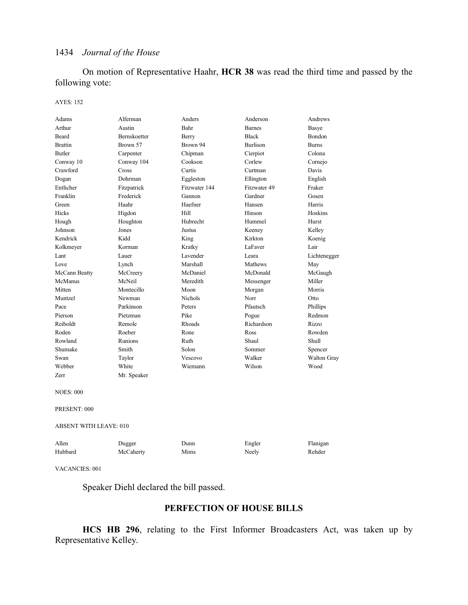On motion of Representative Haahr, **HCR 38** was read the third time and passed by the following vote:

### AYES: 152

| Adams                 | Alferman                      | Anders         | Anderson        | Andrews      |  |
|-----------------------|-------------------------------|----------------|-----------------|--------------|--|
| Arthur                | Austin                        | Bahr           | <b>Barnes</b>   | Basye        |  |
| Beard                 | Bernskoetter                  | Berry          | <b>Black</b>    | Bondon       |  |
| <b>Brattin</b>        | Brown 57                      | Brown 94       | <b>Burlison</b> | <b>Burns</b> |  |
| <b>Butler</b>         | Carpenter                     | Chipman        | Cierpiot        | Colona       |  |
| Conway 10             | Conway 104                    | Cookson        | Corlew          | Cornejo      |  |
| Crawford              | Cross                         | Curtis         | Curtman         | Davis        |  |
| Dogan                 | Dohrman                       | Eggleston      | Ellington       | English      |  |
| Entlicher             | Fitzpatrick                   | Fitzwater 144  | Fitzwater 49    | Fraker       |  |
| Franklin              | Frederick                     | Gannon         | Gardner         | Gosen        |  |
| Green                 | Haahr                         | Haefner        | Hansen          | Harris       |  |
| Hicks                 | Higdon                        | Hill           | Hinson          | Hoskins      |  |
| Hough                 | Houghton                      | Hubrecht       | Hummel          | Hurst        |  |
| Johnson               | Jones                         | Justus         | Keeney          | Kelley       |  |
| Kendrick              | Kidd                          | King           | Kirkton         | Koenig       |  |
| Kolkmeyer             | Korman                        | Kratky         | LaFaver         | Lair         |  |
| Lant                  | Lauer                         | Lavender       | Leara           | Lichtenegger |  |
| Love                  | Lynch                         | Marshall       | Mathews         | May          |  |
| McCann Beatty         | McCreery                      | McDaniel       | McDonald        | McGaugh      |  |
| McManus               | McNeil                        | Meredith       | Messenger       | Miller       |  |
| Mitten                | Montecillo                    | Moon           | Morgan          | Morris       |  |
| Muntzel               | Newman                        | <b>Nichols</b> | Norr            | Otto         |  |
| Pace                  | Parkinson                     | Peters         | Pfautsch        | Phillips     |  |
| Pierson               | Pietzman                      | Pike           | Pogue           | Redmon       |  |
| Reiboldt              | Remole                        | Rhoads         | Richardson      | Rizzo        |  |
| Roden                 | Roeber                        | Rone           | Ross            | Rowden       |  |
| Rowland               | Runions                       | Ruth           | Shaul           | Shull        |  |
| Shumake               | Smith                         | Solon          | Sommer          | Spencer      |  |
| Swan                  | Taylor                        | Vescovo        | Walker          | Walton Gray  |  |
| Webber                | White                         | Wiemann        | Wilson          | Wood         |  |
| Zerr                  | Mr. Speaker                   |                |                 |              |  |
| <b>NOES: 000</b>      |                               |                |                 |              |  |
| PRESENT: 000          |                               |                |                 |              |  |
|                       | <b>ABSENT WITH LEAVE: 010</b> |                |                 |              |  |
| Allen                 | Dugger                        | Dunn           | Engler          | Flanigan     |  |
| Hubbard               | McCaherty                     | Mims           | Neely           | Rehder       |  |
| <b>VACANCIES: 001</b> |                               |                |                 |              |  |

Speaker Diehl declared the bill passed.

## **PERFECTION OF HOUSE BILLS**

**HCS HB 296**, relating to the First Informer Broadcasters Act, was taken up by Representative Kelley.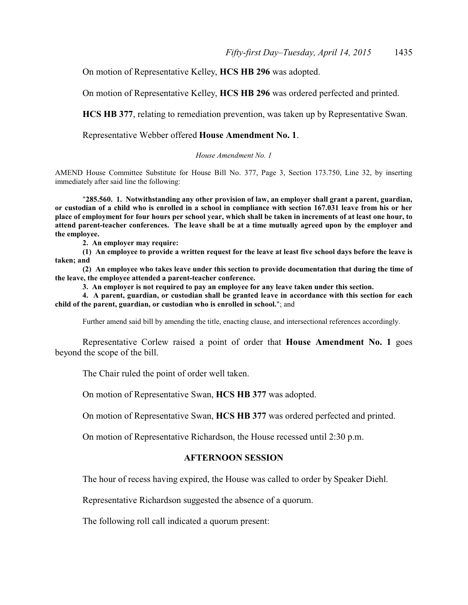On motion of Representative Kelley, **HCS HB 296** was adopted.

On motion of Representative Kelley, **HCS HB 296** was ordered perfected and printed.

**HCS HB 377**, relating to remediation prevention, was taken up by Representative Swan.

Representative Webber offered **House Amendment No. 1**.

## *House Amendment No. 1*

AMEND House Committee Substitute for House Bill No. 377, Page 3, Section 173.750, Line 32, by inserting immediately after said line the following:

"**285.560. 1. Notwithstanding any other provision of law, an employer shall grant a parent, guardian, or custodian of a child who is enrolled in a school in compliance with section 167.031 leave from his or her place of employment for four hours per school year, which shall be taken in increments of at least one hour, to attend parent-teacher conferences. The leave shall be at a time mutually agreed upon by the employer and the employee.**

**2. An employer may require:**

**(1) An employee to provide a written request for the leave at least five school days before the leave is taken; and**

**(2) An employee who takes leave under this section to provide documentation that during the time of the leave, the employee attended a parent-teacher conference.**

**3. An employer is not required to pay an employee for any leave taken under this section.**

**4. A parent, guardian, or custodian shall be granted leave in accordance with this section for each child of the parent, guardian, or custodian who is enrolled in school.**"; and

Further amend said bill by amending the title, enacting clause, and intersectional references accordingly.

Representative Corlew raised a point of order that **House Amendment No. 1** goes beyond the scope of the bill.

The Chair ruled the point of order well taken.

On motion of Representative Swan, **HCS HB 377** was adopted.

On motion of Representative Swan, **HCS HB 377** was ordered perfected and printed.

On motion of Representative Richardson, the House recessed until 2:30 p.m.

## **AFTERNOON SESSION**

The hour of recess having expired, the House was called to order by Speaker Diehl.

Representative Richardson suggested the absence of a quorum.

The following roll call indicated a quorum present: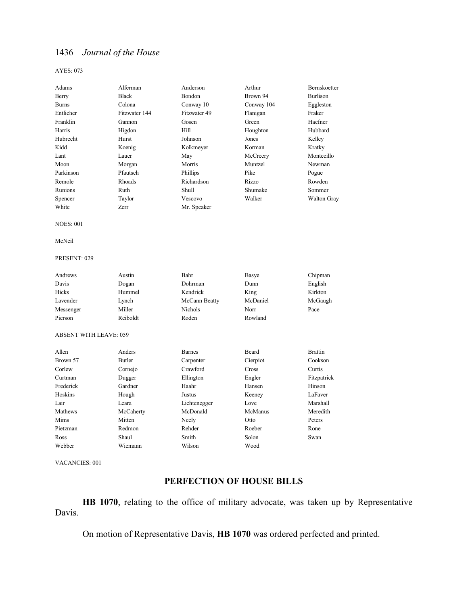#### AYES: 073

| Adams                         | Alferman      | Anderson       | Arthur     | Bernskoetter       |
|-------------------------------|---------------|----------------|------------|--------------------|
| Berry                         | <b>Black</b>  | Bondon         | Brown 94   | <b>Burlison</b>    |
| <b>Burns</b>                  | Colona        | Conway 10      | Conway 104 | Eggleston          |
| Entlicher                     | Fitzwater 144 | Fitzwater 49   | Flanigan   | Fraker             |
| Franklin                      | Gannon        | Gosen          | Green      | Haefner            |
| Harris                        | Higdon        | Hill           | Houghton   | Hubbard            |
| Hubrecht                      | Hurst         | Johnson        | Jones      | Kelley             |
| Kidd                          | Koenig        | Kolkmeyer      | Korman     | Kratky             |
| Lant                          | Lauer         | May            | McCreery   | Montecillo         |
| Moon                          | Morgan        | Morris         | Muntzel    | Newman             |
| Parkinson                     | Pfautsch      | Phillips       | Pike       | Pogue              |
| Remole                        | Rhoads        | Richardson     | Rizzo      | Rowden             |
| Runions                       | Ruth          | Shull          | Shumake    | Sommer             |
| Spencer                       | Taylor        | Vescovo        | Walker     | <b>Walton Gray</b> |
| White                         | Zerr          | Mr. Speaker    |            |                    |
| <b>NOES: 001</b>              |               |                |            |                    |
| McNeil                        |               |                |            |                    |
| PRESENT: 029                  |               |                |            |                    |
| Andrews                       | Austin        | Bahr           | Basye      | Chipman            |
| Davis                         | Dogan         | Dohrman        | Dunn       | English            |
| Hicks                         | Hummel        | Kendrick       | King       | Kirkton            |
| Lavender                      | Lynch         | McCann Beatty  | McDaniel   | McGaugh            |
| Messenger                     | Miller        | <b>Nichols</b> | Norr       | Pace               |
| Pierson                       | Reiboldt      | Roden          | Rowland    |                    |
| <b>ABSENT WITH LEAVE: 059</b> |               |                |            |                    |
| Allen                         | Anders        | <b>Barnes</b>  | Beard      | <b>Brattin</b>     |
| Brown 57                      | <b>Butler</b> | Carpenter      | Cierpiot   | Cookson            |
| Corlew                        | Cornejo       | Crawford       | Cross      | Curtis             |
| Curtman                       | Dugger        | Ellington      | Engler     | Fitzpatrick        |
| Frederick                     | Gardner       | Haahr          | Hansen     | Hinson             |
| Hoskins                       | Hough         | Justus         | Keeney     | LaFaver            |
| Lair                          | Leara         | Lichtenegger   | Love       | Marshall           |
| Mathews                       | McCaherty     | McDonald       | McManus    | Meredith           |
| Mims                          | Mitten        | Neely          | Otto       | Peters             |

Pietzman Redmon Rehder Roeber Rone Ross Shaul Smith Solon Swan

Webber Wiemann Wilson Wood

VACANCIES: 001

## **PERFECTION OF HOUSE BILLS**

**HB 1070**, relating to the office of military advocate, was taken up by Representative Davis.

On motion of Representative Davis, **HB 1070** was ordered perfected and printed.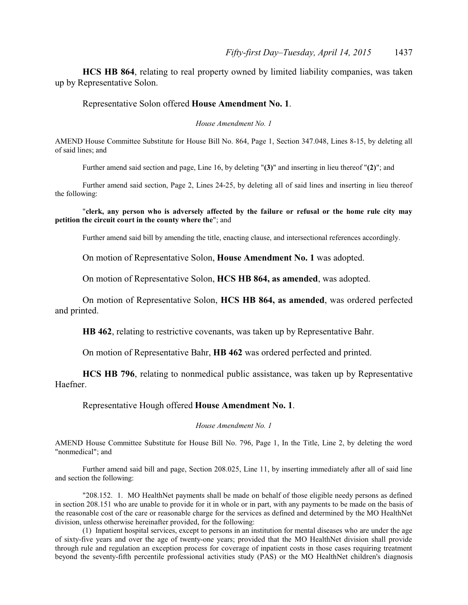**HCS HB 864**, relating to real property owned by limited liability companies, was taken up by Representative Solon.

## Representative Solon offered **House Amendment No. 1**.

*House Amendment No. 1*

AMEND House Committee Substitute for House Bill No. 864, Page 1, Section 347.048, Lines 8-15, by deleting all of said lines; and

Further amend said section and page, Line 16, by deleting "**(3)**" and inserting in lieu thereof "**(2)**"; and

Further amend said section, Page 2, Lines 24-25, by deleting all of said lines and inserting in lieu thereof the following:

### "**clerk, any person who is adversely affected by the failure or refusal or the home rule city may petition the circuit court in the county where the**"; and

Further amend said bill by amending the title, enacting clause, and intersectional references accordingly.

On motion of Representative Solon, **House Amendment No. 1** was adopted.

On motion of Representative Solon, **HCS HB 864, as amended**, was adopted.

On motion of Representative Solon, **HCS HB 864, as amended**, was ordered perfected and printed.

**HB 462**, relating to restrictive covenants, was taken up by Representative Bahr.

On motion of Representative Bahr, **HB 462** was ordered perfected and printed.

**HCS HB 796**, relating to nonmedical public assistance, was taken up by Representative Haefner.

Representative Hough offered **House Amendment No. 1**.

*House Amendment No. 1*

AMEND House Committee Substitute for House Bill No. 796, Page 1, In the Title, Line 2, by deleting the word "nonmedical"; and

Further amend said bill and page, Section 208.025, Line 11, by inserting immediately after all of said line and section the following:

"208.152. 1. MO HealthNet payments shall be made on behalf of those eligible needy persons as defined in section 208.151 who are unable to provide for it in whole or in part, with any payments to be made on the basis of the reasonable cost of the care or reasonable charge for the services as defined and determined by the MO HealthNet division, unless otherwise hereinafter provided, for the following:

(1) Inpatient hospital services, except to persons in an institution for mental diseases who are under the age of sixty-five years and over the age of twenty-one years; provided that the MO HealthNet division shall provide through rule and regulation an exception process for coverage of inpatient costs in those cases requiring treatment beyond the seventy-fifth percentile professional activities study (PAS) or the MO HealthNet children's diagnosis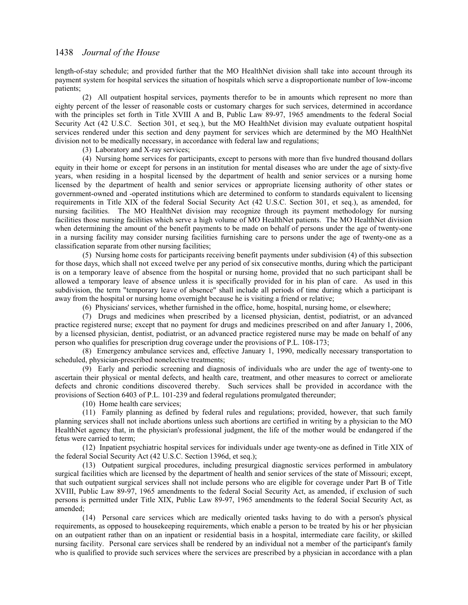length-of-stay schedule; and provided further that the MO HealthNet division shall take into account through its payment system for hospital services the situation of hospitals which serve a disproportionate number of low-income patients;

(2) All outpatient hospital services, payments therefor to be in amounts which represent no more than eighty percent of the lesser of reasonable costs or customary charges for such services, determined in accordance with the principles set forth in Title XVIII A and B, Public Law 89-97, 1965 amendments to the federal Social Security Act (42 U.S.C. Section 301, et seq.), but the MO HealthNet division may evaluate outpatient hospital services rendered under this section and deny payment for services which are determined by the MO HealthNet division not to be medically necessary, in accordance with federal law and regulations;

(3) Laboratory and X-ray services;

(4) Nursing home services for participants, except to persons with more than five hundred thousand dollars equity in their home or except for persons in an institution for mental diseases who are under the age of sixty-five years, when residing in a hospital licensed by the department of health and senior services or a nursing home licensed by the department of health and senior services or appropriate licensing authority of other states or government-owned and -operated institutions which are determined to conform to standards equivalent to licensing requirements in Title XIX of the federal Social Security Act (42 U.S.C. Section 301, et seq.), as amended, for nursing facilities. The MO HealthNet division may recognize through its payment methodology for nursing facilities those nursing facilities which serve a high volume of MO HealthNet patients. The MO HealthNet division when determining the amount of the benefit payments to be made on behalf of persons under the age of twenty-one in a nursing facility may consider nursing facilities furnishing care to persons under the age of twenty-one as a classification separate from other nursing facilities;

(5) Nursing home costs for participants receiving benefit payments under subdivision (4) of this subsection for those days, which shall not exceed twelve per any period of six consecutive months, during which the participant is on a temporary leave of absence from the hospital or nursing home, provided that no such participant shall be allowed a temporary leave of absence unless it is specifically provided for in his plan of care. As used in this subdivision, the term "temporary leave of absence" shall include all periods of time during which a participant is away from the hospital or nursing home overnight because he is visiting a friend or relative;

(6) Physicians' services, whether furnished in the office, home, hospital, nursing home, or elsewhere;

(7) Drugs and medicines when prescribed by a licensed physician, dentist, podiatrist, or an advanced practice registered nurse; except that no payment for drugs and medicines prescribed on and after January 1, 2006, by a licensed physician, dentist, podiatrist, or an advanced practice registered nurse may be made on behalf of any person who qualifies for prescription drug coverage under the provisions of P.L. 108-173;

(8) Emergency ambulance services and, effective January 1, 1990, medically necessary transportation to scheduled, physician-prescribed nonelective treatments;

(9) Early and periodic screening and diagnosis of individuals who are under the age of twenty-one to ascertain their physical or mental defects, and health care, treatment, and other measures to correct or ameliorate defects and chronic conditions discovered thereby. Such services shall be provided in accordance with the provisions of Section 6403 of P.L. 101-239 and federal regulations promulgated thereunder;

(10) Home health care services;

(11) Family planning as defined by federal rules and regulations; provided, however, that such family planning services shall not include abortions unless such abortions are certified in writing by a physician to the MO HealthNet agency that, in the physician's professional judgment, the life of the mother would be endangered if the fetus were carried to term;

(12) Inpatient psychiatric hospital services for individuals under age twenty-one as defined in Title XIX of the federal Social Security Act (42 U.S.C. Section 1396d, et seq.);

(13) Outpatient surgical procedures, including presurgical diagnostic services performed in ambulatory surgical facilities which are licensed by the department of health and senior services of the state of Missouri; except, that such outpatient surgical services shall not include persons who are eligible for coverage under Part B of Title XVIII, Public Law 89-97, 1965 amendments to the federal Social Security Act, as amended, if exclusion of such persons is permitted under Title XIX, Public Law 89-97, 1965 amendments to the federal Social Security Act, as amended;

(14) Personal care services which are medically oriented tasks having to do with a person's physical requirements, as opposed to housekeeping requirements, which enable a person to be treated by his or her physician on an outpatient rather than on an inpatient or residential basis in a hospital, intermediate care facility, or skilled nursing facility. Personal care services shall be rendered by an individual not a member of the participant's family who is qualified to provide such services where the services are prescribed by a physician in accordance with a plan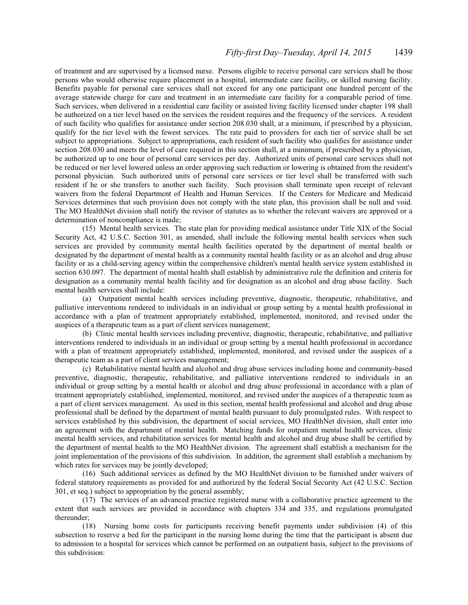of treatment and are supervised by a licensed nurse. Persons eligible to receive personal care services shall be those persons who would otherwise require placement in a hospital, intermediate care facility, or skilled nursing facility. Benefits payable for personal care services shall not exceed for any one participant one hundred percent of the average statewide charge for care and treatment in an intermediate care facility for a comparable period of time. Such services, when delivered in a residential care facility or assisted living facility licensed under chapter 198 shall be authorized on a tier level based on the services the resident requires and the frequency of the services. A resident of such facility who qualifies for assistance under section 208.030 shall, at a minimum, if prescribed by a physician, qualify for the tier level with the fewest services. The rate paid to providers for each tier of service shall be set subject to appropriations. Subject to appropriations, each resident of such facility who qualifies for assistance under section 208.030 and meets the level of care required in this section shall, at a minimum, if prescribed by a physician, be authorized up to one hour of personal care services per day. Authorized units of personal care services shall not be reduced or tier level lowered unless an order approving such reduction or lowering is obtained from the resident's personal physician. Such authorized units of personal care services or tier level shall be transferred with such resident if he or she transfers to another such facility. Such provision shall terminate upon receipt of relevant waivers from the federal Department of Health and Human Services. If the Centers for Medicare and Medicaid Services determines that such provision does not comply with the state plan, this provision shall be null and void. The MO HealthNet division shall notify the revisor of statutes as to whether the relevant waivers are approved or a determination of noncompliance is made;

(15) Mental health services. The state plan for providing medical assistance under Title XIX of the Social Security Act, 42 U.S.C. Section 301, as amended, shall include the following mental health services when such services are provided by community mental health facilities operated by the department of mental health or designated by the department of mental health as a community mental health facility or as an alcohol and drug abuse facility or as a child-serving agency within the comprehensive children's mental health service system established in section 630.097. The department of mental health shall establish by administrative rule the definition and criteria for designation as a community mental health facility and for designation as an alcohol and drug abuse facility. Such mental health services shall include:

(a) Outpatient mental health services including preventive, diagnostic, therapeutic, rehabilitative, and palliative interventions rendered to individuals in an individual or group setting by a mental health professional in accordance with a plan of treatment appropriately established, implemented, monitored, and revised under the auspices of a therapeutic team as a part of client services management;

(b) Clinic mental health services including preventive, diagnostic, therapeutic, rehabilitative, and palliative interventions rendered to individuals in an individual or group setting by a mental health professional in accordance with a plan of treatment appropriately established, implemented, monitored, and revised under the auspices of a therapeutic team as a part of client services management;

(c) Rehabilitative mental health and alcohol and drug abuse services including home and community-based preventive, diagnostic, therapeutic, rehabilitative, and palliative interventions rendered to individuals in an individual or group setting by a mental health or alcohol and drug abuse professional in accordance with a plan of treatment appropriately established, implemented, monitored, and revised under the auspices of a therapeutic team as a part of client services management. As used in this section, mental health professional and alcohol and drug abuse professional shall be defined by the department of mental health pursuant to duly promulgated rules. With respect to services established by this subdivision, the department of social services, MO HealthNet division, shall enter into an agreement with the department of mental health. Matching funds for outpatient mental health services, clinic mental health services, and rehabilitation services for mental health and alcohol and drug abuse shall be certified by the department of mental health to the MO HealthNet division. The agreement shall establish a mechanism for the joint implementation of the provisions of this subdivision. In addition, the agreement shall establish a mechanism by which rates for services may be jointly developed;

(16) Such additional services as defined by the MO HealthNet division to be furnished under waivers of federal statutory requirements as provided for and authorized by the federal Social Security Act (42 U.S.C. Section 301, et seq.) subject to appropriation by the general assembly;

(17) The services of an advanced practice registered nurse with a collaborative practice agreement to the extent that such services are provided in accordance with chapters 334 and 335, and regulations promulgated thereunder;

(18) Nursing home costs for participants receiving benefit payments under subdivision (4) of this subsection to reserve a bed for the participant in the nursing home during the time that the participant is absent due to admission to a hospital for services which cannot be performed on an outpatient basis, subject to the provisions of this subdivision: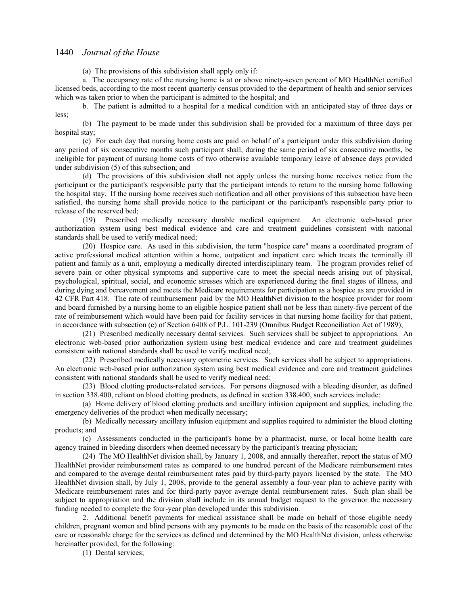(a) The provisions of this subdivision shall apply only if:

a. The occupancy rate of the nursing home is at or above ninety-seven percent of MO HealthNet certified licensed beds, according to the most recent quarterly census provided to the department of health and senior services which was taken prior to when the participant is admitted to the hospital; and

b. The patient is admitted to a hospital for a medical condition with an anticipated stay of three days or less;

(b) The payment to be made under this subdivision shall be provided for a maximum of three days per hospital stay;

(c) For each day that nursing home costs are paid on behalf of a participant under this subdivision during any period of six consecutive months such participant shall, during the same period of six consecutive months, be ineligible for payment of nursing home costs of two otherwise available temporary leave of absence days provided under subdivision (5) of this subsection; and

(d) The provisions of this subdivision shall not apply unless the nursing home receives notice from the participant or the participant's responsible party that the participant intends to return to the nursing home following the hospital stay. If the nursing home receives such notification and all other provisions of this subsection have been satisfied, the nursing home shall provide notice to the participant or the participant's responsible party prior to release of the reserved bed;

(19) Prescribed medically necessary durable medical equipment. An electronic web-based prior authorization system using best medical evidence and care and treatment guidelines consistent with national standards shall be used to verify medical need;

(20) Hospice care. As used in this subdivision, the term "hospice care" means a coordinated program of active professional medical attention within a home, outpatient and inpatient care which treats the terminally ill patient and family as a unit, employing a medically directed interdisciplinary team. The program provides relief of severe pain or other physical symptoms and supportive care to meet the special needs arising out of physical, psychological, spiritual, social, and economic stresses which are experienced during the final stages of illness, and during dying and bereavement and meets the Medicare requirements for participation as a hospice as are provided in 42 CFR Part 418. The rate of reimbursement paid by the MO HealthNet division to the hospice provider for room and board furnished by a nursing home to an eligible hospice patient shall not be less than ninety-five percent of the rate of reimbursement which would have been paid for facility services in that nursing home facility for that patient, in accordance with subsection (c) of Section 6408 of P.L. 101-239 (Omnibus Budget Reconciliation Act of 1989);

(21) Prescribed medically necessary dental services. Such services shall be subject to appropriations. An electronic web-based prior authorization system using best medical evidence and care and treatment guidelines consistent with national standards shall be used to verify medical need;

(22) Prescribed medically necessary optometric services. Such services shall be subject to appropriations. An electronic web-based prior authorization system using best medical evidence and care and treatment guidelines consistent with national standards shall be used to verify medical need;

(23) Blood clotting products-related services. For persons diagnosed with a bleeding disorder, as defined in section 338.400, reliant on blood clotting products, as defined in section 338.400, such services include:

(a) Home delivery of blood clotting products and ancillary infusion equipment and supplies, including the emergency deliveries of the product when medically necessary;

(b) Medically necessary ancillary infusion equipment and supplies required to administer the blood clotting products; and

(c) Assessments conducted in the participant's home by a pharmacist, nurse, or local home health care agency trained in bleeding disorders when deemed necessary by the participant's treating physician;

(24) The MO HealthNet division shall, by January 1, 2008, and annually thereafter, report the status of MO HealthNet provider reimbursement rates as compared to one hundred percent of the Medicare reimbursement rates and compared to the average dental reimbursement rates paid by third-party payors licensed by the state. The MO HealthNet division shall, by July 1, 2008, provide to the general assembly a four-year plan to achieve parity with Medicare reimbursement rates and for third-party payor average dental reimbursement rates. Such plan shall be subject to appropriation and the division shall include in its annual budget request to the governor the necessary funding needed to complete the four-year plan developed under this subdivision.

2. Additional benefit payments for medical assistance shall be made on behalf of those eligible needy children, pregnant women and blind persons with any payments to be made on the basis of the reasonable cost of the care or reasonable charge for the services as defined and determined by the MO HealthNet division, unless otherwise hereinafter provided, for the following:

(1) Dental services;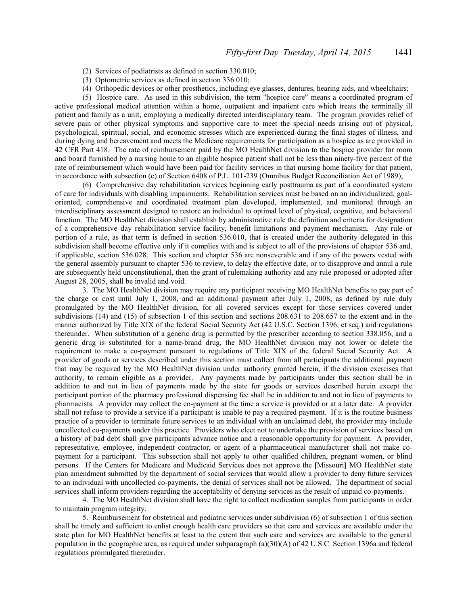(2) Services of podiatrists as defined in section 330.010;

- (3) Optometric services as defined in section 336.010;
- (4) Orthopedic devices or other prosthetics, including eye glasses, dentures, hearing aids, and wheelchairs;

(5) Hospice care. As used in this subdivision, the term "hospice care" means a coordinated program of active professional medical attention within a home, outpatient and inpatient care which treats the terminally ill patient and family as a unit, employing a medically directed interdisciplinary team. The program provides relief of severe pain or other physical symptoms and supportive care to meet the special needs arising out of physical, psychological, spiritual, social, and economic stresses which are experienced during the final stages of illness, and during dying and bereavement and meets the Medicare requirements for participation as a hospice as are provided in 42 CFR Part 418. The rate of reimbursement paid by the MO HealthNet division to the hospice provider for room and board furnished by a nursing home to an eligible hospice patient shall not be less than ninety-five percent of the rate of reimbursement which would have been paid for facility services in that nursing home facility for that patient, in accordance with subsection (c) of Section 6408 of P.L. 101-239 (Omnibus Budget Reconciliation Act of 1989);

(6) Comprehensive day rehabilitation services beginning early posttrauma as part of a coordinated system of care for individuals with disabling impairments. Rehabilitation services must be based on an individualized, goaloriented, comprehensive and coordinated treatment plan developed, implemented, and monitored through an interdisciplinary assessment designed to restore an individual to optimal level of physical, cognitive, and behavioral function. The MO HealthNet division shall establish by administrative rule the definition and criteria for designation of a comprehensive day rehabilitation service facility, benefit limitations and payment mechanism. Any rule or portion of a rule, as that term is defined in section 536.010, that is created under the authority delegated in this subdivision shall become effective only if it complies with and is subject to all of the provisions of chapter 536 and, if applicable, section 536.028. This section and chapter 536 are nonseverable and if any of the powers vested with the general assembly pursuant to chapter 536 to review, to delay the effective date, or to disapprove and annul a rule are subsequently held unconstitutional, then the grant of rulemaking authority and any rule proposed or adopted after August 28, 2005, shall be invalid and void.

3. The MO HealthNet division may require any participant receiving MO HealthNet benefits to pay part of the charge or cost until July 1, 2008, and an additional payment after July 1, 2008, as defined by rule duly promulgated by the MO HealthNet division, for all covered services except for those services covered under subdivisions (14) and (15) of subsection 1 of this section and sections 208.631 to 208.657 to the extent and in the manner authorized by Title XIX of the federal Social Security Act (42 U.S.C. Section 1396, et seq.) and regulations thereunder. When substitution of a generic drug is permitted by the prescriber according to section 338.056, and a generic drug is substituted for a name-brand drug, the MO HealthNet division may not lower or delete the requirement to make a co-payment pursuant to regulations of Title XIX of the federal Social Security Act. A provider of goods or services described under this section must collect from all participants the additional payment that may be required by the MO HealthNet division under authority granted herein, if the division exercises that authority, to remain eligible as a provider. Any payments made by participants under this section shall be in addition to and not in lieu of payments made by the state for goods or services described herein except the participant portion of the pharmacy professional dispensing fee shall be in addition to and not in lieu of payments to pharmacists. A provider may collect the co-payment at the time a service is provided or at a later date. A provider shall not refuse to provide a service if a participant is unable to pay a required payment. If it is the routine business practice of a provider to terminate future services to an individual with an unclaimed debt, the provider may include uncollected co-payments under this practice. Providers who elect not to undertake the provision of services based on a history of bad debt shall give participants advance notice and a reasonable opportunity for payment. A provider, representative, employee, independent contractor, or agent of a pharmaceutical manufacturer shall not make copayment for a participant. This subsection shall not apply to other qualified children, pregnant women, or blind persons. If the Centers for Medicare and Medicaid Services does not approve the **[**Missouri**]** MO HealthNet state plan amendment submitted by the department of social services that would allow a provider to deny future services to an individual with uncollected co-payments, the denial of services shall not be allowed. The department of social services shall inform providers regarding the acceptability of denying services as the result of unpaid co-payments.

4. The MO HealthNet division shall have the right to collect medication samples from participants in order to maintain program integrity.

5. Reimbursement for obstetrical and pediatric services under subdivision (6) of subsection 1 of this section shall be timely and sufficient to enlist enough health care providers so that care and services are available under the state plan for MO HealthNet benefits at least to the extent that such care and services are available to the general population in the geographic area, as required under subparagraph (a)(30)(A) of 42 U.S.C. Section 1396a and federal regulations promulgated thereunder.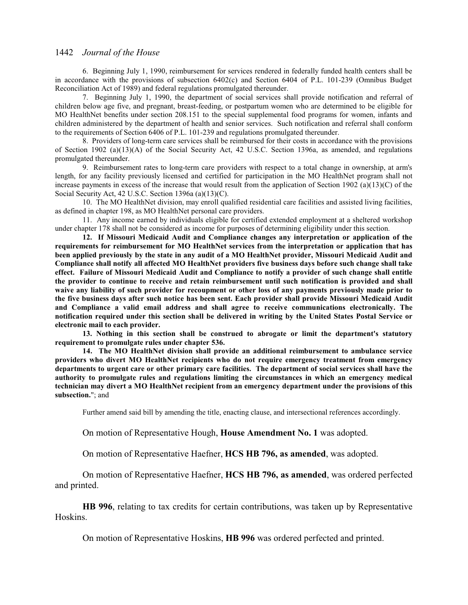6. Beginning July 1, 1990, reimbursement for services rendered in federally funded health centers shall be in accordance with the provisions of subsection 6402(c) and Section 6404 of P.L. 101-239 (Omnibus Budget Reconciliation Act of 1989) and federal regulations promulgated thereunder.

7. Beginning July 1, 1990, the department of social services shall provide notification and referral of children below age five, and pregnant, breast-feeding, or postpartum women who are determined to be eligible for MO HealthNet benefits under section 208.151 to the special supplemental food programs for women, infants and children administered by the department of health and senior services. Such notification and referral shall conform to the requirements of Section 6406 of P.L. 101-239 and regulations promulgated thereunder.

8. Providers of long-term care services shall be reimbursed for their costs in accordance with the provisions of Section 1902 (a)(13)(A) of the Social Security Act, 42 U.S.C. Section 1396a, as amended, and regulations promulgated thereunder.

9. Reimbursement rates to long-term care providers with respect to a total change in ownership, at arm's length, for any facility previously licensed and certified for participation in the MO HealthNet program shall not increase payments in excess of the increase that would result from the application of Section 1902 (a)(13)(C) of the Social Security Act, 42 U.S.C. Section 1396a (a)(13)(C).

10. The MO HealthNet division, may enroll qualified residential care facilities and assisted living facilities, as defined in chapter 198, as MO HealthNet personal care providers.

11. Any income earned by individuals eligible for certified extended employment at a sheltered workshop under chapter 178 shall not be considered as income for purposes of determining eligibility under this section.

**12. If Missouri Medicaid Audit and Compliance changes any interpretation or application of the requirements for reimbursement for MO HealthNet services from the interpretation or application that has been applied previously by the state in any audit of a MO HealthNet provider, Missouri Medicaid Audit and Compliance shall notify all affected MO HealthNet providers five business days before such change shall take effect. Failure of Missouri Medicaid Audit and Compliance to notify a provider of such change shall entitle the provider to continue to receive and retain reimbursement until such notification is provided and shall waive any liability of such provider for recoupment or other loss of any payments previously made prior to the five business days after such notice has been sent. Each provider shall provide Missouri Medicaid Audit and Compliance a valid email address and shall agree to receive communications electronically. The notification required under this section shall be delivered in writing by the United States Postal Service or electronic mail to each provider.**

**13. Nothing in this section shall be construed to abrogate or limit the department's statutory requirement to promulgate rules under chapter 536.** 

**14. The MO HealthNet division shall provide an additional reimbursement to ambulance service providers who divert MO HealthNet recipients who do not require emergency treatment from emergency departments to urgent care or other primary care facilities. The department of social services shall have the authority to promulgate rules and regulations limiting the circumstances in which an emergency medical technician may divert a MO HealthNet recipient from an emergency department under the provisions of this subsection.**"; and

Further amend said bill by amending the title, enacting clause, and intersectional references accordingly.

On motion of Representative Hough, **House Amendment No. 1** was adopted.

On motion of Representative Haefner, **HCS HB 796, as amended**, was adopted.

On motion of Representative Haefner, **HCS HB 796, as amended**, was ordered perfected and printed.

**HB 996**, relating to tax credits for certain contributions, was taken up by Representative Hoskins.

On motion of Representative Hoskins, **HB 996** was ordered perfected and printed.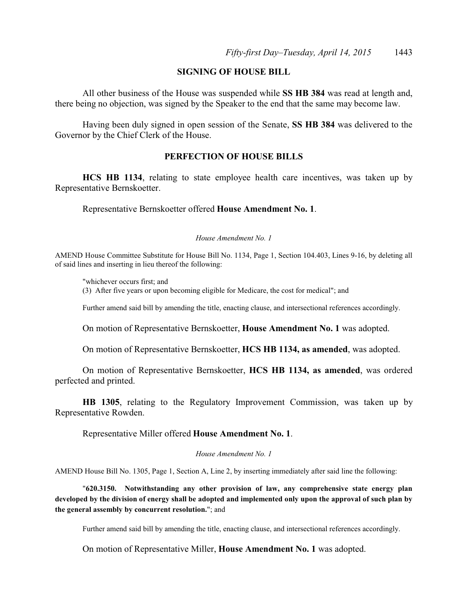## **SIGNING OF HOUSE BILL**

All other business of the House was suspended while **SS HB 384** was read at length and, there being no objection, was signed by the Speaker to the end that the same may become law.

Having been duly signed in open session of the Senate, **SS HB 384** was delivered to the Governor by the Chief Clerk of the House.

## **PERFECTION OF HOUSE BILLS**

**HCS HB 1134**, relating to state employee health care incentives, was taken up by Representative Bernskoetter.

Representative Bernskoetter offered **House Amendment No. 1**.

#### *House Amendment No. 1*

AMEND House Committee Substitute for House Bill No. 1134, Page 1, Section 104.403, Lines 9-16, by deleting all of said lines and inserting in lieu thereof the following:

"whichever occurs first; and (3) After five years or upon becoming eligible for Medicare, the cost for medical"; and

Further amend said bill by amending the title, enacting clause, and intersectional references accordingly.

On motion of Representative Bernskoetter, **House Amendment No. 1** was adopted.

On motion of Representative Bernskoetter, **HCS HB 1134, as amended**, was adopted.

On motion of Representative Bernskoetter, **HCS HB 1134, as amended**, was ordered perfected and printed.

**HB 1305**, relating to the Regulatory Improvement Commission, was taken up by Representative Rowden.

Representative Miller offered **House Amendment No. 1**.

*House Amendment No. 1*

AMEND House Bill No. 1305, Page 1, Section A, Line 2, by inserting immediately after said line the following:

"**620.3150. Notwithstanding any other provision of law, any comprehensive state energy plan developed by the division of energy shall be adopted and implemented only upon the approval of such plan by the general assembly by concurrent resolution.**"; and

Further amend said bill by amending the title, enacting clause, and intersectional references accordingly.

On motion of Representative Miller, **House Amendment No. 1** was adopted.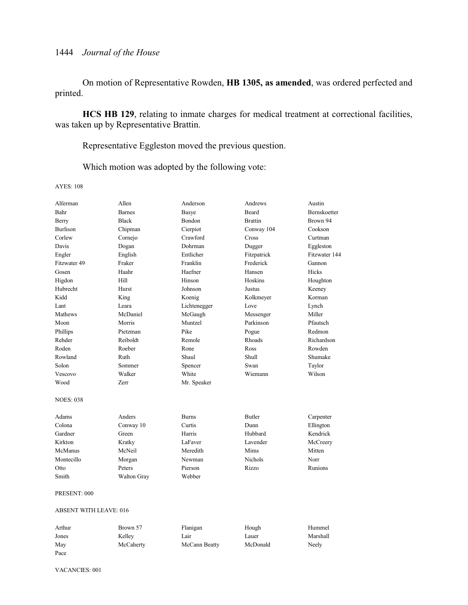On motion of Representative Rowden, **HB 1305, as amended**, was ordered perfected and printed.

**HCS HB 129**, relating to inmate charges for medical treatment at correctional facilities, was taken up by Representative Brattin.

Representative Eggleston moved the previous question.

Which motion was adopted by the following vote:

AYES: 108

| Alferman                      | Allen         | Anderson     | Andrews        | Austin         |
|-------------------------------|---------------|--------------|----------------|----------------|
| Bahr                          | <b>Barnes</b> | Basye        | Beard          | Bernskoetter   |
| Berry                         | <b>Black</b>  | Bondon       | <b>Brattin</b> | Brown 94       |
| <b>Burlison</b>               | Chipman       | Cierpiot     | Conway 104     | Cookson        |
| Corlew                        | Cornejo       | Crawford     | Cross          | Curtman        |
| Davis                         | Dogan         | Dohrman      | Dugger         | Eggleston      |
| Engler                        | English       | Entlicher    | Fitzpatrick    | Fitzwater 144  |
| Fitzwater 49                  | Fraker        | Franklin     | Frederick      | Gannon         |
| Gosen                         | Haahr         | Haefner      | Hansen         | Hicks          |
| Higdon                        | Hill          | Hinson       | Hoskins        | Houghton       |
| Hubrecht                      | Hurst         | Johnson      | Justus         | Keeney         |
| Kidd                          | King          | Koenig       | Kolkmeyer      | Korman         |
| Lant                          | Leara         | Lichtenegger | Love           | Lynch          |
| <b>Mathews</b>                | McDaniel      | McGaugh      | Messenger      | Miller         |
| Moon                          | Morris        | Muntzel      | Parkinson      | Pfautsch       |
| Phillips                      | Pietzman      | Pike         | Pogue          | Redmon         |
| Rehder                        | Reiboldt      | Remole       | Rhoads         | Richardson     |
| Roden                         | Roeber        | Rone         | Ross           | Rowden         |
| Rowland                       | Ruth          | Shaul        | Shull          | Shumake        |
| Solon                         | Sommer        | Spencer      | Swan           | Taylor         |
| Vescovo                       | Walker        | White        | Wiemann        | Wilson         |
| Wood                          | Zerr          | Mr. Speaker  |                |                |
| <b>NOES: 038</b>              |               |              |                |                |
| Adams                         | Anders        | <b>Burns</b> | Butler         | Carpenter      |
| Colona                        | Conway 10     | Curtis       | Dunn           | Ellington      |
| Gardner                       | Green         | Harris       | Hubbard        | Kendrick       |
| Kirkton                       | Kratky        | LaFaver      | Lavender       | McCreery       |
| McManus                       | McNeil        | Meredith     | Mims           | Mitten         |
| Montecillo                    | Morgan        | Newman       | <b>Nichols</b> | Norr           |
| Otto                          | Peters        | Pierson      | Rizzo          | <b>Runions</b> |
| Smith                         | Walton Gray   | Webber       |                |                |
| PRESENT: 000                  |               |              |                |                |
| <b>ABSENT WITH LEAVE: 016</b> |               |              |                |                |

Arthur **Brown 57** Flanigan Hough Hummel Jones Kelley Lair Lauer Marshall May McCaherty McCann Beatty McDonald Neely Pace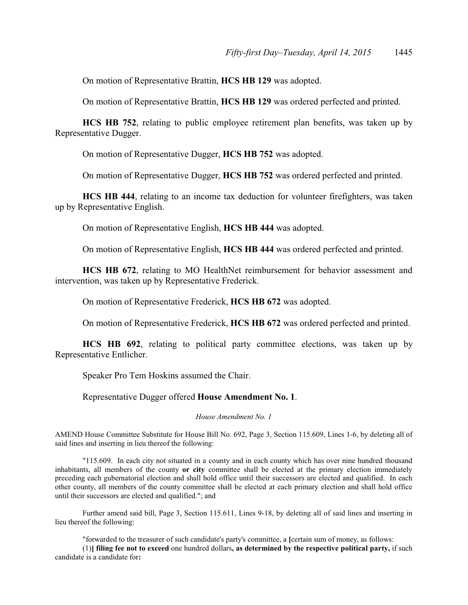On motion of Representative Brattin, **HCS HB 129** was adopted.

On motion of Representative Brattin, **HCS HB 129** was ordered perfected and printed.

**HCS HB 752**, relating to public employee retirement plan benefits, was taken up by Representative Dugger.

On motion of Representative Dugger, **HCS HB 752** was adopted.

On motion of Representative Dugger, **HCS HB 752** was ordered perfected and printed.

**HCS HB 444**, relating to an income tax deduction for volunteer firefighters, was taken up by Representative English.

On motion of Representative English, **HCS HB 444** was adopted.

On motion of Representative English, **HCS HB 444** was ordered perfected and printed.

**HCS HB 672**, relating to MO HealthNet reimbursement for behavior assessment and intervention, was taken up by Representative Frederick.

On motion of Representative Frederick, **HCS HB 672** was adopted.

On motion of Representative Frederick, **HCS HB 672** was ordered perfected and printed.

**HCS HB 692**, relating to political party committee elections, was taken up by Representative Entlicher.

Speaker Pro Tem Hoskins assumed the Chair.

Representative Dugger offered **House Amendment No. 1**.

*House Amendment No. 1*

AMEND House Committee Substitute for House Bill No. 692, Page 3, Section 115.609, Lines 1-6, by deleting all of said lines and inserting in lieu thereof the following:

"115.609. In each city not situated in a county and in each county which has over nine hundred thousand inhabitants, all members of the county **or city** committee shall be elected at the primary election immediately preceding each gubernatorial election and shall hold office until their successors are elected and qualified. In each other county, all members of the county committee shall be elected at each primary election and shall hold office until their successors are elected and qualified."; and

Further amend said bill, Page 3, Section 115.611, Lines 9-18, by deleting all of said lines and inserting in lieu thereof the following:

"forwarded to the treasurer of such candidate's party's committee, a **[**certain sum of money, as follows:

(1)**] filing fee not to exceed** one hundred dollars**, as determined by the respective political party,** if such candidate is a candidate for**:**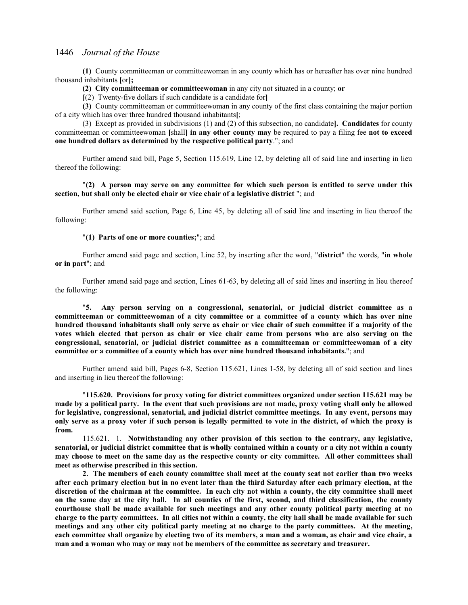**(1)** County committeeman or committeewoman in any county which has or hereafter has over nine hundred thousand inhabitants **[**or**];**

**(2) City committeeman or committeewoman** in any city not situated in a county; **or**

**[**(2) Twenty-five dollars if such candidate is a candidate for**]**

**(3)** County committeeman or committeewoman in any county of the first class containing the major portion of a city which has over three hundred thousand inhabitants**[**;

(3) Except as provided in subdivisions (1) and (2) of this subsection, no candidate**]. Candidates** for county committeeman or committeewoman **[**shall**] in any other county may** be required to pay a filing fee **not to exceed one hundred dollars as determined by the respective political party**."; and

Further amend said bill, Page 5, Section 115.619, Line 12, by deleting all of said line and inserting in lieu thereof the following:

### "**(2) A person may serve on any committee for which such person is entitled to serve under this section, but shall only be elected chair or vice chair of a legislative district** "; and

Further amend said section, Page 6, Line 45, by deleting all of said line and inserting in lieu thereof the following:

#### "**(1) Parts of one or more counties;**"; and

Further amend said page and section, Line 52, by inserting after the word, "**district**" the words, "**in whole or in part**"; and

Further amend said page and section, Lines 61-63, by deleting all of said lines and inserting in lieu thereof the following:

"**5. Any person serving on a congressional, senatorial, or judicial district committee as a committeeman or committeewoman of a city committee or a committee of a county which has over nine hundred thousand inhabitants shall only serve as chair or vice chair of such committee if a majority of the votes which elected that person as chair or vice chair came from persons who are also serving on the congressional, senatorial, or judicial district committee as a committeeman or committeewoman of a city committee or a committee of a county which has over nine hundred thousand inhabitants.**"; and

Further amend said bill, Pages 6-8, Section 115.621, Lines 1-58, by deleting all of said section and lines and inserting in lieu thereof the following:

"**115.620. Provisions for proxy voting for district committees organized under section 115.621 may be made by a political party. In the event that such provisions are not made, proxy voting shall only be allowed for legislative, congressional, senatorial, and judicial district committee meetings. In any event, persons may only serve as a proxy voter if such person is legally permitted to vote in the district, of which the proxy is from.**

115.621. 1. **Notwithstanding any other provision of this section to the contrary, any legislative, senatorial, or judicial district committee that is wholly contained within a county or a city not within a county may choose to meet on the same day as the respective county or city committee. All other committees shall meet as otherwise prescribed in this section.**

**2. The members of each county committee shall meet at the county seat not earlier than two weeks after each primary election but in no event later than the third Saturday after each primary election, at the discretion of the chairman at the committee. In each city not within a county, the city committee shall meet on the same day at the city hall. In all counties of the first, second, and third classification, the county courthouse shall be made available for such meetings and any other county political party meeting at no charge to the party committees. In all cities not within a county, the city hall shall be made available for such meetings and any other city political party meeting at no charge to the party committees. At the meeting, each committee shall organize by electing two of its members, a man and a woman, as chair and vice chair, a man and a woman who may or may not be members of the committee as secretary and treasurer.**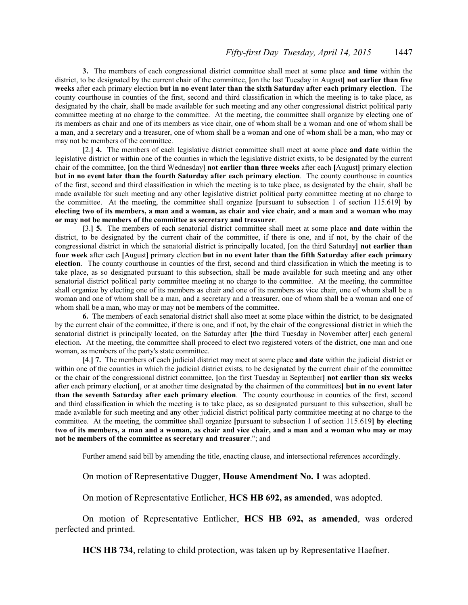**3.** The members of each congressional district committee shall meet at some place **and time** within the district, to be designated by the current chair of the committee, **[**on the last Tuesday in August**] not earlier than five weeks** after each primary election **but in no event later than the sixth Saturday after each primary election**. The county courthouse in counties of the first, second and third classification in which the meeting is to take place, as designated by the chair, shall be made available for such meeting and any other congressional district political party committee meeting at no charge to the committee. At the meeting, the committee shall organize by electing one of its members as chair and one of its members as vice chair, one of whom shall be a woman and one of whom shall be a man, and a secretary and a treasurer, one of whom shall be a woman and one of whom shall be a man, who may or may not be members of the committee.

**[**2.**] 4.** The members of each legislative district committee shall meet at some place **and date** within the legislative district or within one of the counties in which the legislative district exists, to be designated by the current chair of the committee, **[**on the third Wednesday**] not earlier than three weeks** after each **[**August**]** primary election **but in no event later than the fourth Saturday after each primary election**. The county courthouse in counties of the first, second and third classification in which the meeting is to take place, as designated by the chair, shall be made available for such meeting and any other legislative district political party committee meeting at no charge to the committee. At the meeting, the committee shall organize **[**pursuant to subsection 1 of section 115.619**] by electing two of its members, a man and a woman, as chair and vice chair, and a man and a woman who may or may not be members of the committee as secretary and treasurer**.

**[**3.**] 5.** The members of each senatorial district committee shall meet at some place **and date** within the district, to be designated by the current chair of the committee, if there is one, and if not, by the chair of the congressional district in which the senatorial district is principally located, **[**on the third Saturday**] not earlier than four week** after each **[**August**]** primary election **but in no event later than the fifth Saturday after each primary election**. The county courthouse in counties of the first, second and third classification in which the meeting is to take place, as so designated pursuant to this subsection, shall be made available for such meeting and any other senatorial district political party committee meeting at no charge to the committee. At the meeting, the committee shall organize by electing one of its members as chair and one of its members as vice chair, one of whom shall be a woman and one of whom shall be a man, and a secretary and a treasurer, one of whom shall be a woman and one of whom shall be a man, who may or may not be members of the committee.

**6.** The members of each senatorial district shall also meet at some place within the district, to be designated by the current chair of the committee, if there is one, and if not, by the chair of the congressional district in which the senatorial district is principally located, on the Saturday after **[**the third Tuesday in November after**]** each general election. At the meeting, the committee shall proceed to elect two registered voters of the district, one man and one woman, as members of the party's state committee.

**[**4.**] 7.** The members of each judicial district may meet at some place **and date** within the judicial district or within one of the counties in which the judicial district exists, to be designated by the current chair of the committee or the chair of the congressional district committee, **[**on the first Tuesday in September**] not earlier than six weeks** after each primary election**[**, or at another time designated by the chairmen of the committees**] but in no event later than the seventh Saturday after each primary election**. The county courthouse in counties of the first, second and third classification in which the meeting is to take place, as so designated pursuant to this subsection, shall be made available for such meeting and any other judicial district political party committee meeting at no charge to the committee. At the meeting, the committee shall organize **[**pursuant to subsection 1 of section 115.619**] by electing two of its members, a man and a woman, as chair and vice chair, and a man and a woman who may or may not be members of the committee as secretary and treasurer**."; and

Further amend said bill by amending the title, enacting clause, and intersectional references accordingly.

On motion of Representative Dugger, **House Amendment No. 1** was adopted.

On motion of Representative Entlicher, **HCS HB 692, as amended**, was adopted.

On motion of Representative Entlicher, **HCS HB 692, as amended**, was ordered perfected and printed.

**HCS HB 734**, relating to child protection, was taken up by Representative Haefner.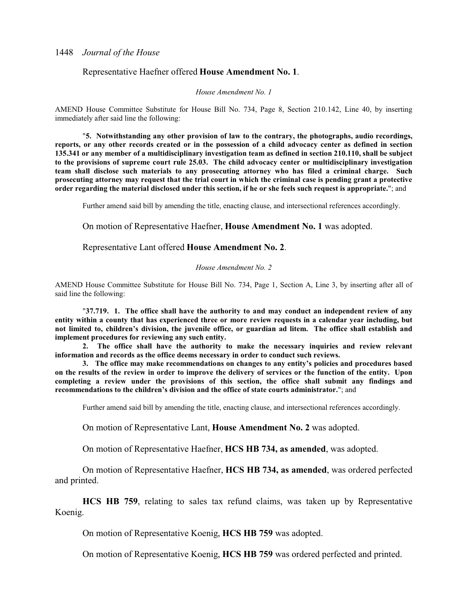## Representative Haefner offered **House Amendment No. 1**.

#### *House Amendment No. 1*

AMEND House Committee Substitute for House Bill No. 734, Page 8, Section 210.142, Line 40, by inserting immediately after said line the following:

"**5. Notwithstanding any other provision of law to the contrary, the photographs, audio recordings, reports, or any other records created or in the possession of a child advocacy center as defined in section 135.341 or any member of a multidisciplinary investigation team as defined in section 210.110, shall be subject to the provisions of supreme court rule 25.03. The child advocacy center or multidisciplinary investigation team shall disclose such materials to any prosecuting attorney who has filed a criminal charge. Such prosecuting attorney may request that the trial court in which the criminal case is pending grant a protective order regarding the material disclosed under this section, if he or she feels such request is appropriate.**"; and

Further amend said bill by amending the title, enacting clause, and intersectional references accordingly.

On motion of Representative Haefner, **House Amendment No. 1** was adopted.

Representative Lant offered **House Amendment No. 2**.

#### *House Amendment No. 2*

AMEND House Committee Substitute for House Bill No. 734, Page 1, Section A, Line 3, by inserting after all of said line the following:

"**37.719. 1. The office shall have the authority to and may conduct an independent review of any entity within a county that has experienced three or more review requests in a calendar year including, but not limited to, children's division, the juvenile office, or guardian ad litem. The office shall establish and implement procedures for reviewing any such entity.**

**2. The office shall have the authority to make the necessary inquiries and review relevant information and records as the office deems necessary in order to conduct such reviews.**

**3. The office may make recommendations on changes to any entity's policies and procedures based on the results of the review in order to improve the delivery of services or the function of the entity. Upon completing a review under the provisions of this section, the office shall submit any findings and recommendations to the children's division and the office of state courts administrator.**"; and

Further amend said bill by amending the title, enacting clause, and intersectional references accordingly.

On motion of Representative Lant, **House Amendment No. 2** was adopted.

On motion of Representative Haefner, **HCS HB 734, as amended**, was adopted.

On motion of Representative Haefner, **HCS HB 734, as amended**, was ordered perfected and printed.

**HCS HB 759**, relating to sales tax refund claims, was taken up by Representative Koenig.

On motion of Representative Koenig, **HCS HB 759** was adopted.

On motion of Representative Koenig, **HCS HB 759** was ordered perfected and printed.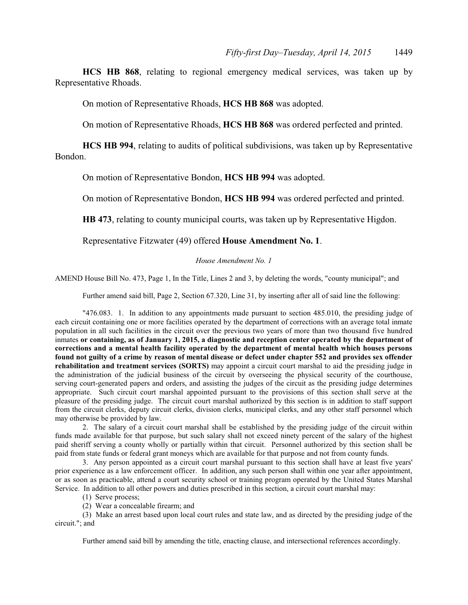**HCS HB 868**, relating to regional emergency medical services, was taken up by Representative Rhoads.

On motion of Representative Rhoads, **HCS HB 868** was adopted.

On motion of Representative Rhoads, **HCS HB 868** was ordered perfected and printed.

**HCS HB 994**, relating to audits of political subdivisions, was taken up by Representative Bondon.

On motion of Representative Bondon, **HCS HB 994** was adopted.

On motion of Representative Bondon, **HCS HB 994** was ordered perfected and printed.

**HB 473**, relating to county municipal courts, was taken up by Representative Higdon.

Representative Fitzwater (49) offered **House Amendment No. 1**.

### *House Amendment No. 1*

AMEND House Bill No. 473, Page 1, In the Title, Lines 2 and 3, by deleting the words, "county municipal"; and

Further amend said bill, Page 2, Section 67.320, Line 31, by inserting after all of said line the following:

"476.083. 1. In addition to any appointments made pursuant to section 485.010, the presiding judge of each circuit containing one or more facilities operated by the department of corrections with an average total inmate population in all such facilities in the circuit over the previous two years of more than two thousand five hundred inmates **or containing, as of January 1, 2015, a diagnostic and reception center operated by the department of corrections and a mental health facility operated by the department of mental health which houses persons found not guilty of a crime by reason of mental disease or defect under chapter 552 and provides sex offender rehabilitation and treatment services (SORTS)** may appoint a circuit court marshal to aid the presiding judge in the administration of the judicial business of the circuit by overseeing the physical security of the courthouse, serving court-generated papers and orders, and assisting the judges of the circuit as the presiding judge determines appropriate. Such circuit court marshal appointed pursuant to the provisions of this section shall serve at the pleasure of the presiding judge. The circuit court marshal authorized by this section is in addition to staff support from the circuit clerks, deputy circuit clerks, division clerks, municipal clerks, and any other staff personnel which may otherwise be provided by law.

2. The salary of a circuit court marshal shall be established by the presiding judge of the circuit within funds made available for that purpose, but such salary shall not exceed ninety percent of the salary of the highest paid sheriff serving a county wholly or partially within that circuit. Personnel authorized by this section shall be paid from state funds or federal grant moneys which are available for that purpose and not from county funds.

3. Any person appointed as a circuit court marshal pursuant to this section shall have at least five years' prior experience as a law enforcement officer. In addition, any such person shall within one year after appointment, or as soon as practicable, attend a court security school or training program operated by the United States Marshal Service. In addition to all other powers and duties prescribed in this section, a circuit court marshal may:

(1) Serve process;

(2) Wear a concealable firearm; and

(3) Make an arrest based upon local court rules and state law, and as directed by the presiding judge of the circuit."; and

Further amend said bill by amending the title, enacting clause, and intersectional references accordingly.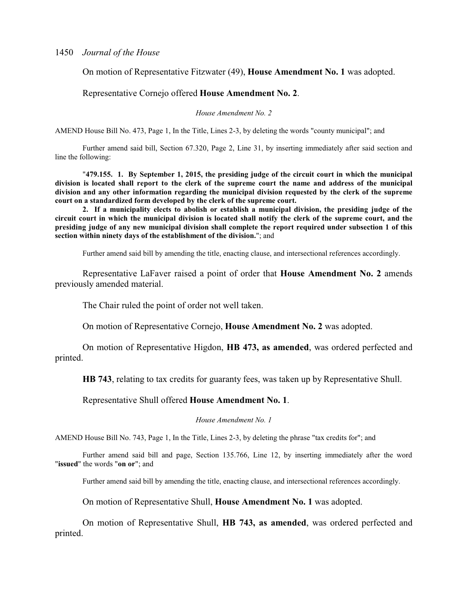## On motion of Representative Fitzwater (49), **House Amendment No. 1** was adopted.

## Representative Cornejo offered **House Amendment No. 2**.

### *House Amendment No. 2*

AMEND House Bill No. 473, Page 1, In the Title, Lines 2-3, by deleting the words "county municipal"; and

Further amend said bill, Section 67.320, Page 2, Line 31, by inserting immediately after said section and line the following:

"**479.155. 1. By September 1, 2015, the presiding judge of the circuit court in which the municipal division is located shall report to the clerk of the supreme court the name and address of the municipal division and any other information regarding the municipal division requested by the clerk of the supreme court on a standardized form developed by the clerk of the supreme court.**

**2. If a municipality elects to abolish or establish a municipal division, the presiding judge of the circuit court in which the municipal division is located shall notify the clerk of the supreme court, and the presiding judge of any new municipal division shall complete the report required under subsection 1 of this section within ninety days of the establishment of the division.**"; and

Further amend said bill by amending the title, enacting clause, and intersectional references accordingly.

Representative LaFaver raised a point of order that **House Amendment No. 2** amends previously amended material.

The Chair ruled the point of order not well taken.

On motion of Representative Cornejo, **House Amendment No. 2** was adopted.

On motion of Representative Higdon, **HB 473, as amended**, was ordered perfected and printed.

**HB 743**, relating to tax credits for guaranty fees, was taken up by Representative Shull.

Representative Shull offered **House Amendment No. 1**.

*House Amendment No. 1*

AMEND House Bill No. 743, Page 1, In the Title, Lines 2-3, by deleting the phrase "tax credits for"; and

Further amend said bill and page, Section 135.766, Line 12, by inserting immediately after the word "**issued**" the words "**on or**"; and

Further amend said bill by amending the title, enacting clause, and intersectional references accordingly.

On motion of Representative Shull, **House Amendment No. 1** was adopted.

On motion of Representative Shull, **HB 743, as amended**, was ordered perfected and printed.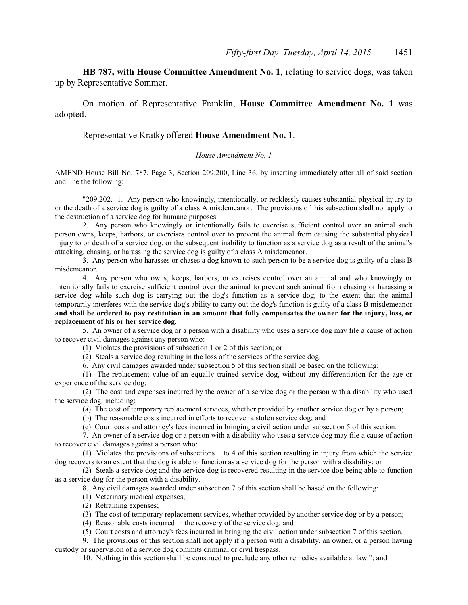**HB 787, with House Committee Amendment No. 1**, relating to service dogs, was taken up by Representative Sommer.

On motion of Representative Franklin, **House Committee Amendment No. 1** was adopted.

## Representative Kratky offered **House Amendment No. 1**.

## *House Amendment No. 1*

AMEND House Bill No. 787, Page 3, Section 209.200, Line 36, by inserting immediately after all of said section and line the following:

"209.202. 1. Any person who knowingly, intentionally, or recklessly causes substantial physical injury to or the death of a service dog is guilty of a class A misdemeanor. The provisions of this subsection shall not apply to the destruction of a service dog for humane purposes.

2. Any person who knowingly or intentionally fails to exercise sufficient control over an animal such person owns, keeps, harbors, or exercises control over to prevent the animal from causing the substantial physical injury to or death of a service dog, or the subsequent inability to function as a service dog as a result of the animal's attacking, chasing, or harassing the service dog is guilty of a class A misdemeanor.

3. Any person who harasses or chases a dog known to such person to be a service dog is guilty of a class B misdemeanor.

4. Any person who owns, keeps, harbors, or exercises control over an animal and who knowingly or intentionally fails to exercise sufficient control over the animal to prevent such animal from chasing or harassing a service dog while such dog is carrying out the dog's function as a service dog, to the extent that the animal temporarily interferes with the service dog's ability to carry out the dog's function is guilty of a class B misdemeanor **and shall be ordered to pay restitution in an amount that fully compensates the owner for the injury, loss, or replacement of his or her service dog**.

5. An owner of a service dog or a person with a disability who uses a service dog may file a cause of action to recover civil damages against any person who:

(1) Violates the provisions of subsection 1 or 2 of this section; or

(2) Steals a service dog resulting in the loss of the services of the service dog.

6. Any civil damages awarded under subsection 5 of this section shall be based on the following:

(1) The replacement value of an equally trained service dog, without any differentiation for the age or experience of the service dog;

(2) The cost and expenses incurred by the owner of a service dog or the person with a disability who used the service dog, including:

(a) The cost of temporary replacement services, whether provided by another service dog or by a person;

(b) The reasonable costs incurred in efforts to recover a stolen service dog; and

(c) Court costs and attorney's fees incurred in bringing a civil action under subsection 5 of this section.

7. An owner of a service dog or a person with a disability who uses a service dog may file a cause of action to recover civil damages against a person who:

(1) Violates the provisions of subsections 1 to 4 of this section resulting in injury from which the service dog recovers to an extent that the dog is able to function as a service dog for the person with a disability; or

(2) Steals a service dog and the service dog is recovered resulting in the service dog being able to function as a service dog for the person with a disability.

8. Any civil damages awarded under subsection 7 of this section shall be based on the following:

(1) Veterinary medical expenses;

(2) Retraining expenses;

(3) The cost of temporary replacement services, whether provided by another service dog or by a person;

(4) Reasonable costs incurred in the recovery of the service dog; and

(5) Court costs and attorney's fees incurred in bringing the civil action under subsection 7 of this section.

9. The provisions of this section shall not apply if a person with a disability, an owner, or a person having custody or supervision of a service dog commits criminal or civil trespass.

10. Nothing in this section shall be construed to preclude any other remedies available at law."; and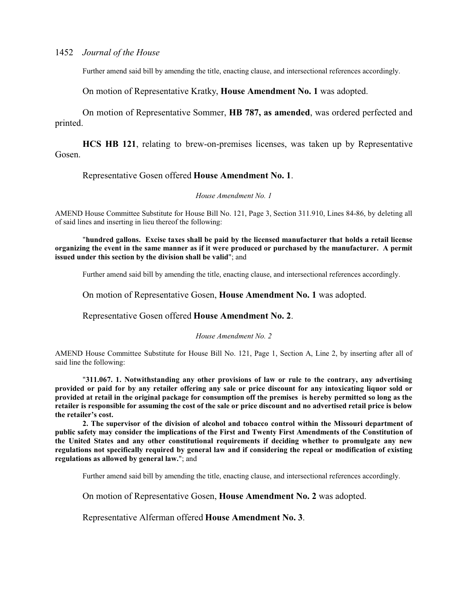Further amend said bill by amending the title, enacting clause, and intersectional references accordingly.

On motion of Representative Kratky, **House Amendment No. 1** was adopted.

On motion of Representative Sommer, **HB 787, as amended**, was ordered perfected and printed.

**HCS HB 121**, relating to brew-on-premises licenses, was taken up by Representative Gosen.

## Representative Gosen offered **House Amendment No. 1**.

#### *House Amendment No. 1*

AMEND House Committee Substitute for House Bill No. 121, Page 3, Section 311.910, Lines 84-86, by deleting all of said lines and inserting in lieu thereof the following:

"**hundred gallons. Excise taxes shall be paid by the licensed manufacturer that holds a retail license organizing the event in the same manner as if it were produced or purchased by the manufacturer. A permit issued under this section by the division shall be valid**"; and

Further amend said bill by amending the title, enacting clause, and intersectional references accordingly.

On motion of Representative Gosen, **House Amendment No. 1** was adopted.

Representative Gosen offered **House Amendment No. 2**.

#### *House Amendment No. 2*

AMEND House Committee Substitute for House Bill No. 121, Page 1, Section A, Line 2, by inserting after all of said line the following:

"**311.067. 1. Notwithstanding any other provisions of law or rule to the contrary, any advertising provided or paid for by any retailer offering any sale or price discount for any intoxicating liquor sold or provided at retail in the original package for consumption off the premises is hereby permitted so long as the retailer is responsible for assuming the cost of the sale or price discount and no advertised retail price is below the retailer's cost.**

**2. The supervisor of the division of alcohol and tobacco control within the Missouri department of public safety may consider the implications of the First and Twenty First Amendments of the Constitution of the United States and any other constitutional requirements if deciding whether to promulgate any new regulations not specifically required by general law and if considering the repeal or modification of existing regulations as allowed by general law.**"; and

Further amend said bill by amending the title, enacting clause, and intersectional references accordingly.

On motion of Representative Gosen, **House Amendment No. 2** was adopted.

Representative Alferman offered **House Amendment No. 3**.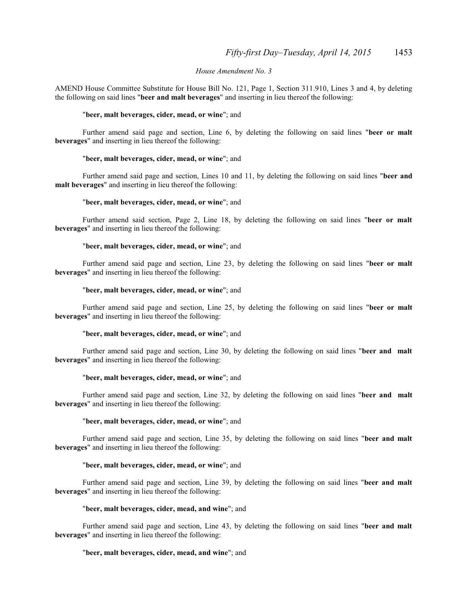#### *House Amendment No. 3*

AMEND House Committee Substitute for House Bill No. 121, Page 1, Section 311.910, Lines 3 and 4, by deleting the following on said lines "**beer and malt beverages**" and inserting in lieu thereof the following:

#### "**beer, malt beverages, cider, mead, or wine**"; and

Further amend said page and section, Line 6, by deleting the following on said lines "**beer or malt beverages**" and inserting in lieu thereof the following:

#### "**beer, malt beverages, cider, mead, or wine**"; and

Further amend said page and section, Lines 10 and 11, by deleting the following on said lines "**beer and malt beverages**" and inserting in lieu thereof the following:

#### "**beer, malt beverages, cider, mead, or wine**"; and

Further amend said section, Page 2, Line 18, by deleting the following on said lines "**beer or malt beverages**" and inserting in lieu thereof the following:

#### "**beer, malt beverages, cider, mead, or wine**"; and

Further amend said page and section, Line 23, by deleting the following on said lines "**beer or malt beverages**" and inserting in lieu thereof the following:

### "**beer, malt beverages, cider, mead, or wine**"; and

Further amend said page and section, Line 25, by deleting the following on said lines "**beer or malt beverages**" and inserting in lieu thereof the following:

#### "**beer, malt beverages, cider, mead, or wine**"; and

Further amend said page and section, Line 30, by deleting the following on said lines "**beer and malt beverages**" and inserting in lieu thereof the following:

#### "**beer, malt beverages, cider, mead, or wine**"; and

Further amend said page and section, Line 32, by deleting the following on said lines "**beer and malt beverages**" and inserting in lieu thereof the following:

#### "**beer, malt beverages, cider, mead, or wine**"; and

Further amend said page and section, Line 35, by deleting the following on said lines "**beer and malt beverages**" and inserting in lieu thereof the following:

#### "**beer, malt beverages, cider, mead, or wine**"; and

Further amend said page and section, Line 39, by deleting the following on said lines "**beer and malt beverages**" and inserting in lieu thereof the following:

#### "**beer, malt beverages, cider, mead, and wine**"; and

Further amend said page and section, Line 43, by deleting the following on said lines "**beer and malt beverages**" and inserting in lieu thereof the following:

#### "**beer, malt beverages, cider, mead, and wine**"; and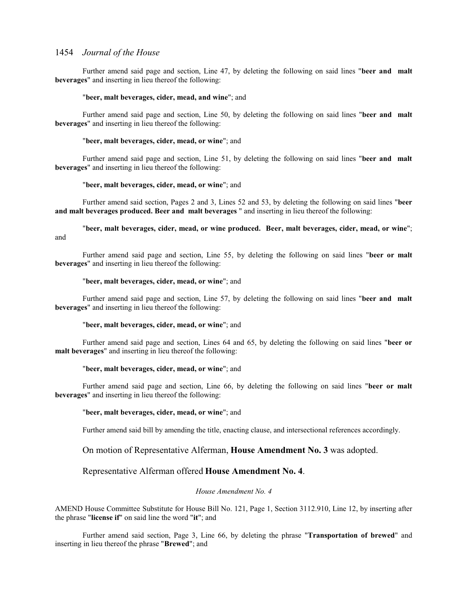Further amend said page and section, Line 47, by deleting the following on said lines "**beer and malt beverages**" and inserting in lieu thereof the following:

### "**beer, malt beverages, cider, mead, and wine**"; and

Further amend said page and section, Line 50, by deleting the following on said lines "**beer and malt beverages**" and inserting in lieu thereof the following:

#### "**beer, malt beverages, cider, mead, or wine**"; and

Further amend said page and section, Line 51, by deleting the following on said lines "**beer and malt beverages**" and inserting in lieu thereof the following:

### "**beer, malt beverages, cider, mead, or wine**"; and

Further amend said section, Pages 2 and 3, Lines 52 and 53, by deleting the following on said lines "**beer and malt beverages produced. Beer and malt beverages** " and inserting in lieu thereof the following:

"**beer, malt beverages, cider, mead, or wine produced. Beer, malt beverages, cider, mead, or wine**"; and

Further amend said page and section, Line 55, by deleting the following on said lines "**beer or malt beverages**" and inserting in lieu thereof the following:

#### "**beer, malt beverages, cider, mead, or wine**"; and

Further amend said page and section, Line 57, by deleting the following on said lines "**beer and malt beverages**" and inserting in lieu thereof the following:

#### "**beer, malt beverages, cider, mead, or wine**"; and

Further amend said page and section, Lines 64 and 65, by deleting the following on said lines "**beer or malt beverages**" and inserting in lieu thereof the following:

#### "**beer, malt beverages, cider, mead, or wine**"; and

Further amend said page and section, Line 66, by deleting the following on said lines "**beer or malt beverages**" and inserting in lieu thereof the following:

#### "**beer, malt beverages, cider, mead, or wine**"; and

Further amend said bill by amending the title, enacting clause, and intersectional references accordingly.

### On motion of Representative Alferman, **House Amendment No. 3** was adopted.

## Representative Alferman offered **House Amendment No. 4**.

## *House Amendment No. 4*

AMEND House Committee Substitute for House Bill No. 121, Page 1, Section 3112.910, Line 12, by inserting after the phrase "**license if**" on said line the word "**it**"; and

Further amend said section, Page 3, Line 66, by deleting the phrase "**Transportation of brewed**" and inserting in lieu thereof the phrase "**Brewed**"; and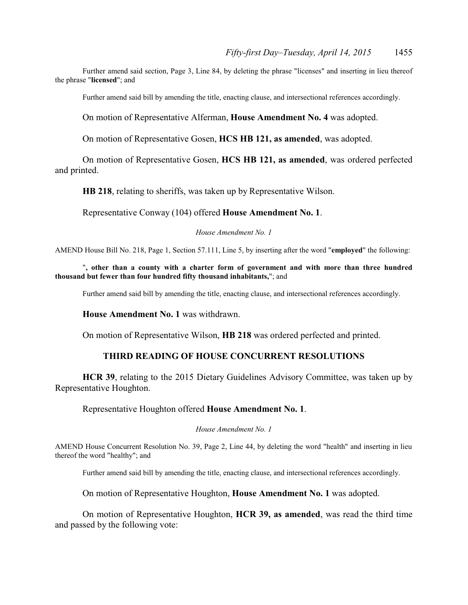Further amend said section, Page 3, Line 84, by deleting the phrase "licenses" and inserting in lieu thereof the phrase "**licensed**"; and

Further amend said bill by amending the title, enacting clause, and intersectional references accordingly.

On motion of Representative Alferman, **House Amendment No. 4** was adopted.

On motion of Representative Gosen, **HCS HB 121, as amended**, was adopted.

On motion of Representative Gosen, **HCS HB 121, as amended**, was ordered perfected and printed.

**HB 218**, relating to sheriffs, was taken up by Representative Wilson.

Representative Conway (104) offered **House Amendment No. 1**.

### *House Amendment No. 1*

AMEND House Bill No. 218, Page 1, Section 57.111, Line 5, by inserting after the word "**employed**" the following:

"**, other than a county with a charter form of government and with more than three hundred thousand but fewer than four hundred fifty thousand inhabitants,**"; and

Further amend said bill by amending the title, enacting clause, and intersectional references accordingly.

**House Amendment No. 1** was withdrawn.

On motion of Representative Wilson, **HB 218** was ordered perfected and printed.

## **THIRD READING OF HOUSE CONCURRENT RESOLUTIONS**

**HCR 39**, relating to the 2015 Dietary Guidelines Advisory Committee, was taken up by Representative Houghton.

Representative Houghton offered **House Amendment No. 1**.

#### *House Amendment No. 1*

AMEND House Concurrent Resolution No. 39, Page 2, Line 44, by deleting the word "health" and inserting in lieu thereof the word "healthy"; and

Further amend said bill by amending the title, enacting clause, and intersectional references accordingly.

On motion of Representative Houghton, **House Amendment No. 1** was adopted.

On motion of Representative Houghton, **HCR 39, as amended**, was read the third time and passed by the following vote: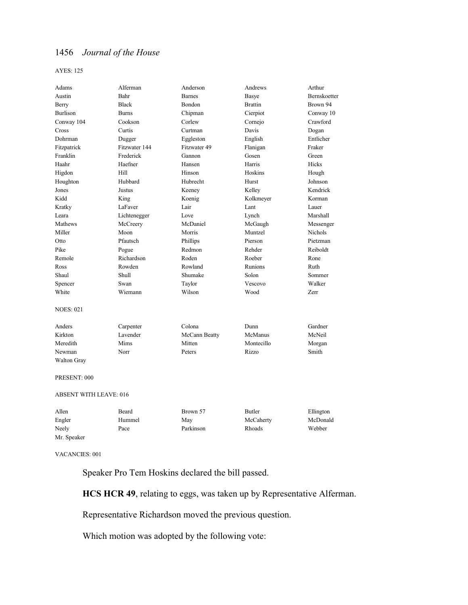#### AYES: 125

| Adams                         | Alferman      | Anderson      | Andrews        | Arthur       |
|-------------------------------|---------------|---------------|----------------|--------------|
| Austin                        | Bahr          | <b>Barnes</b> | Basye          | Bernskoetter |
| Berry                         | <b>Black</b>  | Bondon        | <b>Brattin</b> | Brown 94     |
| <b>Burlison</b>               | <b>Burns</b>  | Chipman       | Cierpiot       | Conway 10    |
| Conway 104                    | Cookson       | Corlew        | Cornejo        | Crawford     |
| Cross                         | Curtis        | Curtman       | Davis          | Dogan        |
| Dohrman                       | Dugger        | Eggleston     | English        | Entlicher    |
| Fitzpatrick                   | Fitzwater 144 | Fitzwater 49  | Flanigan       | Fraker       |
| Franklin                      | Frederick     | Gannon        | Gosen          | Green        |
| Haahr                         | Haefner       | Hansen        | Harris         | Hicks        |
| Higdon                        | Hill          | Hinson        | Hoskins        | Hough        |
| Houghton                      | Hubbard       | Hubrecht      | Hurst          | Johnson      |
| Jones                         | Justus        | Keeney        | Kelley         | Kendrick     |
| Kidd                          | King          | Koenig        | Kolkmeyer      | Korman       |
| Kratky                        | LaFaver       | Lair          | Lant           | Lauer        |
| Leara                         | Lichtenegger  | Love          | Lynch          | Marshall     |
| Mathews                       | McCreery      | McDaniel      | McGaugh        | Messenger    |
| Miller                        | Moon          | Morris        | Muntzel        | Nichols      |
| Otto                          | Pfautsch      | Phillips      | Pierson        | Pietzman     |
| Pike                          | Pogue         | Redmon        | Rehder         | Reiboldt     |
| Remole                        | Richardson    | Roden         | Roeber         | Rone         |
| Ross                          | Rowden        | Rowland       | Runions        | Ruth         |
| Shaul                         | Shull         | Shumake       | Solon          | Sommer       |
| Spencer                       | Swan          | Taylor        | Vescovo        | Walker       |
| White                         | Wiemann       | Wilson        | Wood           | Zerr         |
| <b>NOES: 021</b>              |               |               |                |              |
| Anders                        | Carpenter     | Colona        | Dunn           | Gardner      |
| Kirkton                       | Lavender      | McCann Beatty | McManus        | McNeil       |
| Meredith                      | Mims          | Mitten        | Montecillo     | Morgan       |
| Newman                        | Norr          | Peters        | Rizzo          | Smith        |
| Walton Gray                   |               |               |                |              |
| PRESENT: 000                  |               |               |                |              |
| <b>ABSENT WITH LEAVE: 016</b> |               |               |                |              |
|                               |               |               |                |              |

| Allen       | Beard  | Brown 57  | Butler    | Ellington |
|-------------|--------|-----------|-----------|-----------|
| Engler      | Hummel | May       | McCaherty | McDonald  |
| Neely       | Pace   | Parkinson | Rhoads    | Webber    |
| Mr. Speaker |        |           |           |           |

VACANCIES: 001

Speaker Pro Tem Hoskins declared the bill passed.

**HCS HCR 49**, relating to eggs, was taken up by Representative Alferman.

Representative Richardson moved the previous question.

Which motion was adopted by the following vote: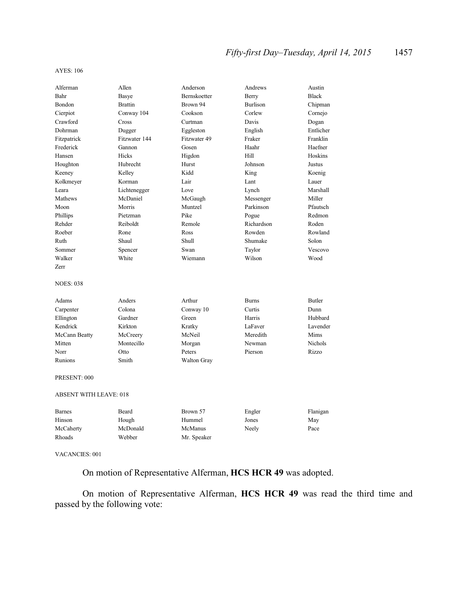#### AYES: 106

| Alferman                      | Allen          | Anderson           | Andrews         | Austin         |
|-------------------------------|----------------|--------------------|-----------------|----------------|
| Bahr                          | Basye          | Bernskoetter       | Berry           | <b>Black</b>   |
| Bondon                        | <b>Brattin</b> | Brown 94           | <b>Burlison</b> | Chipman        |
| Cierpiot                      | Conway 104     | Cookson            | Corlew          | Cornejo        |
| Crawford                      | Cross          | Curtman            | Davis           | Dogan          |
| Dohrman                       | Dugger         | Eggleston          | English         | Entlicher      |
| Fitzpatrick                   | Fitzwater 144  | Fitzwater 49       | Fraker          | Franklin       |
| Frederick                     | Gannon         | Gosen              | Haahr           | Haefner        |
| Hansen                        | Hicks          | Higdon             | Hill            | Hoskins        |
| Houghton                      | Hubrecht       | Hurst              | Johnson         | Justus         |
| Keeney                        | Kelley         | Kidd               | King            | Koenig         |
| Kolkmeyer                     | Korman         | Lair               | Lant            | Lauer          |
| Leara                         | Lichtenegger   | Love               | Lynch           | Marshall       |
| Mathews                       | McDaniel       | McGaugh            | Messenger       | Miller         |
| Moon                          | Morris         | Muntzel            | Parkinson       | Pfautsch       |
| Phillips                      | Pietzman       | Pike               | Pogue           | Redmon         |
| Rehder                        | Reiboldt       | Remole             | Richardson      | Roden          |
| Roeber                        | Rone           | Ross               | Rowden          | Rowland        |
| Ruth                          | Shaul          | Shull              | Shumake         | Solon          |
| Sommer                        | Spencer        | Swan               | Taylor          | Vescovo        |
| Walker                        | White          | Wiemann            | Wilson          | Wood           |
| <b>Zerr</b>                   |                |                    |                 |                |
| <b>NOES: 038</b>              |                |                    |                 |                |
| Adams                         | Anders         | Arthur             | <b>Burns</b>    | <b>Butler</b>  |
| Carpenter                     | Colona         | Conway 10          | Curtis          | Dunn           |
| Ellington                     | Gardner        | Green              | Harris          | Hubbard        |
| Kendrick                      | Kirkton        | Kratky             | LaFaver         | Lavender       |
| McCann Beatty                 | McCreery       | McNeil             | Meredith        | Mims           |
| Mitten                        | Montecillo     | Morgan             | Newman          | <b>Nichols</b> |
| Norr                          | Otto           | Peters             | Pierson         | Rizzo          |
| Runions                       | Smith          | <b>Walton Gray</b> |                 |                |
| PRESENT: 000                  |                |                    |                 |                |
| <b>ABSENT WITH LEAVE: 018</b> |                |                    |                 |                |
| <b>Barnes</b>                 | Beard          | Brown 57           | Engler          | Flanigan       |
| Hinson                        | Hough          | Hummel             | Jones           | May            |
| McCaherty                     | McDonald       | McManus            | Neely           | Pace           |
| Rhoads                        | Webber         | Mr. Speaker        |                 |                |
|                               |                |                    |                 |                |

VACANCIES: 001

On motion of Representative Alferman, **HCS HCR 49** was adopted.

On motion of Representative Alferman, **HCS HCR 49** was read the third time and passed by the following vote: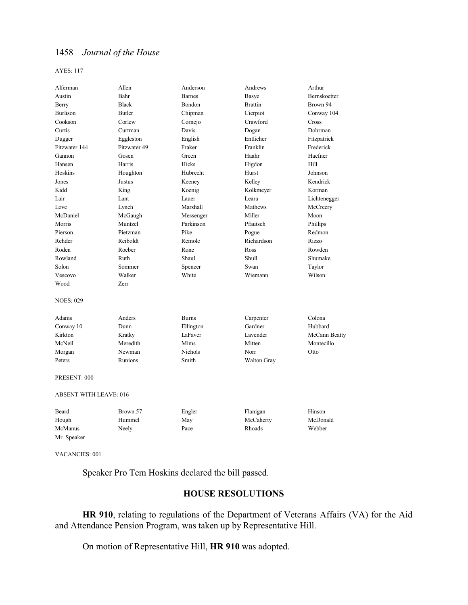#### AYES: 117

| Alferman                      | Allen         | Anderson       | Andrews        | Arthur        |
|-------------------------------|---------------|----------------|----------------|---------------|
| Austin                        | Bahr          | <b>Barnes</b>  | Basye          | Bernskoetter  |
| Berry                         | <b>Black</b>  | Bondon         | <b>Brattin</b> | Brown 94      |
| <b>Burlison</b>               | <b>Butler</b> | Chipman        | Cierpiot       | Conway 104    |
| Cookson                       | Corlew        | Cornejo        | Crawford       | Cross         |
| Curtis                        | Curtman       | Davis          | Dogan          | Dohrman       |
| Dugger                        | Eggleston     | English        | Entlicher      | Fitzpatrick   |
| Fitzwater 144                 | Fitzwater 49  | Fraker         | Franklin       | Frederick     |
| Gannon                        | Gosen         | Green          | Haahr          | Haefner       |
| Hansen                        | Harris        | Hicks          | Higdon         | Hill          |
| Hoskins                       | Houghton      | Hubrecht       | Hurst          | Johnson       |
| Jones                         | Justus        | Keeney         | Kelley         | Kendrick      |
| Kidd                          | King          | Koenig         | Kolkmeyer      | Korman        |
| Lair                          | Lant          | Lauer          | Leara          | Lichtenegger  |
| Love                          | Lynch         | Marshall       | Mathews        | McCreery      |
| McDaniel                      | McGaugh       | Messenger      | Miller         | Moon          |
| Morris                        | Muntzel       | Parkinson      | Pfautsch       | Phillips      |
| Pierson                       | Pietzman      | Pike           | Pogue          | Redmon        |
| Rehder                        | Reiboldt      | Remole         | Richardson     | Rizzo         |
| Roden                         | Roeber        | Rone           | Ross           | Rowden        |
| Rowland                       | Ruth          | Shaul          | <b>Shull</b>   | Shumake       |
| Solon                         | Sommer        | Spencer        | Swan           | Taylor        |
| Vescovo                       | Walker        | White          | Wiemann        | Wilson        |
| Wood                          | Zerr          |                |                |               |
| <b>NOES: 029</b>              |               |                |                |               |
| Adams                         | Anders        | <b>Burns</b>   | Carpenter      | Colona        |
| Conway 10                     | Dunn          | Ellington      | Gardner        | Hubbard       |
| Kirkton                       | Kratky        | LaFaver        | Lavender       | McCann Beatty |
| McNeil                        | Meredith      | Mims           | Mitten         | Montecillo    |
| Morgan                        | Newman        | <b>Nichols</b> | Norr           | Otto          |
| Peters                        | Runions       | Smith          | Walton Gray    |               |
| PRESENT: 000                  |               |                |                |               |
| <b>ABSENT WITH LEAVE: 016</b> |               |                |                |               |
| Beard                         | Brown 57      | Engler         | Flanigan       | Hinson        |
| Hough                         | Hummel        | May            | McCaherty      | McDonald      |
| McManus                       | Neely         | Pace           | Rhoads         | Webber        |
| Mr. Speaker                   |               |                |                |               |

VACANCIES: 001

Speaker Pro Tem Hoskins declared the bill passed.

## **HOUSE RESOLUTIONS**

**HR 910**, relating to regulations of the Department of Veterans Affairs (VA) for the Aid and Attendance Pension Program, was taken up by Representative Hill.

On motion of Representative Hill, **HR 910** was adopted.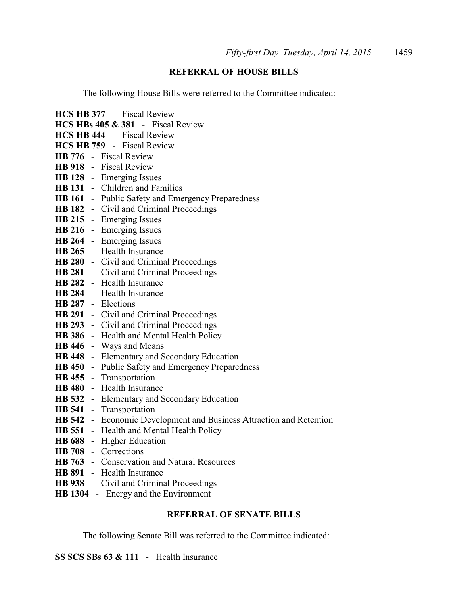## **REFERRAL OF HOUSE BILLS**

The following House Bills were referred to the Committee indicated:

**HCS HB 377** - Fiscal Review **HCS HBs 405 & 381** - Fiscal Review **HCS HB 444** - Fiscal Review **HCS HB 759** - Fiscal Review **HB 776** - Fiscal Review **HB 918** - Fiscal Review **HB 128** - Emerging Issues **HB 131** - Children and Families **HB 161** - Public Safety and Emergency Preparedness **HB 182** - Civil and Criminal Proceedings **HB 215** - Emerging Issues **HB 216** - Emerging Issues **HB 264** - Emerging Issues **HB 265** - Health Insurance **HB 280** - Civil and Criminal Proceedings **HB 281** - Civil and Criminal Proceedings **HB 282** - Health Insurance **HB 284** - Health Insurance **HB 287** - Elections **HB 291** - Civil and Criminal Proceedings **HB 293** - Civil and Criminal Proceedings **HB 386** - Health and Mental Health Policy **HB 446** - Ways and Means **HB 448** - Elementary and Secondary Education **HB 450** - Public Safety and Emergency Preparedness **HB 455** - Transportation **HB 480** - Health Insurance **HB 532** - Elementary and Secondary Education **HB 541** - Transportation **HB 542** - Economic Development and Business Attraction and Retention **HB 551** - Health and Mental Health Policy **HB 688** - Higher Education **HB 708** - Corrections **HB 763** - Conservation and Natural Resources **HB 891** - Health Insurance **HB 938** - Civil and Criminal Proceedings **HB 1304** - Energy and the Environment

## **REFERRAL OF SENATE BILLS**

The following Senate Bill was referred to the Committee indicated:

**SS SCS SBs 63 & 111** - Health Insurance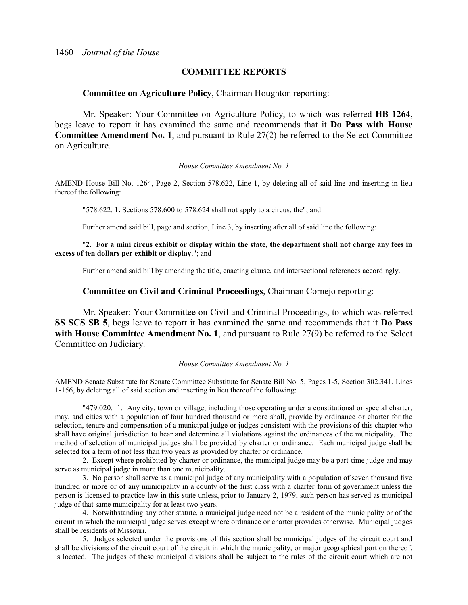## **COMMITTEE REPORTS**

## **Committee on Agriculture Policy**, Chairman Houghton reporting:

Mr. Speaker: Your Committee on Agriculture Policy, to which was referred **HB 1264**, begs leave to report it has examined the same and recommends that it **Do Pass with House Committee Amendment No. 1**, and pursuant to Rule 27(2) be referred to the Select Committee on Agriculture.

#### *House Committee Amendment No. 1*

AMEND House Bill No. 1264, Page 2, Section 578.622, Line 1, by deleting all of said line and inserting in lieu thereof the following:

"578.622. **1.** Sections 578.600 to 578.624 shall not apply to a circus, the"; and

Further amend said bill, page and section, Line 3, by inserting after all of said line the following:

"**2. For a mini circus exhibit or display within the state, the department shall not charge any fees in excess of ten dollars per exhibit or display.**"; and

Further amend said bill by amending the title, enacting clause, and intersectional references accordingly.

## **Committee on Civil and Criminal Proceedings**, Chairman Cornejo reporting:

Mr. Speaker: Your Committee on Civil and Criminal Proceedings, to which was referred **SS SCS SB 5**, begs leave to report it has examined the same and recommends that it **Do Pass with House Committee Amendment No. 1**, and pursuant to Rule 27(9) be referred to the Select Committee on Judiciary.

#### *House Committee Amendment No. 1*

AMEND Senate Substitute for Senate Committee Substitute for Senate Bill No. 5, Pages 1-5, Section 302.341, Lines 1-156, by deleting all of said section and inserting in lieu thereof the following:

"479.020. 1. Any city, town or village, including those operating under a constitutional or special charter, may, and cities with a population of four hundred thousand or more shall, provide by ordinance or charter for the selection, tenure and compensation of a municipal judge or judges consistent with the provisions of this chapter who shall have original jurisdiction to hear and determine all violations against the ordinances of the municipality. The method of selection of municipal judges shall be provided by charter or ordinance. Each municipal judge shall be selected for a term of not less than two years as provided by charter or ordinance.

2. Except where prohibited by charter or ordinance, the municipal judge may be a part-time judge and may serve as municipal judge in more than one municipality.

3. No person shall serve as a municipal judge of any municipality with a population of seven thousand five hundred or more or of any municipality in a county of the first class with a charter form of government unless the person is licensed to practice law in this state unless, prior to January 2, 1979, such person has served as municipal judge of that same municipality for at least two years.

4. Notwithstanding any other statute, a municipal judge need not be a resident of the municipality or of the circuit in which the municipal judge serves except where ordinance or charter provides otherwise. Municipal judges shall be residents of Missouri.

5. Judges selected under the provisions of this section shall be municipal judges of the circuit court and shall be divisions of the circuit court of the circuit in which the municipality, or major geographical portion thereof, is located. The judges of these municipal divisions shall be subject to the rules of the circuit court which are not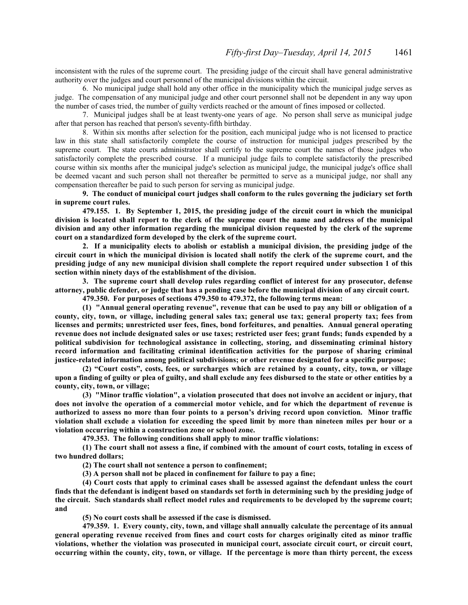inconsistent with the rules of the supreme court. The presiding judge of the circuit shall have general administrative authority over the judges and court personnel of the municipal divisions within the circuit.

6. No municipal judge shall hold any other office in the municipality which the municipal judge serves as judge. The compensation of any municipal judge and other court personnel shall not be dependent in any way upon the number of cases tried, the number of guilty verdicts reached or the amount of fines imposed or collected.

7. Municipal judges shall be at least twenty-one years of age. No person shall serve as municipal judge after that person has reached that person's seventy-fifth birthday.

8. Within six months after selection for the position, each municipal judge who is not licensed to practice law in this state shall satisfactorily complete the course of instruction for municipal judges prescribed by the supreme court. The state courts administrator shall certify to the supreme court the names of those judges who satisfactorily complete the prescribed course. If a municipal judge fails to complete satisfactorily the prescribed course within six months after the municipal judge's selection as municipal judge, the municipal judge's office shall be deemed vacant and such person shall not thereafter be permitted to serve as a municipal judge, nor shall any compensation thereafter be paid to such person for serving as municipal judge.

**9. The conduct of municipal court judges shall conform to the rules governing the judiciary set forth in supreme court rules.**

**479.155. 1. By September 1, 2015, the presiding judge of the circuit court in which the municipal division is located shall report to the clerk of the supreme court the name and address of the municipal division and any other information regarding the municipal division requested by the clerk of the supreme court on a standardized form developed by the clerk of the supreme court.**

**2. If a municipality elects to abolish or establish a municipal division, the presiding judge of the circuit court in which the municipal division is located shall notify the clerk of the supreme court, and the presiding judge of any new municipal division shall complete the report required under subsection 1 of this section within ninety days of the establishment of the division.**

**3. The supreme court shall develop rules regarding conflict of interest for any prosecutor, defense attorney, public defender, or judge that has a pending case before the municipal division of any circuit court.**

**479.350. For purposes of sections 479.350 to 479.372, the following terms mean:**

**(1) "Annual general operating revenue", revenue that can be used to pay any bill or obligation of a county, city, town, or village, including general sales tax; general use tax; general property tax; fees from licenses and permits; unrestricted user fees, fines, bond forfeitures, and penalties. Annual general operating revenue does not include designated sales or use taxes; restricted user fees; grant funds; funds expended by a political subdivision for technological assistance in collecting, storing, and disseminating criminal history record information and facilitating criminal identification activities for the purpose of sharing criminal justice-related information among political subdivisions; or other revenue designated for a specific purpose;**

**(2) "Court costs", costs, fees, or surcharges which are retained by a county, city, town, or village upon a finding of guilty or plea of guilty, and shall exclude any fees disbursed to the state or other entities by a county, city, town, or village;**

**(3) "Minor traffic violation", a violation prosecuted that does not involve an accident or injury, that does not involve the operation of a commercial motor vehicle, and for which the department of revenue is authorized to assess no more than four points to a person's driving record upon conviction. Minor traffic violation shall exclude a violation for exceeding the speed limit by more than nineteen miles per hour or a violation occurring within a construction zone or school zone.**

**479.353. The following conditions shall apply to minor traffic violations:**

**(1) The court shall not assess a fine, if combined with the amount of court costs, totaling in excess of two hundred dollars;**

**(2) The court shall not sentence a person to confinement;**

**(3) A person shall not be placed in confinement for failure to pay a fine;**

**(4) Court costs that apply to criminal cases shall be assessed against the defendant unless the court finds that the defendant is indigent based on standards set forth in determining such by the presiding judge of the circuit. Such standards shall reflect model rules and requirements to be developed by the supreme court; and**

**(5) No court costs shall be assessed if the case is dismissed.**

**479.359. 1. Every county, city, town, and village shall annually calculate the percentage of its annual general operating revenue received from fines and court costs for charges originally cited as minor traffic violations, whether the violation was prosecuted in municipal court, associate circuit court, or circuit court, occurring within the county, city, town, or village. If the percentage is more than thirty percent, the excess**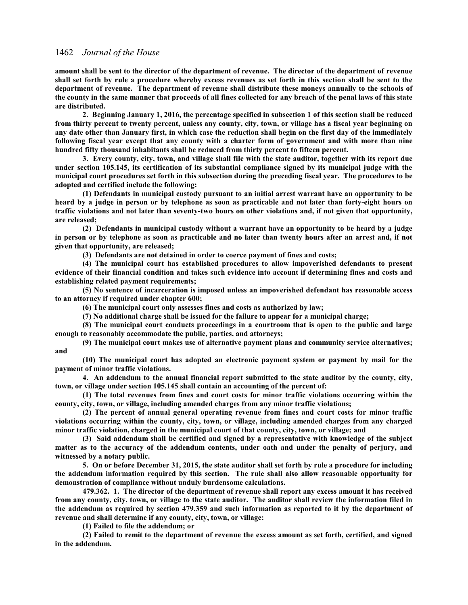**amount shall be sent to the director of the department of revenue. The director of the department of revenue shall set forth by rule a procedure whereby excess revenues as set forth in this section shall be sent to the department of revenue. The department of revenue shall distribute these moneys annually to the schools of the county in the same manner that proceeds of all fines collected for any breach of the penal laws of this state are distributed.**

**2. Beginning January 1, 2016, the percentage specified in subsection 1 of this section shall be reduced from thirty percent to twenty percent, unless any county, city, town, or village has a fiscal year beginning on any date other than January first, in which case the reduction shall begin on the first day of the immediately following fiscal year except that any county with a charter form of government and with more than nine hundred fifty thousand inhabitants shall be reduced from thirty percent to fifteen percent.**

**3. Every county, city, town, and village shall file with the state auditor, together with its report due under section 105.145, its certification of its substantial compliance signed by its municipal judge with the municipal court procedures set forth in this subsection during the preceding fiscal year. The procedures to be adopted and certified include the following:**

**(1) Defendants in municipal custody pursuant to an initial arrest warrant have an opportunity to be heard by a judge in person or by telephone as soon as practicable and not later than forty-eight hours on traffic violations and not later than seventy-two hours on other violations and, if not given that opportunity, are released;**

**(2) Defendants in municipal custody without a warrant have an opportunity to be heard by a judge in person or by telephone as soon as practicable and no later than twenty hours after an arrest and, if not given that opportunity, are released;**

**(3) Defendants are not detained in order to coerce payment of fines and costs;**

**(4) The municipal court has established procedures to allow impoverished defendants to present evidence of their financial condition and takes such evidence into account if determining fines and costs and establishing related payment requirements;**

**(5) No sentence of incarceration is imposed unless an impoverished defendant has reasonable access to an attorney if required under chapter 600;**

**(6) The municipal court only assesses fines and costs as authorized by law;**

**(7) No additional charge shall be issued for the failure to appear for a municipal charge;**

**(8) The municipal court conducts proceedings in a courtroom that is open to the public and large enough to reasonably accommodate the public, parties, and attorneys;**

**(9) The municipal court makes use of alternative payment plans and community service alternatives; and**

**(10) The municipal court has adopted an electronic payment system or payment by mail for the payment of minor traffic violations.**

**4. An addendum to the annual financial report submitted to the state auditor by the county, city, town, or village under section 105.145 shall contain an accounting of the percent of:**

**(1) The total revenues from fines and court costs for minor traffic violations occurring within the county, city, town, or village, including amended charges from any minor traffic violations;**

**(2) The percent of annual general operating revenue from fines and court costs for minor traffic violations occurring within the county, city, town, or village, including amended charges from any charged minor traffic violation, charged in the municipal court of that county, city, town, or village; and**

**(3) Said addendum shall be certified and signed by a representative with knowledge of the subject matter as to the accuracy of the addendum contents, under oath and under the penalty of perjury, and witnessed by a notary public.**

**5. On or before December 31, 2015, the state auditor shall set forth by rule a procedure for including the addendum information required by this section. The rule shall also allow reasonable opportunity for demonstration of compliance without unduly burdensome calculations.**

**479.362. 1. The director of the department of revenue shall report any excess amount it has received from any county, city, town, or village to the state auditor. The auditor shall review the information filed in the addendum as required by section 479.359 and such information as reported to it by the department of revenue and shall determine if any county, city, town, or village:**

**(1) Failed to file the addendum; or**

**(2) Failed to remit to the department of revenue the excess amount as set forth, certified, and signed in the addendum.**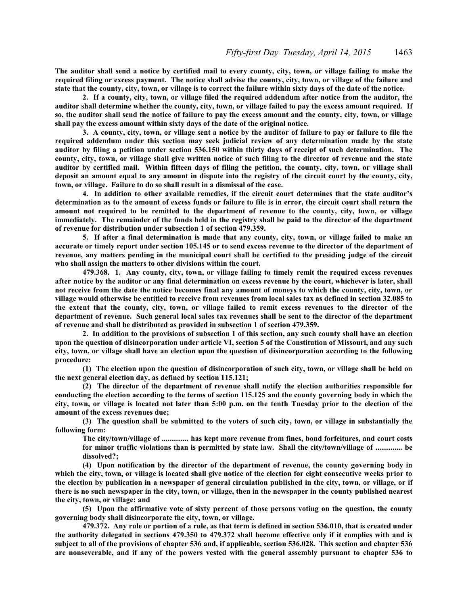**The auditor shall send a notice by certified mail to every county, city, town, or village failing to make the required filing or excess payment. The notice shall advise the county, city, town, or village of the failure and state that the county, city, town, or village is to correct the failure within sixty days of the date of the notice.**

**2. If a county, city, town, or village filed the required addendum after notice from the auditor, the auditor shall determine whether the county, city, town, or village failed to pay the excess amount required. If so, the auditor shall send the notice of failure to pay the excess amount and the county, city, town, or village shall pay the excess amount within sixty days of the date of the original notice.**

**3. A county, city, town, or village sent a notice by the auditor of failure to pay or failure to file the required addendum under this section may seek judicial review of any determination made by the state auditor by filing a petition under section 536.150 within thirty days of receipt of such determination. The county, city, town, or village shall give written notice of such filing to the director of revenue and the state auditor by certified mail. Within fifteen days of filing the petition, the county, city, town, or village shall deposit an amount equal to any amount in dispute into the registry of the circuit court by the county, city, town, or village. Failure to do so shall result in a dismissal of the case.**

**4. In addition to other available remedies, if the circuit court determines that the state auditor's determination as to the amount of excess funds or failure to file is in error, the circuit court shall return the amount not required to be remitted to the department of revenue to the county, city, town, or village immediately. The remainder of the funds held in the registry shall be paid to the director of the department of revenue for distribution under subsection 1 of section 479.359.**

**5. If after a final determination is made that any county, city, town, or village failed to make an accurate or timely report under section 105.145 or to send excess revenue to the director of the department of revenue, any matters pending in the municipal court shall be certified to the presiding judge of the circuit who shall assign the matters to other divisions within the court.**

**479.368. 1. Any county, city, town, or village failing to timely remit the required excess revenues after notice by the auditor or any final determination on excess revenue by the court, whichever is later, shall not receive from the date the notice becomes final any amount of moneys to which the county, city, town, or village would otherwise be entitled to receive from revenues from local sales tax as defined in section 32.085 to the extent that the county, city, town, or village failed to remit excess revenues to the director of the department of revenue. Such general local sales tax revenues shall be sent to the director of the department of revenue and shall be distributed as provided in subsection 1 of section 479.359.**

**2. In addition to the provisions of subsection 1 of this section, any such county shall have an election upon the question of disincorporation under article VI, section 5 of the Constitution of Missouri, and any such city, town, or village shall have an election upon the question of disincorporation according to the following procedure:**

**(1) The election upon the question of disincorporation of such city, town, or village shall be held on the next general election day, as defined by section 115.121;**

**(2) The director of the department of revenue shall notify the election authorities responsible for conducting the election according to the terms of section 115.125 and the county governing body in which the city, town, or village is located not later than 5:00 p.m. on the tenth Tuesday prior to the election of the amount of the excess revenues due;**

**(3) The question shall be submitted to the voters of such city, town, or village in substantially the following form:**

**The city/town/village of .............. has kept more revenue from fines, bond forfeitures, and court costs for minor traffic violations than is permitted by state law. Shall the city/town/village of .............. be dissolved?;**

**(4) Upon notification by the director of the department of revenue, the county governing body in which the city, town, or village is located shall give notice of the election for eight consecutive weeks prior to the election by publication in a newspaper of general circulation published in the city, town, or village, or if there is no such newspaper in the city, town, or village, then in the newspaper in the county published nearest the city, town, or village; and**

**(5) Upon the affirmative vote of sixty percent of those persons voting on the question, the county governing body shall disincorporate the city, town, or village.**

**479.372. Any rule or portion of a rule, as that term is defined in section 536.010, that is created under the authority delegated in sections 479.350 to 479.372 shall become effective only if it complies with and is subject to all of the provisions of chapter 536 and, if applicable, section 536.028. This section and chapter 536 are nonseverable, and if any of the powers vested with the general assembly pursuant to chapter 536 to**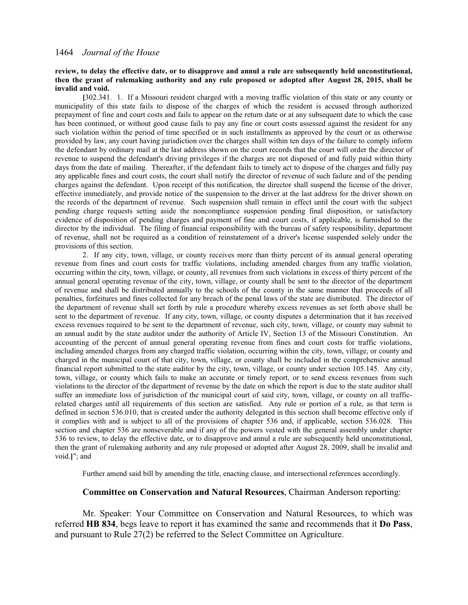## **review, to delay the effective date, or to disapprove and annul a rule are subsequently held unconstitutional, then the grant of rulemaking authority and any rule proposed or adopted after August 28, 2015, shall be invalid and void.**

**[**302.341. 1. If a Missouri resident charged with a moving traffic violation of this state or any county or municipality of this state fails to dispose of the charges of which the resident is accused through authorized prepayment of fine and court costs and fails to appear on the return date or at any subsequent date to which the case has been continued, or without good cause fails to pay any fine or court costs assessed against the resident for any such violation within the period of time specified or in such installments as approved by the court or as otherwise provided by law, any court having jurisdiction over the charges shall within ten days of the failure to comply inform the defendant by ordinary mail at the last address shown on the court records that the court will order the director of revenue to suspend the defendant's driving privileges if the charges are not disposed of and fully paid within thirty days from the date of mailing. Thereafter, if the defendant fails to timely act to dispose of the charges and fully pay any applicable fines and court costs, the court shall notify the director of revenue of such failure and of the pending charges against the defendant. Upon receipt of this notification, the director shall suspend the license of the driver, effective immediately, and provide notice of the suspension to the driver at the last address for the driver shown on the records of the department of revenue. Such suspension shall remain in effect until the court with the subject pending charge requests setting aside the noncompliance suspension pending final disposition, or satisfactory evidence of disposition of pending charges and payment of fine and court costs, if applicable, is furnished to the director by the individual. The filing of financial responsibility with the bureau of safety responsibility, department of revenue, shall not be required as a condition of reinstatement of a driver's license suspended solely under the provisions of this section.

2. If any city, town, village, or county receives more than thirty percent of its annual general operating revenue from fines and court costs for traffic violations, including amended charges from any traffic violation, occurring within the city, town, village, or county, all revenues from such violations in excess of thirty percent of the annual general operating revenue of the city, town, village, or county shall be sent to the director of the department of revenue and shall be distributed annually to the schools of the county in the same manner that proceeds of all penalties, forfeitures and fines collected for any breach of the penal laws of the state are distributed. The director of the department of revenue shall set forth by rule a procedure whereby excess revenues as set forth above shall be sent to the department of revenue. If any city, town, village, or county disputes a determination that it has received excess revenues required to be sent to the department of revenue, such city, town, village, or county may submit to an annual audit by the state auditor under the authority of Article IV, Section 13 of the Missouri Constitution. An accounting of the percent of annual general operating revenue from fines and court costs for traffic violations, including amended charges from any charged traffic violation, occurring within the city, town, village, or county and charged in the municipal court of that city, town, village, or county shall be included in the comprehensive annual financial report submitted to the state auditor by the city, town, village, or county under section 105.145. Any city, town, village, or county which fails to make an accurate or timely report, or to send excess revenues from such violations to the director of the department of revenue by the date on which the report is due to the state auditor shall suffer an immediate loss of jurisdiction of the municipal court of said city, town, village, or county on all trafficrelated charges until all requirements of this section are satisfied. Any rule or portion of a rule, as that term is defined in section 536.010, that is created under the authority delegated in this section shall become effective only if it complies with and is subject to all of the provisions of chapter 536 and, if applicable, section 536.028. This section and chapter 536 are nonseverable and if any of the powers vested with the general assembly under chapter 536 to review, to delay the effective date, or to disapprove and annul a rule are subsequently held unconstitutional, then the grant of rulemaking authority and any rule proposed or adopted after August 28, 2009, shall be invalid and void.**]**"; and

Further amend said bill by amending the title, enacting clause, and intersectional references accordingly.

## **Committee on Conservation and Natural Resources**, Chairman Anderson reporting:

Mr. Speaker: Your Committee on Conservation and Natural Resources, to which was referred **HB 834**, begs leave to report it has examined the same and recommends that it **Do Pass**, and pursuant to Rule 27(2) be referred to the Select Committee on Agriculture.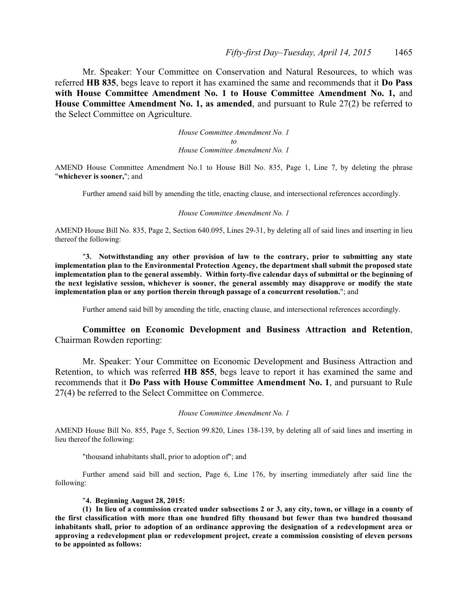Mr. Speaker: Your Committee on Conservation and Natural Resources, to which was referred **HB 835**, begs leave to report it has examined the same and recommends that it **Do Pass with House Committee Amendment No. 1 to House Committee Amendment No. 1,** and **House Committee Amendment No. 1, as amended**, and pursuant to Rule 27(2) be referred to the Select Committee on Agriculture.

> *House Committee Amendment No. 1 to House Committee Amendment No. 1*

AMEND House Committee Amendment No.1 to House Bill No. 835, Page 1, Line 7, by deleting the phrase "**whichever is sooner,**"; and

Further amend said bill by amending the title, enacting clause, and intersectional references accordingly.

#### *House Committee Amendment No. 1*

AMEND House Bill No. 835, Page 2, Section 640.095, Lines 29-31, by deleting all of said lines and inserting in lieu thereof the following:

"**3. Notwithstanding any other provision of law to the contrary, prior to submitting any state implementation plan to the Environmental Protection Agency, the department shall submit the proposed state implementation plan to the general assembly. Within forty-five calendar days of submittal or the beginning of the next legislative session, whichever is sooner, the general assembly may disapprove or modify the state implementation plan or any portion therein through passage of a concurrent resolution.**"; and

Further amend said bill by amending the title, enacting clause, and intersectional references accordingly.

# **Committee on Economic Development and Business Attraction and Retention**, Chairman Rowden reporting:

Mr. Speaker: Your Committee on Economic Development and Business Attraction and Retention, to which was referred **HB 855**, begs leave to report it has examined the same and recommends that it **Do Pass with House Committee Amendment No. 1**, and pursuant to Rule 27(4) be referred to the Select Committee on Commerce.

*House Committee Amendment No. 1*

AMEND House Bill No. 855, Page 5, Section 99.820, Lines 138-139, by deleting all of said lines and inserting in lieu thereof the following:

"thousand inhabitants shall, prior to adoption of"; and

Further amend said bill and section, Page 6, Line 176, by inserting immediately after said line the following:

## "**4. Beginning August 28, 2015:**

**(1) In lieu of a commission created under subsections 2 or 3, any city, town, or village in a county of the first classification with more than one hundred fifty thousand but fewer than two hundred thousand inhabitants shall, prior to adoption of an ordinance approving the designation of a redevelopment area or approving a redevelopment plan or redevelopment project, create a commission consisting of eleven persons to be appointed as follows:**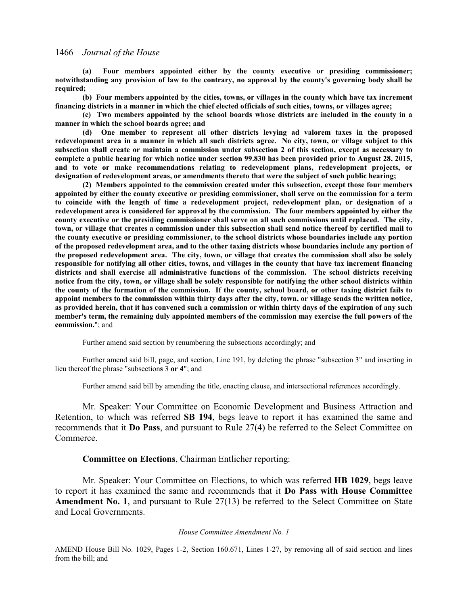**(a) Four members appointed either by the county executive or presiding commissioner; notwithstanding any provision of law to the contrary, no approval by the county's governing body shall be required;** 

**(b) Four members appointed by the cities, towns, or villages in the county which have tax increment financing districts in a manner in which the chief elected officials of such cities, towns, or villages agree;** 

**(c) Two members appointed by the school boards whose districts are included in the county in a manner in which the school boards agree; and** 

**(d) One member to represent all other districts levying ad valorem taxes in the proposed redevelopment area in a manner in which all such districts agree. No city, town, or village subject to this subsection shall create or maintain a commission under subsection 2 of this section, except as necessary to complete a public hearing for which notice under section 99.830 has been provided prior to August 28, 2015, and to vote or make recommendations relating to redevelopment plans, redevelopment projects, or designation of redevelopment areas, or amendments thereto that were the subject of such public hearing;** 

**(2) Members appointed to the commission created under this subsection, except those four members appointed by either the county executive or presiding commissioner, shall serve on the commission for a term to coincide with the length of time a redevelopment project, redevelopment plan, or designation of a redevelopment area is considered for approval by the commission. The four members appointed by either the county executive or the presiding commissioner shall serve on all such commissions until replaced. The city, town, or village that creates a commission under this subsection shall send notice thereof by certified mail to the county executive or presiding commissioner, to the school districts whose boundaries include any portion of the proposed redevelopment area, and to the other taxing districts whose boundaries include any portion of the proposed redevelopment area. The city, town, or village that creates the commission shall also be solely responsible for notifying all other cities, towns, and villages in the county that have tax increment financing districts and shall exercise all administrative functions of the commission. The school districts receiving notice from the city, town, or village shall be solely responsible for notifying the other school districts within the county of the formation of the commission. If the county, school board, or other taxing district fails to appoint members to the commission within thirty days after the city, town, or village sends the written notice, as provided herein, that it has convened such a commission or within thirty days of the expiration of any such member's term, the remaining duly appointed members of the commission may exercise the full powers of the commission.**"; and

Further amend said section by renumbering the subsections accordingly; and

Further amend said bill, page, and section, Line 191, by deleting the phrase "subsection 3" and inserting in lieu thereof the phrase "subsection**s** 3 **or 4**"; and

Further amend said bill by amending the title, enacting clause, and intersectional references accordingly.

Mr. Speaker: Your Committee on Economic Development and Business Attraction and Retention, to which was referred **SB 194**, begs leave to report it has examined the same and recommends that it **Do Pass**, and pursuant to Rule 27(4) be referred to the Select Committee on Commerce.

## **Committee on Elections**, Chairman Entlicher reporting:

Mr. Speaker: Your Committee on Elections, to which was referred **HB 1029**, begs leave to report it has examined the same and recommends that it **Do Pass with House Committee Amendment No. 1**, and pursuant to Rule 27(13) be referred to the Select Committee on State and Local Governments.

### *House Committee Amendment No. 1*

AMEND House Bill No. 1029, Pages 1-2, Section 160.671, Lines 1-27, by removing all of said section and lines from the bill; and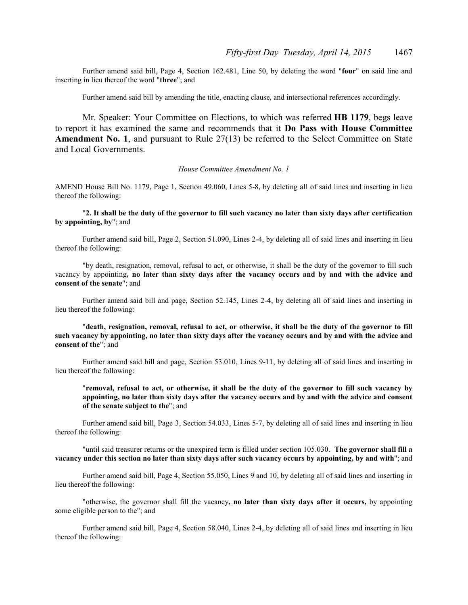Further amend said bill, Page 4, Section 162.481, Line 50, by deleting the word "**four**" on said line and inserting in lieu thereof the word "**three**"; and

Further amend said bill by amending the title, enacting clause, and intersectional references accordingly.

Mr. Speaker: Your Committee on Elections, to which was referred **HB 1179**, begs leave to report it has examined the same and recommends that it **Do Pass with House Committee** Amendment No. 1, and pursuant to Rule 27(13) be referred to the Select Committee on State and Local Governments.

#### *House Committee Amendment No. 1*

AMEND House Bill No. 1179, Page 1, Section 49.060, Lines 5-8, by deleting all of said lines and inserting in lieu thereof the following:

"**2. It shall be the duty of the governor to fill such vacancy no later than sixty days after certification by appointing, by**"; and

Further amend said bill, Page 2, Section 51.090, Lines 2-4, by deleting all of said lines and inserting in lieu thereof the following:

"by death, resignation, removal, refusal to act, or otherwise, it shall be the duty of the governor to fill such vacancy by appointing**, no later than sixty days after the vacancy occurs and by and with the advice and consent of the senate**"; and

Further amend said bill and page, Section 52.145, Lines 2-4, by deleting all of said lines and inserting in lieu thereof the following:

"**death, resignation, removal, refusal to act, or otherwise, it shall be the duty of the governor to fill such vacancy by appointing, no later than sixty days after the vacancy occurs and by and with the advice and consent of the**"; and

Further amend said bill and page, Section 53.010, Lines 9-11, by deleting all of said lines and inserting in lieu thereof the following:

"**removal, refusal to act, or otherwise, it shall be the duty of the governor to fill such vacancy by appointing, no later than sixty days after the vacancy occurs and by and with the advice and consent of the senate subject to the**"; and

Further amend said bill, Page 3, Section 54.033, Lines 5-7, by deleting all of said lines and inserting in lieu thereof the following:

"until said treasurer returns or the unexpired term is filled under section 105.030. **The governor shall fill a vacancy under this section no later than sixty days after such vacancy occurs by appointing, by and with**"; and

Further amend said bill, Page 4, Section 55.050, Lines 9 and 10, by deleting all of said lines and inserting in lieu thereof the following:

"otherwise, the governor shall fill the vacancy**, no later than sixty days after it occurs,** by appointing some eligible person to the"; and

Further amend said bill, Page 4, Section 58.040, Lines 2-4, by deleting all of said lines and inserting in lieu thereof the following: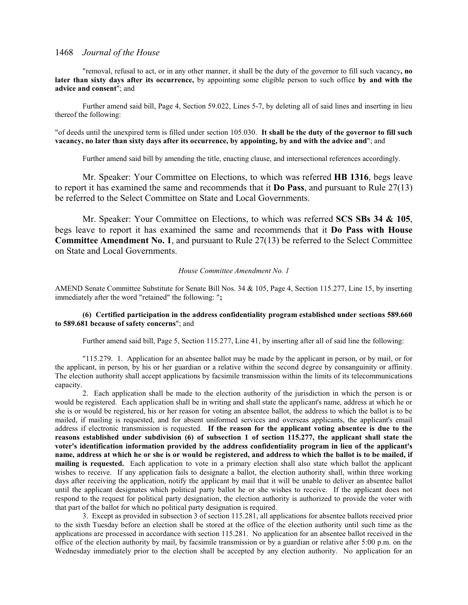"removal, refusal to act, or in any other manner, it shall be the duty of the governor to fill such vacancy**, no later than sixty days after its occurrence,** by appointing some eligible person to such office **by and with the advice and consent**"; and

Further amend said bill, Page 4, Section 59.022, Lines 5-7, by deleting all of said lines and inserting in lieu thereof the following:

"of deeds until the unexpired term is filled under section 105.030. **It shall be the duty of the governor to fill such vacancy, no later than sixty days after its occurrence, by appointing, by and with the advice and**"; and

Further amend said bill by amending the title, enacting clause, and intersectional references accordingly.

Mr. Speaker: Your Committee on Elections, to which was referred **HB 1316**, begs leave to report it has examined the same and recommends that it **Do Pass**, and pursuant to Rule 27(13) be referred to the Select Committee on State and Local Governments.

Mr. Speaker: Your Committee on Elections, to which was referred **SCS SBs 34 & 105**, begs leave to report it has examined the same and recommends that it **Do Pass with House Committee Amendment No. 1**, and pursuant to Rule 27(13) be referred to the Select Committee on State and Local Governments.

#### *House Committee Amendment No. 1*

AMEND Senate Committee Substitute for Senate Bill Nos. 34 & 105, Page 4, Section 115.277, Line 15, by inserting immediately after the word "retained" the following: "**;**

## **(6) Certified participation in the address confidentiality program established under sections 589.660 to 589.681 because of safety concerns**"; and

Further amend said bill, Page 5, Section 115.277, Line 41, by inserting after all of said line the following:

"115.279. 1. Application for an absentee ballot may be made by the applicant in person, or by mail, or for the applicant, in person, by his or her guardian or a relative within the second degree by consanguinity or affinity. The election authority shall accept applications by facsimile transmission within the limits of its telecommunications capacity.

2. Each application shall be made to the election authority of the jurisdiction in which the person is or would be registered. Each application shall be in writing and shall state the applicant's name, address at which he or she is or would be registered, his or her reason for voting an absentee ballot, the address to which the ballot is to be mailed, if mailing is requested, and for absent uniformed services and overseas applicants, the applicant's email address if electronic transmission is requested. **If the reason for the applicant voting absentee is due to the reasons established under subdivision (6) of subsection 1 of section 115.277, the applicant shall state the voter's identification information provided by the address confidentiality program in lieu of the applicant's name, address at which he or she is or would be registered, and address to which the ballot is to be mailed, if mailing is requested.** Each application to vote in a primary election shall also state which ballot the applicant wishes to receive. If any application fails to designate a ballot, the election authority shall, within three working days after receiving the application, notify the applicant by mail that it will be unable to deliver an absentee ballot until the applicant designates which political party ballot he or she wishes to receive. If the applicant does not respond to the request for political party designation, the election authority is authorized to provide the voter with that part of the ballot for which no political party designation is required.

3. Except as provided in subsection 3 of section 115.281, all applications for absentee ballots received prior to the sixth Tuesday before an election shall be stored at the office of the election authority until such time as the applications are processed in accordance with section 115.281. No application for an absentee ballot received in the office of the election authority by mail, by facsimile transmission or by a guardian or relative after 5:00 p.m. on the Wednesday immediately prior to the election shall be accepted by any election authority. No application for an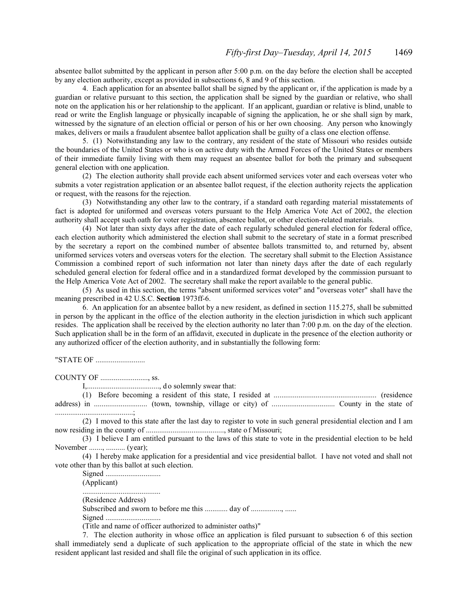absentee ballot submitted by the applicant in person after 5:00 p.m. on the day before the election shall be accepted by any election authority, except as provided in subsections 6, 8 and 9 of this section.

4. Each application for an absentee ballot shall be signed by the applicant or, if the application is made by a guardian or relative pursuant to this section, the application shall be signed by the guardian or relative, who shall note on the application his or her relationship to the applicant. If an applicant, guardian or relative is blind, unable to read or write the English language or physically incapable of signing the application, he or she shall sign by mark, witnessed by the signature of an election official or person of his or her own choosing. Any person who knowingly makes, delivers or mails a fraudulent absentee ballot application shall be guilty of a class one election offense.

5. (1) Notwithstanding any law to the contrary, any resident of the state of Missouri who resides outside the boundaries of the United States or who is on active duty with the Armed Forces of the United States or members of their immediate family living with them may request an absentee ballot for both the primary and subsequent general election with one application.

(2) The election authority shall provide each absent uniformed services voter and each overseas voter who submits a voter registration application or an absentee ballot request, if the election authority rejects the application or request, with the reasons for the rejection.

(3) Notwithstanding any other law to the contrary, if a standard oath regarding material misstatements of fact is adopted for uniformed and overseas voters pursuant to the Help America Vote Act of 2002, the election authority shall accept such oath for voter registration, absentee ballot, or other election-related materials.

(4) Not later than sixty days after the date of each regularly scheduled general election for federal office, each election authority which administered the election shall submit to the secretary of state in a format prescribed by the secretary a report on the combined number of absentee ballots transmitted to, and returned by, absent uniformed services voters and overseas voters for the election. The secretary shall submit to the Election Assistance Commission a combined report of such information not later than ninety days after the date of each regularly scheduled general election for federal office and in a standardized format developed by the commission pursuant to the Help America Vote Act of 2002. The secretary shall make the report available to the general public.

(5) As used in this section, the terms "absent uniformed services voter" and "overseas voter" shall have the meaning prescribed in 42 U.S.C. **Section** 1973ff-6.

6. An application for an absentee ballot by a new resident, as defined in section 115.275, shall be submitted in person by the applicant in the office of the election authority in the election jurisdiction in which such applicant resides. The application shall be received by the election authority no later than 7:00 p.m. on the day of the election. Such application shall be in the form of an affidavit, executed in duplicate in the presence of the election authority or any authorized officer of the election authority, and in substantially the following form:

"STATE OF ..........................

COUNTY OF ........................., ss.

I,......................................, d o solemnly swear that:

(1) Before becoming a resident of this state, I resided at ...................................................... (residence address) in ............................ (town, township, village or city) of ................................. County in the state of .........................................;

(2) I moved to this state after the last day to register to vote in such general presidential election and I am now residing in the county of ........................................., state o f Missouri;

(3) I believe I am entitled pursuant to the laws of this state to vote in the presidential election to be held November ......., .......... (year);

(4) I hereby make application for a presidential and vice presidential ballot. I have not voted and shall not vote other than by this ballot at such election.

Signed .............................

(Applicant)

......................................... (Residence Address)

Subscribed and sworn to before me this ............. day of ................, ......

Signed .............................

(Title and name of officer authorized to administer oaths)"

7. The election authority in whose office an application is filed pursuant to subsection 6 of this section shall immediately send a duplicate of such application to the appropriate official of the state in which the new resident applicant last resided and shall file the original of such application in its office.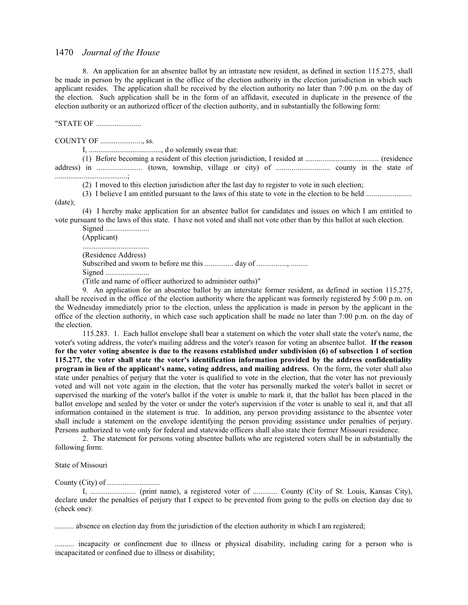8. An application for an absentee ballot by an intrastate new resident, as defined in section 115.275, shall be made in person by the applicant in the office of the election authority in the election jurisdiction in which such applicant resides. The application shall be received by the election authority no later than 7:00 p.m. on the day of the election. Such application shall be in the form of an affidavit, executed in duplicate in the presence of the election authority or an authorized officer of the election authority, and in substantially the following form:

"STATE OF ........................

COUNTY OF ......................, ss.

I, ......................................, d o solemnly swear that:

(1) Before becoming a resident of this election jurisdiction, I resided at ...................................... (residence address) in ........................ (town, township, village or city) of ............................ county in the state of ......................................;

(2) I moved to this election jurisdiction after the last day to register to vote in such election;

(3) I believe I am entitled pursuant to the laws of this state to vote in the election to be held ........................

(date);

(4) I hereby make application for an absentee ballot for candidates and issues on which I am entitled to vote pursuant to the laws of this state. I have not voted and shall not vote other than by this ballot at such election.

Signed ....................... (Applicant) ................................... (Residence Address) Subscribed and sworn to before me this ................ day of ................, ......... Signed ....................... (Title and name of officer authorized to administer oaths)"

9. An application for an absentee ballot by an interstate former resident, as defined in section 115.275, shall be received in the office of the election authority where the applicant was formerly registered by 5:00 p.m. on the Wednesday immediately prior to the election, unless the application is made in person by the applicant in the office of the election authority, in which case such application shall be made no later than 7:00 p.m. on the day of the election.

115.283. 1. Each ballot envelope shall bear a statement on which the voter shall state the voter's name, the voter's voting address, the voter's mailing address and the voter's reason for voting an absentee ballot. **If the reason for the voter voting absentee is due to the reasons established under subdivision (6) of subsection 1 of section 115.277, the voter shall state the voter's identification information provided by the address confidentiality program in lieu of the applicant's name, voting address, and mailing address.** On the form, the voter shall also state under penalties of perjury that the voter is qualified to vote in the election, that the voter has not previously voted and will not vote again in the election, that the voter has personally marked the voter's ballot in secret or supervised the marking of the voter's ballot if the voter is unable to mark it, that the ballot has been placed in the ballot envelope and sealed by the voter or under the voter's supervision if the voter is unable to seal it, and that all information contained in the statement is true. In addition, any person providing assistance to the absentee voter shall include a statement on the envelope identifying the person providing assistance under penalties of perjury. Persons authorized to vote only for federal and statewide officers shall also state their former Missouri residence.

2. The statement for persons voting absentee ballots who are registered voters shall be in substantially the following form:

#### State of Missouri

County (City) of ............................

I, ........................ (print name), a registered voter of ............. County (City of St. Louis, Kansas City), declare under the penalties of perjury that I expect to be prevented from going to the polls on election day due to (check one):

.......... absence on election day from the jurisdiction of the election authority in which I am registered;

.......... incapacity or confinement due to illness or physical disability, including caring for a person who is incapacitated or confined due to illness or disability;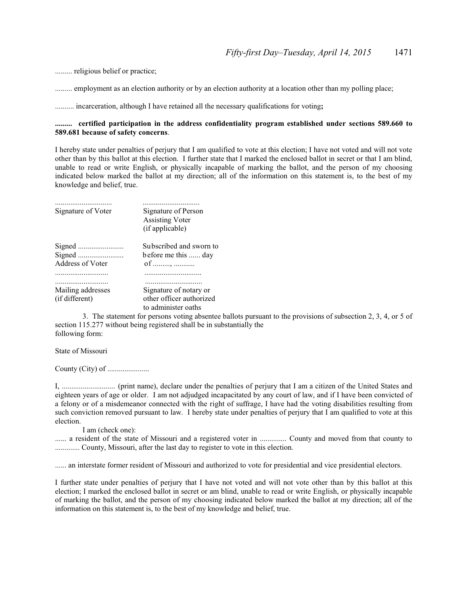......... religious belief or practice;

......... employment as an election authority or by an election authority at a location other than my polling place;

.......... incarceration, although I have retained all the necessary qualifications for voting**;**

## **......... certified participation in the address confidentiality program established under sections 589.660 to 589.681 because of safety concerns**.

I hereby state under penalties of perjury that I am qualified to vote at this election; I have not voted and will not vote other than by this ballot at this election. I further state that I marked the enclosed ballot in secret or that I am blind, unable to read or write English, or physically incapable of marking the ballot, and the person of my choosing indicated below marked the ballot at my direction; all of the information on this statement is, to the best of my knowledge and belief, true.

| Signature of Voter                  | Signature of Person<br><b>Assisting Voter</b><br>(if applicable)          |
|-------------------------------------|---------------------------------------------------------------------------|
| Address of Voter                    | Subscribed and sworn to<br>before me this  day<br>of ,                    |
|                                     |                                                                           |
| Mailing addresses<br>(if different) | Signature of notary or<br>other officer authorized<br>to administer oaths |

3. The statement for persons voting absentee ballots pursuant to the provisions of subsection 2, 3, 4, or 5 of section 115.277 without being registered shall be in substantially the following form:

State of Missouri

County (City) of ......................

I, ............................ (print name), declare under the penalties of perjury that I am a citizen of the United States and eighteen years of age or older. I am not adjudged incapacitated by any court of law, and if I have been convicted of a felony or of a misdemeanor connected with the right of suffrage, I have had the voting disabilities resulting from such conviction removed pursuant to law. I hereby state under penalties of perjury that I am qualified to vote at this election.

I am (check one):

...... a resident of the state of Missouri and a registered voter in .............. County and moved from that county to ............. County, Missouri, after the last day to register to vote in this election.

...... an interstate former resident of Missouri and authorized to vote for presidential and vice presidential electors.

I further state under penalties of perjury that I have not voted and will not vote other than by this ballot at this election; I marked the enclosed ballot in secret or am blind, unable to read or write English, or physically incapable of marking the ballot, and the person of my choosing indicated below marked the ballot at my direction; all of the information on this statement is, to the best of my knowledge and belief, true.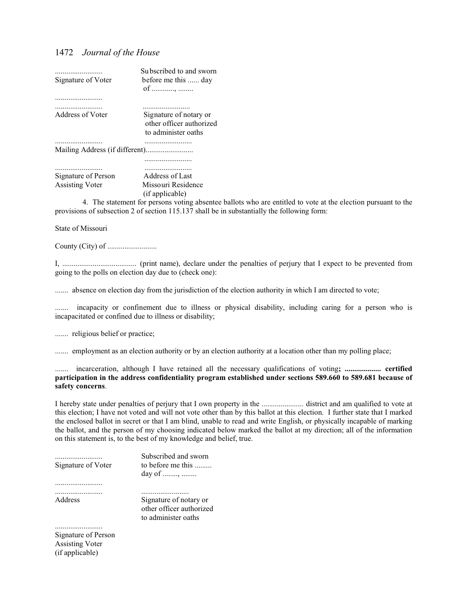| <br>Signature of Voter | Subscribed to and sworn<br>before me this  day<br>of ,                    |
|------------------------|---------------------------------------------------------------------------|
|                        |                                                                           |
| <br>Address of Voter   | Signature of notary or<br>other officer authorized<br>to administer oaths |
|                        |                                                                           |
|                        |                                                                           |
|                        |                                                                           |
|                        |                                                                           |
| Signature of Person    | Address of Last                                                           |
| <b>Assisting Voter</b> | Missouri Residence<br>(if applicable)                                     |
|                        |                                                                           |

4. The statement for persons voting absentee ballots who are entitled to vote at the election pursuant to the provisions of subsection 2 of section 115.137 shall be in substantially the following form:

State of Missouri

County (City) of ..........................

I, ....................................... (print name), declare under the penalties of perjury that I expect to be prevented from going to the polls on election day due to (check one):

....... absence on election day from the jurisdiction of the election authority in which I am directed to vote;

....... incapacity or confinement due to illness or physical disability, including caring for a person who is incapacitated or confined due to illness or disability;

....... religious belief or practice;

....... employment as an election authority or by an election authority at a location other than my polling place;

....... incarceration, although I have retained all the necessary qualifications of voting**; ................... certified participation in the address confidentiality program established under sections 589.660 to 589.681 because of safety concerns**.

I hereby state under penalties of perjury that I own property in the ...................... district and am qualified to vote at this election; I have not voted and will not vote other than by this ballot at this election. I further state that I marked the enclosed ballot in secret or that I am blind, unable to read and write English, or physically incapable of marking the ballot, and the person of my choosing indicated below marked the ballot at my direction; all of the information on this statement is, to the best of my knowledge and belief, true.

| Signature of Voter | Subscribed and sworn<br>to before me this<br>day of ,                     |
|--------------------|---------------------------------------------------------------------------|
|                    |                                                                           |
| Address            | Signature of notary or<br>other officer authorized<br>to administer oaths |
|                    |                                                                           |
| $C_{i\alpha}$      |                                                                           |

Signature of Person Assisting Voter (if applicable)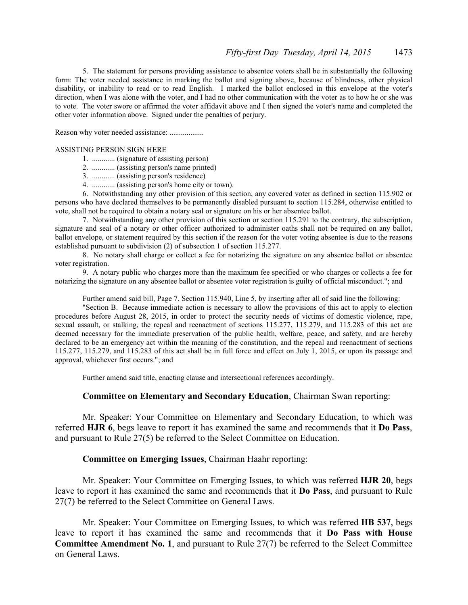5. The statement for persons providing assistance to absentee voters shall be in substantially the following form: The voter needed assistance in marking the ballot and signing above, because of blindness, other physical disability, or inability to read or to read English. I marked the ballot enclosed in this envelope at the voter's direction, when I was alone with the voter, and I had no other communication with the voter as to how he or she was to vote. The voter swore or affirmed the voter affidavit above and I then signed the voter's name and completed the other voter information above. Signed under the penalties of perjury.

Reason why voter needed assistance: ..................

#### ASSISTING PERSON SIGN HERE

- 1. ............ (signature of assisting person)
- 2. ............ (assisting person's name printed)
- 3. ............ (assisting person's residence)
- 4. ............ (assisting person's home city or town).

6. Notwithstanding any other provision of this section, any covered voter as defined in section 115.902 or persons who have declared themselves to be permanently disabled pursuant to section 115.284, otherwise entitled to vote, shall not be required to obtain a notary seal or signature on his or her absentee ballot.

7. Notwithstanding any other provision of this section or section 115.291 to the contrary, the subscription, signature and seal of a notary or other officer authorized to administer oaths shall not be required on any ballot, ballot envelope, or statement required by this section if the reason for the voter voting absentee is due to the reasons established pursuant to subdivision (2) of subsection 1 of section 115.277.

8. No notary shall charge or collect a fee for notarizing the signature on any absentee ballot or absentee voter registration.

9. A notary public who charges more than the maximum fee specified or who charges or collects a fee for notarizing the signature on any absentee ballot or absentee voter registration is guilty of official misconduct."; and

Further amend said bill, Page 7, Section 115.940, Line 5, by inserting after all of said line the following:

"Section B. Because immediate action is necessary to allow the provisions of this act to apply to election procedures before August 28, 2015, in order to protect the security needs of victims of domestic violence, rape, sexual assault, or stalking, the repeal and reenactment of sections 115.277, 115.279, and 115.283 of this act are deemed necessary for the immediate preservation of the public health, welfare, peace, and safety, and are hereby declared to be an emergency act within the meaning of the constitution, and the repeal and reenactment of sections 115.277, 115.279, and 115.283 of this act shall be in full force and effect on July 1, 2015, or upon its passage and approval, whichever first occurs."; and

Further amend said title, enacting clause and intersectional references accordingly.

## **Committee on Elementary and Secondary Education**, Chairman Swan reporting:

Mr. Speaker: Your Committee on Elementary and Secondary Education, to which was referred **HJR 6**, begs leave to report it has examined the same and recommends that it **Do Pass**, and pursuant to Rule 27(5) be referred to the Select Committee on Education.

## **Committee on Emerging Issues**, Chairman Haahr reporting:

Mr. Speaker: Your Committee on Emerging Issues, to which was referred **HJR 20**, begs leave to report it has examined the same and recommends that it **Do Pass**, and pursuant to Rule 27(7) be referred to the Select Committee on General Laws.

Mr. Speaker: Your Committee on Emerging Issues, to which was referred **HB 537**, begs leave to report it has examined the same and recommends that it **Do Pass with House Committee Amendment No. 1**, and pursuant to Rule 27(7) be referred to the Select Committee on General Laws.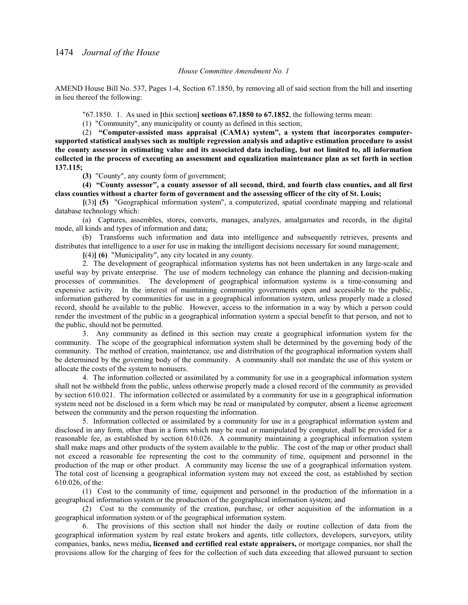### *House Committee Amendment No. 1*

AMEND House Bill No. 537, Pages 1-4, Section 67.1850, by removing all of said section from the bill and inserting in lieu thereof the following:

"67.1850. 1. As used in **[**this section**] sections 67.1850 to 67.1852**, the following terms mean:

(1) "Community", any municipality or county as defined in this section;

(2) **"Computer-assisted mass appraisal (CAMA) system", a system that incorporates computersupported statistical analyses such as multiple regression analysis and adaptive estimation procedure to assist the county assessor in estimating value and its associated data including, but not limited to, all information collected in the process of executing an assessment and equalization maintenance plan as set forth in section 137.115;**

**(3)** "County", any county form of government;

**(4) "County assessor", a county assessor of all second, third, and fourth class counties, and all first class counties without a charter form of government and the assessing officer of the city of St. Louis;**

**[**(3)**] (5)** "Geographical information system", a computerized, spatial coordinate mapping and relational database technology which:

(a) Captures, assembles, stores, converts, manages, analyzes, amalgamates and records, in the digital mode, all kinds and types of information and data;

(b) Transforms such information and data into intelligence and subsequently retrieves, presents and distributes that intelligence to a user for use in making the intelligent decisions necessary for sound management;

**[**(4)**] (6)** "Municipality", any city located in any county.

2. The development of geographical information systems has not been undertaken in any large-scale and useful way by private enterprise. The use of modern technology can enhance the planning and decision-making processes of communities. The development of geographical information systems is a time-consuming and expensive activity. In the interest of maintaining community governments open and accessible to the public, information gathered by communities for use in a geographical information system, unless properly made a closed record, should be available to the public. However, access to the information in a way by which a person could render the investment of the public in a geographical information system a special benefit to that person, and not to the public, should not be permitted.

3. Any community as defined in this section may create a geographical information system for the community. The scope of the geographical information system shall be determined by the governing body of the community. The method of creation, maintenance, use and distribution of the geographical information system shall be determined by the governing body of the community. A community shall not mandate the use of this system or allocate the costs of the system to nonusers.

4. The information collected or assimilated by a community for use in a geographical information system shall not be withheld from the public, unless otherwise properly made a closed record of the community as provided by section 610.021. The information collected or assimilated by a community for use in a geographical information system need not be disclosed in a form which may be read or manipulated by computer, absent a license agreement between the community and the person requesting the information.

5. Information collected or assimilated by a community for use in a geographical information system and disclosed in any form, other than in a form which may be read or manipulated by computer, shall be provided for a reasonable fee, as established by section 610.026. A community maintaining a geographical information system shall make maps and other products of the system available to the public. The cost of the map or other product shall not exceed a reasonable fee representing the cost to the community of time, equipment and personnel in the production of the map or other product. A community may license the use of a geographical information system. The total cost of licensing a geographical information system may not exceed the cost, as established by section 610.026, of the:

(1) Cost to the community of time, equipment and personnel in the production of the information in a geographical information system or the production of the geographical information system; and

(2) Cost to the community of the creation, purchase, or other acquisition of the information in a geographical information system or of the geographical information system.

6. The provisions of this section shall not hinder the daily or routine collection of data from the geographical information system by real estate brokers and agents, title collectors, developers, surveyors, utility companies, banks, news media**, licensed and certified real estate appraisers,** or mortgage companies, nor shall the provisions allow for the charging of fees for the collection of such data exceeding that allowed pursuant to section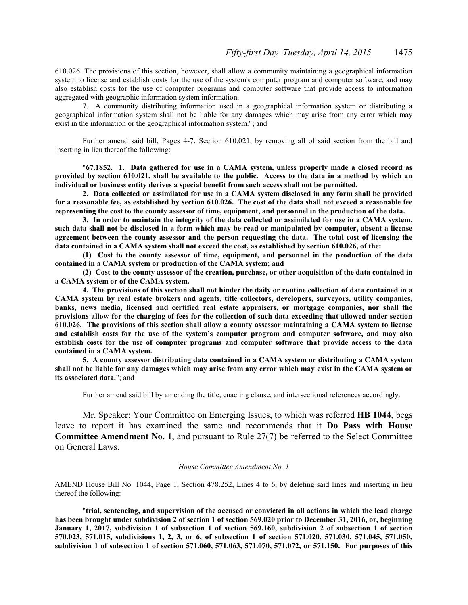610.026. The provisions of this section, however, shall allow a community maintaining a geographical information system to license and establish costs for the use of the system's computer program and computer software, and may also establish costs for the use of computer programs and computer software that provide access to information aggregated with geographic information system information.

7. A community distributing information used in a geographical information system or distributing a geographical information system shall not be liable for any damages which may arise from any error which may exist in the information or the geographical information system."; and

Further amend said bill, Pages 4-7, Section 610.021, by removing all of said section from the bill and inserting in lieu thereof the following:

"**67.1852. 1. Data gathered for use in a CAMA system, unless properly made a closed record as provided by section 610.021, shall be available to the public. Access to the data in a method by which an individual or business entity derives a special benefit from such access shall not be permitted.**

**2. Data collected or assimilated for use in a CAMA system disclosed in any form shall be provided for a reasonable fee, as established by section 610.026. The cost of the data shall not exceed a reasonable fee representing the cost to the county assessor of time, equipment, and personnel in the production of the data.**

**3. In order to maintain the integrity of the data collected or assimilated for use in a CAMA system, such data shall not be disclosed in a form which may be read or manipulated by computer, absent a license agreement between the county assessor and the person requesting the data. The total cost of licensing the data contained in a CAMA system shall not exceed the cost, as established by section 610.026, of the:**

**(1) Cost to the county assessor of time, equipment, and personnel in the production of the data contained in a CAMA system or production of the CAMA system; and**

**(2) Cost to the county assessor of the creation, purchase, or other acquisition of the data contained in a CAMA system or of the CAMA system.**

**4. The provisions of this section shall not hinder the daily or routine collection of data contained in a CAMA system by real estate brokers and agents, title collectors, developers, surveyors, utility companies, banks, news media, licensed and certified real estate appraisers, or mortgage companies, nor shall the provisions allow for the charging of fees for the collection of such data exceeding that allowed under section 610.026. The provisions of this section shall allow a county assessor maintaining a CAMA system to license and establish costs for the use of the system's computer program and computer software, and may also establish costs for the use of computer programs and computer software that provide access to the data contained in a CAMA system.**

**5. A county assessor distributing data contained in a CAMA system or distributing a CAMA system shall not be liable for any damages which may arise from any error which may exist in the CAMA system or its associated data.**"; and

Further amend said bill by amending the title, enacting clause, and intersectional references accordingly.

Mr. Speaker: Your Committee on Emerging Issues, to which was referred **HB 1044**, begs leave to report it has examined the same and recommends that it **Do Pass with House Committee Amendment No. 1**, and pursuant to Rule 27(7) be referred to the Select Committee on General Laws.

### *House Committee Amendment No. 1*

AMEND House Bill No. 1044, Page 1, Section 478.252, Lines 4 to 6, by deleting said lines and inserting in lieu thereof the following:

"**trial, sentencing, and supervision of the accused or convicted in all actions in which the lead charge has been brought under subdivision 2 of section 1 of section 569.020 prior to December 31, 2016, or, beginning January 1, 2017, subdivision 1 of subsection 1 of section 569.160, subdivision 2 of subsection 1 of section 570.023, 571.015, subdivisions 1, 2, 3, or 6, of subsection 1 of section 571.020, 571.030, 571.045, 571.050, subdivision 1 of subsection 1 of section 571.060, 571.063, 571.070, 571.072, or 571.150. For purposes of this**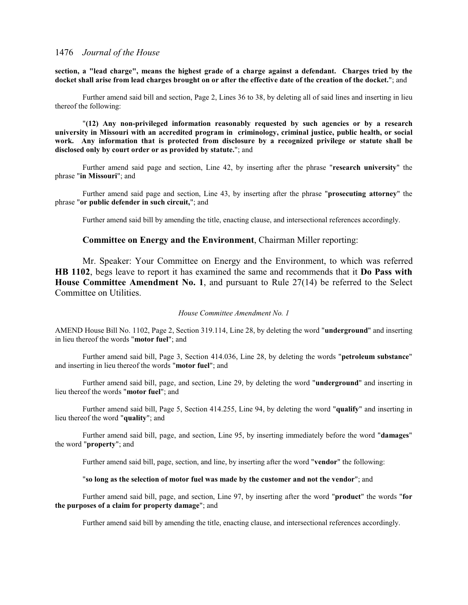**section, a "lead charge", means the highest grade of a charge against a defendant. Charges tried by the docket shall arise from lead charges brought on or after the effective date of the creation of the docket.**"; and

Further amend said bill and section, Page 2, Lines 36 to 38, by deleting all of said lines and inserting in lieu thereof the following:

"**(12) Any non-privileged information reasonably requested by such agencies or by a research university in Missouri with an accredited program in criminology, criminal justice, public health, or social work. Any information that is protected from disclosure by a recognized privilege or statute shall be disclosed only by court order or as provided by statute.**"; and

Further amend said page and section, Line 42, by inserting after the phrase "**research university**" the phrase "**in Missouri**"; and

Further amend said page and section, Line 43, by inserting after the phrase "**prosecuting attorney**" the phrase "**or public defender in such circuit,**"; and

Further amend said bill by amending the title, enacting clause, and intersectional references accordingly.

## **Committee on Energy and the Environment**, Chairman Miller reporting:

Mr. Speaker: Your Committee on Energy and the Environment, to which was referred **HB 1102**, begs leave to report it has examined the same and recommends that it **Do Pass with House Committee Amendment No. 1**, and pursuant to Rule 27(14) be referred to the Select Committee on Utilities.

#### *House Committee Amendment No. 1*

AMEND House Bill No. 1102, Page 2, Section 319.114, Line 28, by deleting the word "**underground**" and inserting in lieu thereof the words "**motor fuel**"; and

Further amend said bill, Page 3, Section 414.036, Line 28, by deleting the words "**petroleum substance**" and inserting in lieu thereof the words "**motor fuel**"; and

Further amend said bill, page, and section, Line 29, by deleting the word "**underground**" and inserting in lieu thereof the words "**motor fuel**"; and

Further amend said bill, Page 5, Section 414.255, Line 94, by deleting the word "**qualify**" and inserting in lieu thereof the word "**quality**"; and

Further amend said bill, page, and section, Line 95, by inserting immediately before the word "**damages**" the word "**property**"; and

Further amend said bill, page, section, and line, by inserting after the word "**vendor**" the following:

### "**so long as the selection of motor fuel was made by the customer and not the vendor**"; and

Further amend said bill, page, and section, Line 97, by inserting after the word "**product**" the words "**for the purposes of a claim for property damage**"; and

Further amend said bill by amending the title, enacting clause, and intersectional references accordingly.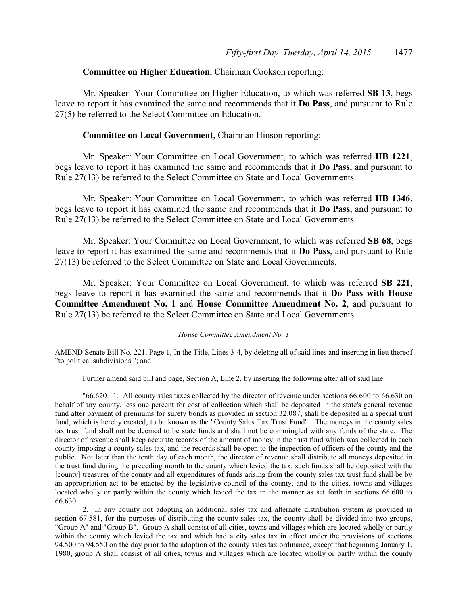## **Committee on Higher Education**, Chairman Cookson reporting:

Mr. Speaker: Your Committee on Higher Education, to which was referred **SB 13**, begs leave to report it has examined the same and recommends that it **Do Pass**, and pursuant to Rule 27(5) be referred to the Select Committee on Education.

## **Committee on Local Government**, Chairman Hinson reporting:

Mr. Speaker: Your Committee on Local Government, to which was referred **HB 1221**, begs leave to report it has examined the same and recommends that it **Do Pass**, and pursuant to Rule 27(13) be referred to the Select Committee on State and Local Governments.

Mr. Speaker: Your Committee on Local Government, to which was referred **HB 1346**, begs leave to report it has examined the same and recommends that it **Do Pass**, and pursuant to Rule 27(13) be referred to the Select Committee on State and Local Governments.

Mr. Speaker: Your Committee on Local Government, to which was referred **SB 68**, begs leave to report it has examined the same and recommends that it **Do Pass**, and pursuant to Rule 27(13) be referred to the Select Committee on State and Local Governments.

Mr. Speaker: Your Committee on Local Government, to which was referred **SB 221**, begs leave to report it has examined the same and recommends that it **Do Pass with House Committee Amendment No. 1** and **House Committee Amendment No. 2**, and pursuant to Rule 27(13) be referred to the Select Committee on State and Local Governments.

#### *House Committee Amendment No. 1*

AMEND Senate Bill No. 221, Page 1, In the Title, Lines 3-4, by deleting all of said lines and inserting in lieu thereof "to political subdivisions."; and

Further amend said bill and page, Section A, Line 2, by inserting the following after all of said line:

"66.620. 1. All county sales taxes collected by the director of revenue under sections 66.600 to 66.630 on behalf of any county, less one percent for cost of collection which shall be deposited in the state's general revenue fund after payment of premiums for surety bonds as provided in section 32.087, shall be deposited in a special trust fund, which is hereby created, to be known as the "County Sales Tax Trust Fund". The moneys in the county sales tax trust fund shall not be deemed to be state funds and shall not be commingled with any funds of the state. The director of revenue shall keep accurate records of the amount of money in the trust fund which was collected in each county imposing a county sales tax, and the records shall be open to the inspection of officers of the county and the public. Not later than the tenth day of each month, the director of revenue shall distribute all moneys deposited in the trust fund during the preceding month to the county which levied the tax; such funds shall be deposited with the **[**county**]** treasurer of the county and all expenditures of funds arising from the county sales tax trust fund shall be by an appropriation act to be enacted by the legislative council of the county, and to the cities, towns and villages located wholly or partly within the county which levied the tax in the manner as set forth in sections 66.600 to 66.630.

2. In any county not adopting an additional sales tax and alternate distribution system as provided in section 67.581, for the purposes of distributing the county sales tax, the county shall be divided into two groups, "Group A" and "Group B". Group A shall consist of all cities, towns and villages which are located wholly or partly within the county which levied the tax and which had a city sales tax in effect under the provisions of sections 94.500 to 94.550 on the day prior to the adoption of the county sales tax ordinance, except that beginning January 1, 1980, group A shall consist of all cities, towns and villages which are located wholly or partly within the county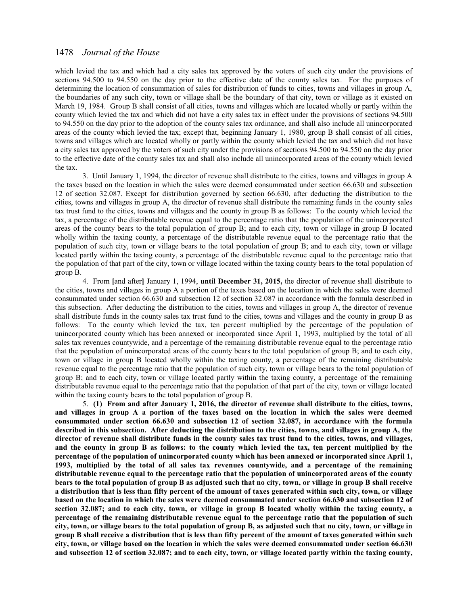which levied the tax and which had a city sales tax approved by the voters of such city under the provisions of sections 94.500 to 94.550 on the day prior to the effective date of the county sales tax. For the purposes of determining the location of consummation of sales for distribution of funds to cities, towns and villages in group A, the boundaries of any such city, town or village shall be the boundary of that city, town or village as it existed on March 19, 1984. Group B shall consist of all cities, towns and villages which are located wholly or partly within the county which levied the tax and which did not have a city sales tax in effect under the provisions of sections 94.500 to 94.550 on the day prior to the adoption of the county sales tax ordinance, and shall also include all unincorporated areas of the county which levied the tax; except that, beginning January 1, 1980, group B shall consist of all cities, towns and villages which are located wholly or partly within the county which levied the tax and which did not have a city sales tax approved by the voters of such city under the provisions of sections 94.500 to 94.550 on the day prior to the effective date of the county sales tax and shall also include all unincorporated areas of the county which levied the tax.

3. Until January 1, 1994, the director of revenue shall distribute to the cities, towns and villages in group A the taxes based on the location in which the sales were deemed consummated under section 66.630 and subsection 12 of section 32.087. Except for distribution governed by section 66.630, after deducting the distribution to the cities, towns and villages in group A, the director of revenue shall distribute the remaining funds in the county sales tax trust fund to the cities, towns and villages and the county in group B as follows: To the county which levied the tax, a percentage of the distributable revenue equal to the percentage ratio that the population of the unincorporated areas of the county bears to the total population of group B; and to each city, town or village in group B located wholly within the taxing county, a percentage of the distributable revenue equal to the percentage ratio that the population of such city, town or village bears to the total population of group B; and to each city, town or village located partly within the taxing county, a percentage of the distributable revenue equal to the percentage ratio that the population of that part of the city, town or village located within the taxing county bears to the total population of group B.

4. From **[**and after**]** January 1, 1994, **until December 31, 2015,** the director of revenue shall distribute to the cities, towns and villages in group A a portion of the taxes based on the location in which the sales were deemed consummated under section 66.630 and subsection 12 of section 32.087 in accordance with the formula described in this subsection. After deducting the distribution to the cities, towns and villages in group A, the director of revenue shall distribute funds in the county sales tax trust fund to the cities, towns and villages and the county in group B as follows: To the county which levied the tax, ten percent multiplied by the percentage of the population of unincorporated county which has been annexed or incorporated since April 1, 1993, multiplied by the total of all sales tax revenues countywide, and a percentage of the remaining distributable revenue equal to the percentage ratio that the population of unincorporated areas of the county bears to the total population of group B; and to each city, town or village in group B located wholly within the taxing county, a percentage of the remaining distributable revenue equal to the percentage ratio that the population of such city, town or village bears to the total population of group B; and to each city, town or village located partly within the taxing county, a percentage of the remaining distributable revenue equal to the percentage ratio that the population of that part of the city, town or village located within the taxing county bears to the total population of group B.

5. **(1) From and after January 1, 2016, the director of revenue shall distribute to the cities, towns, and villages in group A a portion of the taxes based on the location in which the sales were deemed consummated under section 66.630 and subsection 12 of section 32.087, in accordance with the formula described in this subsection. After deducting the distribution to the cities, towns, and villages in group A, the director of revenue shall distribute funds in the county sales tax trust fund to the cities, towns, and villages, and the county in group B as follows: to the county which levied the tax, ten percent multiplied by the percentage of the population of unincorporated county which has been annexed or incorporated since April 1, 1993, multiplied by the total of all sales tax revenues countywide, and a percentage of the remaining distributable revenue equal to the percentage ratio that the population of unincorporated areas of the county bears to the total population of group B as adjusted such that no city, town, or village in group B shall receive a distribution that is less than fifty percent of the amount of taxes generated within such city, town, or village based on the location in which the sales were deemed consummated under section 66.630 and subsection 12 of section 32.087; and to each city, town, or village in group B located wholly within the taxing county, a percentage of the remaining distributable revenue equal to the percentage ratio that the population of such city, town, or village bears to the total population of group B, as adjusted such that no city, town, or village in group B shall receive a distribution that is less than fifty percent of the amount of taxes generated within such city, town, or village based on the location in which the sales were deemed consummated under section 66.630 and subsection 12 of section 32.087; and to each city, town, or village located partly within the taxing county,**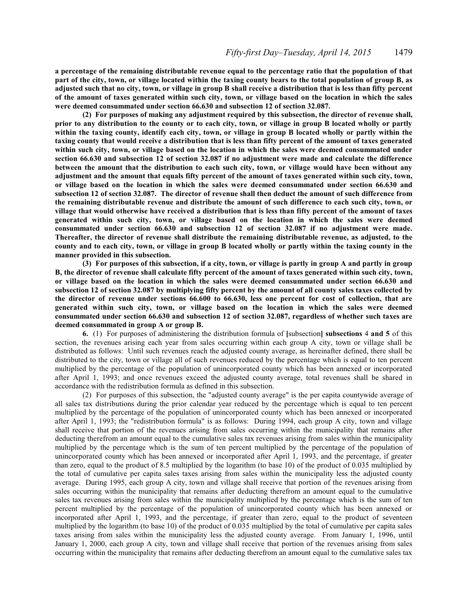**a percentage of the remaining distributable revenue equal to the percentage ratio that the population of that part of the city, town, or village located within the taxing county bears to the total population of group B, as adjusted such that no city, town, or village in group B shall receive a distribution that is less than fifty percent of the amount of taxes generated within such city, town, or village based on the location in which the sales were deemed consummated under section 66.630 and subsection 12 of section 32.087.**

**(2) For purposes of making any adjustment required by this subsection, the director of revenue shall, prior to any distribution to the county or to each city, town, or village in group B located wholly or partly within the taxing county, identify each city, town, or village in group B located wholly or partly within the taxing county that would receive a distribution that is less than fifty percent of the amount of taxes generated within such city, town, or village based on the location in which the sales were deemed consummated under section 66.630 and subsection 12 of section 32.087 if no adjustment were made and calculate the difference between the amount that the distribution to each such city, town, or village would have been without any adjustment and the amount that equals fifty percent of the amount of taxes generated within such city, town, or village based on the location in which the sales were deemed consummated under section 66.630 and subsection 12 of section 32.087. The director of revenue shall then deduct the amount of such difference from the remaining distributable revenue and distribute the amount of such difference to each such city, town, or village that would otherwise have received a distribution that is less than fifty percent of the amount of taxes generated within such city, town, or village based on the location in which the sales were deemed consummated under section 66.630 and subsection 12 of section 32.087 if no adjustment were made. Thereafter, the director of revenue shall distribute the remaining distributable revenue, as adjusted, to the county and to each city, town, or village in group B located wholly or partly within the taxing county in the manner provided in this subsection.**

**(3) For purposes of this subsection, if a city, town, or village is partly in group A and partly in group B, the director of revenue shall calculate fifty percent of the amount of taxes generated within such city, town, or village based on the location in which the sales were deemed consummated under section 66.630 and subsection 12 of section 32.087 by multiplying fifty percent by the amount of all county sales taxes collected by the director of revenue under sections 66.600 to 66.630, less one percent for cost of collection, that are generated within such city, town, or village based on the location in which the sales were deemed consummated under section 66.630 and subsection 12 of section 32.087, regardless of whether such taxes are deemed consummated in group A or group B.**

**6.** (1) For purposes of administering the distribution formula of **[**subsection**] subsections** 4 **and 5** of this section, the revenues arising each year from sales occurring within each group A city, town or village shall be distributed as follows: Until such revenues reach the adjusted county average, as hereinafter defined, there shall be distributed to the city, town or village all of such revenues reduced by the percentage which is equal to ten percent multiplied by the percentage of the population of unincorporated county which has been annexed or incorporated after April 1, 1993; and once revenues exceed the adjusted county average, total revenues shall be shared in accordance with the redistribution formula as defined in this subsection.

(2) For purposes of this subsection, the "adjusted county average" is the per capita countywide average of all sales tax distributions during the prior calendar year reduced by the percentage which is equal to ten percent multiplied by the percentage of the population of unincorporated county which has been annexed or incorporated after April 1, 1993; the "redistribution formula" is as follows: During 1994, each group A city, town and village shall receive that portion of the revenues arising from sales occurring within the municipality that remains after deducting therefrom an amount equal to the cumulative sales tax revenues arising from sales within the municipality multiplied by the percentage which is the sum of ten percent multiplied by the percentage of the population of unincorporated county which has been annexed or incorporated after April 1, 1993, and the percentage, if greater than zero, equal to the product of 8.5 multiplied by the logarithm (to base 10) of the product of 0.035 multiplied by the total of cumulative per capita sales taxes arising from sales within the municipality less the adjusted county average. During 1995, each group A city, town and village shall receive that portion of the revenues arising from sales occurring within the municipality that remains after deducting therefrom an amount equal to the cumulative sales tax revenues arising from sales within the municipality multiplied by the percentage which is the sum of ten percent multiplied by the percentage of the population of unincorporated county which has been annexed or incorporated after April 1, 1993, and the percentage, if greater than zero, equal to the product of seventeen multiplied by the logarithm (to base 10) of the product of 0.035 multiplied by the total of cumulative per capita sales taxes arising from sales within the municipality less the adjusted county average. From January 1, 1996, until January 1, 2000, each group A city, town and village shall receive that portion of the revenues arising from sales occurring within the municipality that remains after deducting therefrom an amount equal to the cumulative sales tax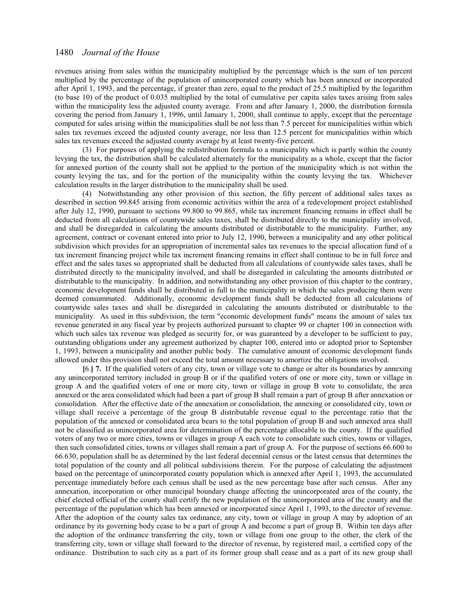revenues arising from sales within the municipality multiplied by the percentage which is the sum of ten percent multiplied by the percentage of the population of unincorporated county which has been annexed or incorporated after April 1, 1993, and the percentage, if greater than zero, equal to the product of 25.5 multiplied by the logarithm (to base 10) of the product of 0.035 multiplied by the total of cumulative per capita sales taxes arising from sales within the municipality less the adjusted county average. From and after January 1, 2000, the distribution formula covering the period from January 1, 1996, until January 1, 2000, shall continue to apply, except that the percentage computed for sales arising within the municipalities shall be not less than 7.5 percent for municipalities within which sales tax revenues exceed the adjusted county average, nor less than 12.5 percent for municipalities within which sales tax revenues exceed the adjusted county average by at least twenty-five percent.

(3) For purposes of applying the redistribution formula to a municipality which is partly within the county levying the tax, the distribution shall be calculated alternately for the municipality as a whole, except that the factor for annexed portion of the county shall not be applied to the portion of the municipality which is not within the county levying the tax, and for the portion of the municipality within the county levying the tax. Whichever calculation results in the larger distribution to the municipality shall be used.

(4) Notwithstanding any other provision of this section, the fifty percent of additional sales taxes as described in section 99.845 arising from economic activities within the area of a redevelopment project established after July 12, 1990, pursuant to sections 99.800 to 99.865, while tax increment financing remains in effect shall be deducted from all calculations of countywide sales taxes, shall be distributed directly to the municipality involved, and shall be disregarded in calculating the amounts distributed or distributable to the municipality. Further, any agreement, contract or covenant entered into prior to July 12, 1990, between a municipality and any other political subdivision which provides for an appropriation of incremental sales tax revenues to the special allocation fund of a tax increment financing project while tax increment financing remains in effect shall continue to be in full force and effect and the sales taxes so appropriated shall be deducted from all calculations of countywide sales taxes, shall be distributed directly to the municipality involved, and shall be disregarded in calculating the amounts distributed or distributable to the municipality. In addition, and notwithstanding any other provision of this chapter to the contrary, economic development funds shall be distributed in full to the municipality in which the sales producing them were deemed consummated. Additionally, economic development funds shall be deducted from all calculations of countywide sales taxes and shall be disregarded in calculating the amounts distributed or distributable to the municipality. As used in this subdivision, the term "economic development funds" means the amount of sales tax revenue generated in any fiscal year by projects authorized pursuant to chapter 99 or chapter 100 in connection with which such sales tax revenue was pledged as security for, or was guaranteed by a developer to be sufficient to pay, outstanding obligations under any agreement authorized by chapter 100, entered into or adopted prior to September 1, 1993, between a municipality and another public body. The cumulative amount of economic development funds allowed under this provision shall not exceed the total amount necessary to amortize the obligations involved.

**[**6.**] 7.** If the qualified voters of any city, town or village vote to change or alter its boundaries by annexing any unincorporated territory included in group B or if the qualified voters of one or more city, town or village in group A and the qualified voters of one or more city, town or village in group B vote to consolidate, the area annexed or the area consolidated which had been a part of group B shall remain a part of group B after annexation or consolidation. After the effective date of the annexation or consolidation, the annexing or consolidated city, town or village shall receive a percentage of the group B distributable revenue equal to the percentage ratio that the population of the annexed or consolidated area bears to the total population of group B and such annexed area shall not be classified as unincorporated area for determination of the percentage allocable to the county. If the qualified voters of any two or more cities, towns or villages in group A each vote to consolidate such cities, towns or villages, then such consolidated cities, towns or villages shall remain a part of group A. For the purpose of sections 66.600 to 66.630, population shall be as determined by the last federal decennial census or the latest census that determines the total population of the county and all political subdivisions therein. For the purpose of calculating the adjustment based on the percentage of unincorporated county population which is annexed after April 1, 1993, the accumulated percentage immediately before each census shall be used as the new percentage base after such census. After any annexation, incorporation or other municipal boundary change affecting the unincorporated area of the county, the chief elected official of the county shall certify the new population of the unincorporated area of the county and the percentage of the population which has been annexed or incorporated since April 1, 1993, to the director of revenue. After the adoption of the county sales tax ordinance, any city, town or village in group A may by adoption of an ordinance by its governing body cease to be a part of group A and become a part of group B. Within ten days after the adoption of the ordinance transferring the city, town or village from one group to the other, the clerk of the transferring city, town or village shall forward to the director of revenue, by registered mail, a certified copy of the ordinance. Distribution to such city as a part of its former group shall cease and as a part of its new group shall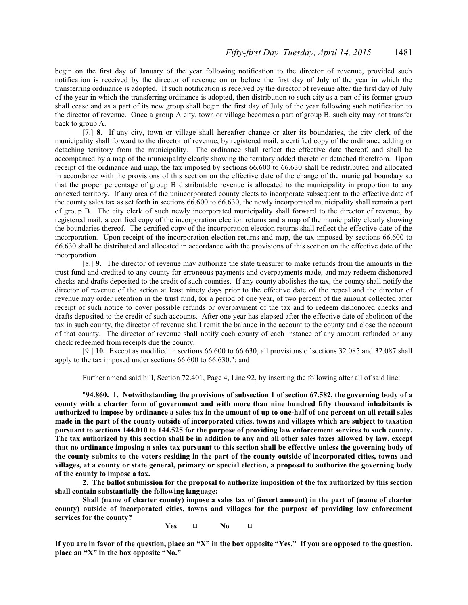begin on the first day of January of the year following notification to the director of revenue, provided such notification is received by the director of revenue on or before the first day of July of the year in which the transferring ordinance is adopted. If such notification is received by the director of revenue after the first day of July of the year in which the transferring ordinance is adopted, then distribution to such city as a part of its former group shall cease and as a part of its new group shall begin the first day of July of the year following such notification to the director of revenue. Once a group A city, town or village becomes a part of group B, such city may not transfer back to group A.

**[**7.**] 8.** If any city, town or village shall hereafter change or alter its boundaries, the city clerk of the municipality shall forward to the director of revenue, by registered mail, a certified copy of the ordinance adding or detaching territory from the municipality. The ordinance shall reflect the effective date thereof, and shall be accompanied by a map of the municipality clearly showing the territory added thereto or detached therefrom. Upon receipt of the ordinance and map, the tax imposed by sections 66.600 to 66.630 shall be redistributed and allocated in accordance with the provisions of this section on the effective date of the change of the municipal boundary so that the proper percentage of group B distributable revenue is allocated to the municipality in proportion to any annexed territory. If any area of the unincorporated county elects to incorporate subsequent to the effective date of the county sales tax as set forth in sections 66.600 to 66.630, the newly incorporated municipality shall remain a part of group B. The city clerk of such newly incorporated municipality shall forward to the director of revenue, by registered mail, a certified copy of the incorporation election returns and a map of the municipality clearly showing the boundaries thereof. The certified copy of the incorporation election returns shall reflect the effective date of the incorporation. Upon receipt of the incorporation election returns and map, the tax imposed by sections 66.600 to 66.630 shall be distributed and allocated in accordance with the provisions of this section on the effective date of the incorporation.

**[**8.**] 9.** The director of revenue may authorize the state treasurer to make refunds from the amounts in the trust fund and credited to any county for erroneous payments and overpayments made, and may redeem dishonored checks and drafts deposited to the credit of such counties. If any county abolishes the tax, the county shall notify the director of revenue of the action at least ninety days prior to the effective date of the repeal and the director of revenue may order retention in the trust fund, for a period of one year, of two percent of the amount collected after receipt of such notice to cover possible refunds or overpayment of the tax and to redeem dishonored checks and drafts deposited to the credit of such accounts. After one year has elapsed after the effective date of abolition of the tax in such county, the director of revenue shall remit the balance in the account to the county and close the account of that county. The director of revenue shall notify each county of each instance of any amount refunded or any check redeemed from receipts due the county.

**[**9.**] 10.** Except as modified in sections 66.600 to 66.630, all provisions of sections 32.085 and 32.087 shall apply to the tax imposed under sections 66.600 to 66.630."; and

Further amend said bill, Section 72.401, Page 4, Line 92, by inserting the following after all of said line:

"**94.860. 1. Notwithstanding the provisions of subsection 1 of section 67.582, the governing body of a county with a charter form of government and with more than nine hundred fifty thousand inhabitants is authorized to impose by ordinance a sales tax in the amount of up to one-half of one percent on all retail sales made in the part of the county outside of incorporated cities, towns and villages which are subject to taxation pursuant to sections 144.010 to 144.525 for the purpose of providing law enforcement services to such county. The tax authorized by this section shall be in addition to any and all other sales taxes allowed by law, except that no ordinance imposing a sales tax pursuant to this section shall be effective unless the governing body of the county submits to the voters residing in the part of the county outside of incorporated cities, towns and villages, at a county or state general, primary or special election, a proposal to authorize the governing body of the county to impose a tax.**

**2. The ballot submission for the proposal to authorize imposition of the tax authorized by this section shall contain substantially the following language:**

**Shall (name of charter county) impose a sales tax of (insert amount) in the part of (name of charter county) outside of incorporated cities, towns and villages for the purpose of providing law enforcement services for the county?**

**Yes** □ **No** □

**If you are in favor of the question, place an "X" in the box opposite "Yes." If you are opposed to the question, place an "X" in the box opposite "No."**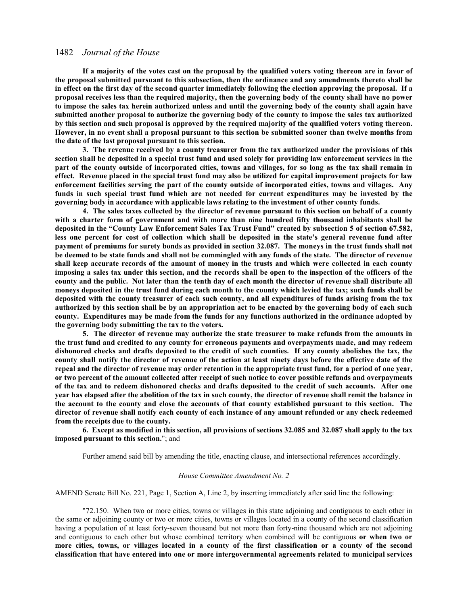**If a majority of the votes cast on the proposal by the qualified voters voting thereon are in favor of the proposal submitted pursuant to this subsection, then the ordinance and any amendments thereto shall be in effect on the first day of the second quarter immediately following the election approving the proposal. If a proposal receives less than the required majority, then the governing body of the county shall have no power to impose the sales tax herein authorized unless and until the governing body of the county shall again have submitted another proposal to authorize the governing body of the county to impose the sales tax authorized by this section and such proposal is approved by the required majority of the qualified voters voting thereon. However, in no event shall a proposal pursuant to this section be submitted sooner than twelve months from the date of the last proposal pursuant to this section.**

**3. The revenue received by a county treasurer from the tax authorized under the provisions of this section shall be deposited in a special trust fund and used solely for providing law enforcement services in the part of the county outside of incorporated cities, towns and villages, for so long as the tax shall remain in effect. Revenue placed in the special trust fund may also be utilized for capital improvement projects for law enforcement facilities serving the part of the county outside of incorporated cities, towns and villages. Any funds in such special trust fund which are not needed for current expenditures may be invested by the governing body in accordance with applicable laws relating to the investment of other county funds.**

**4. The sales taxes collected by the director of revenue pursuant to this section on behalf of a county with a charter form of government and with more than nine hundred fifty thousand inhabitants shall be deposited in the "County Law Enforcement Sales Tax Trust Fund" created by subsection 5 of section 67.582, less one percent for cost of collection which shall be deposited in the state's general revenue fund after payment of premiums for surety bonds as provided in section 32.087. The moneys in the trust funds shall not be deemed to be state funds and shall not be commingled with any funds of the state. The director of revenue shall keep accurate records of the amount of money in the trusts and which were collected in each county imposing a sales tax under this section, and the records shall be open to the inspection of the officers of the county and the public. Not later than the tenth day of each month the director of revenue shall distribute all moneys deposited in the trust fund during each month to the county which levied the tax; such funds shall be deposited with the county treasurer of each such county, and all expenditures of funds arising from the tax authorized by this section shall be by an appropriation act to be enacted by the governing body of each such county. Expenditures may be made from the funds for any functions authorized in the ordinance adopted by the governing body submitting the tax to the voters.**

**5. The director of revenue may authorize the state treasurer to make refunds from the amounts in the trust fund and credited to any county for erroneous payments and overpayments made, and may redeem dishonored checks and drafts deposited to the credit of such counties. If any county abolishes the tax, the county shall notify the director of revenue of the action at least ninety days before the effective date of the repeal and the director of revenue may order retention in the appropriate trust fund, for a period of one year, or two percent of the amount collected after receipt of such notice to cover possible refunds and overpayments of the tax and to redeem dishonored checks and drafts deposited to the credit of such accounts. After one year has elapsed after the abolition of the tax in such county, the director of revenue shall remit the balance in the account to the county and close the accounts of that county established pursuant to this section. The director of revenue shall notify each county of each instance of any amount refunded or any check redeemed from the receipts due to the county.**

**6. Except as modified in this section, all provisions of sections 32.085 and 32.087 shall apply to the tax imposed pursuant to this section.**"; and

Further amend said bill by amending the title, enacting clause, and intersectional references accordingly.

#### *House Committee Amendment No. 2*

AMEND Senate Bill No. 221, Page 1, Section A, Line 2, by inserting immediately after said line the following:

"72.150. When two or more cities, towns or villages in this state adjoining and contiguous to each other in the same or adjoining county or two or more cities, towns or villages located in a county of the second classification having a population of at least forty-seven thousand but not more than forty-nine thousand which are not adjoining and contiguous to each other but whose combined territory when combined will be contiguous **or when two or more cities, towns, or villages located in a county of the first classification or a county of the second classification that have entered into one or more intergovernmental agreements related to municipal services**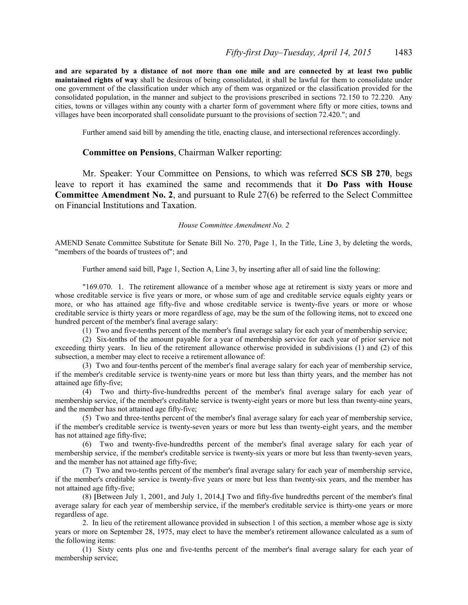**and are separated by a distance of not more than one mile and are connected by at least two public maintained rights of way** shall be desirous of being consolidated, it shall be lawful for them to consolidate under one government of the classification under which any of them was organized or the classification provided for the consolidated population, in the manner and subject to the provisions prescribed in sections 72.150 to 72.220. Any cities, towns or villages within any county with a charter form of government where fifty or more cities, towns and villages have been incorporated shall consolidate pursuant to the provisions of section 72.420."; and

Further amend said bill by amending the title, enacting clause, and intersectional references accordingly.

## **Committee on Pensions**, Chairman Walker reporting:

Mr. Speaker: Your Committee on Pensions, to which was referred **SCS SB 270**, begs leave to report it has examined the same and recommends that it **Do Pass with House Committee Amendment No. 2**, and pursuant to Rule 27(6) be referred to the Select Committee on Financial Institutions and Taxation.

## *House Committee Amendment No. 2*

AMEND Senate Committee Substitute for Senate Bill No. 270, Page 1, In the Title, Line 3, by deleting the words, "members of the boards of trustees of"; and

Further amend said bill, Page 1, Section A, Line 3, by inserting after all of said line the following:

"169.070. 1. The retirement allowance of a member whose age at retirement is sixty years or more and whose creditable service is five years or more, or whose sum of age and creditable service equals eighty years or more, or who has attained age fifty-five and whose creditable service is twenty-five years or more or whose creditable service is thirty years or more regardless of age, may be the sum of the following items, not to exceed one hundred percent of the member's final average salary:

(1) Two and five-tenths percent of the member's final average salary for each year of membership service;

(2) Six-tenths of the amount payable for a year of membership service for each year of prior service not exceeding thirty years. In lieu of the retirement allowance otherwise provided in subdivisions (1) and (2) of this subsection, a member may elect to receive a retirement allowance of:

(3) Two and four-tenths percent of the member's final average salary for each year of membership service, if the member's creditable service is twenty-nine years or more but less than thirty years, and the member has not attained age fifty-five;

(4) Two and thirty-five-hundredths percent of the member's final average salary for each year of membership service, if the member's creditable service is twenty-eight years or more but less than twenty-nine years, and the member has not attained age fifty-five;

(5) Two and three-tenths percent of the member's final average salary for each year of membership service, if the member's creditable service is twenty-seven years or more but less than twenty-eight years, and the member has not attained age fifty-five;

(6) Two and twenty-five-hundredths percent of the member's final average salary for each year of membership service, if the member's creditable service is twenty-six years or more but less than twenty-seven years, and the member has not attained age fifty-five;

(7) Two and two-tenths percent of the member's final average salary for each year of membership service, if the member's creditable service is twenty-five years or more but less than twenty-six years, and the member has not attained age fifty-five;

(8) **[**Between July 1, 2001, and July 1, 2014,**]** Two and fifty-five hundredths percent of the member's final average salary for each year of membership service, if the member's creditable service is thirty-one years or more regardless of age.

2. In lieu of the retirement allowance provided in subsection 1 of this section, a member whose age is sixty years or more on September 28, 1975, may elect to have the member's retirement allowance calculated as a sum of the following items:

(1) Sixty cents plus one and five-tenths percent of the member's final average salary for each year of membership service;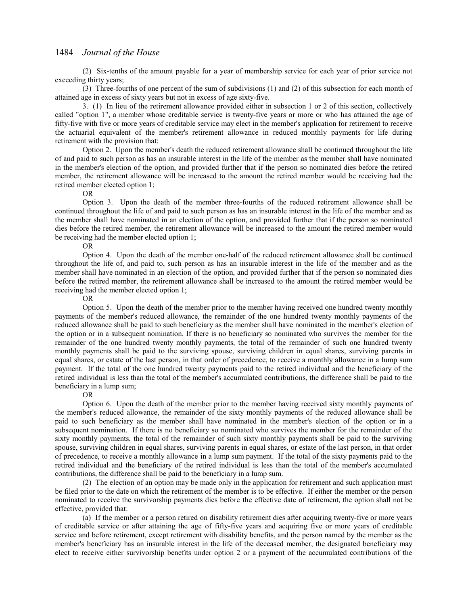(2) Six-tenths of the amount payable for a year of membership service for each year of prior service not exceeding thirty years;

(3) Three-fourths of one percent of the sum of subdivisions (1) and (2) of this subsection for each month of attained age in excess of sixty years but not in excess of age sixty-five.

3. (1) In lieu of the retirement allowance provided either in subsection 1 or 2 of this section, collectively called "option 1", a member whose creditable service is twenty-five years or more or who has attained the age of fifty-five with five or more years of creditable service may elect in the member's application for retirement to receive the actuarial equivalent of the member's retirement allowance in reduced monthly payments for life during retirement with the provision that:

Option 2. Upon the member's death the reduced retirement allowance shall be continued throughout the life of and paid to such person as has an insurable interest in the life of the member as the member shall have nominated in the member's election of the option, and provided further that if the person so nominated dies before the retired member, the retirement allowance will be increased to the amount the retired member would be receiving had the retired member elected option 1;

OR

Option 3. Upon the death of the member three-fourths of the reduced retirement allowance shall be continued throughout the life of and paid to such person as has an insurable interest in the life of the member and as the member shall have nominated in an election of the option, and provided further that if the person so nominated dies before the retired member, the retirement allowance will be increased to the amount the retired member would be receiving had the member elected option 1;

#### OR

Option 4. Upon the death of the member one-half of the reduced retirement allowance shall be continued throughout the life of, and paid to, such person as has an insurable interest in the life of the member and as the member shall have nominated in an election of the option, and provided further that if the person so nominated dies before the retired member, the retirement allowance shall be increased to the amount the retired member would be receiving had the member elected option 1;

OR

Option 5. Upon the death of the member prior to the member having received one hundred twenty monthly payments of the member's reduced allowance, the remainder of the one hundred twenty monthly payments of the reduced allowance shall be paid to such beneficiary as the member shall have nominated in the member's election of the option or in a subsequent nomination. If there is no beneficiary so nominated who survives the member for the remainder of the one hundred twenty monthly payments, the total of the remainder of such one hundred twenty monthly payments shall be paid to the surviving spouse, surviving children in equal shares, surviving parents in equal shares, or estate of the last person, in that order of precedence, to receive a monthly allowance in a lump sum payment. If the total of the one hundred twenty payments paid to the retired individual and the beneficiary of the retired individual is less than the total of the member's accumulated contributions, the difference shall be paid to the beneficiary in a lump sum;

OR

Option 6. Upon the death of the member prior to the member having received sixty monthly payments of the member's reduced allowance, the remainder of the sixty monthly payments of the reduced allowance shall be paid to such beneficiary as the member shall have nominated in the member's election of the option or in a subsequent nomination. If there is no beneficiary so nominated who survives the member for the remainder of the sixty monthly payments, the total of the remainder of such sixty monthly payments shall be paid to the surviving spouse, surviving children in equal shares, surviving parents in equal shares, or estate of the last person, in that order of precedence, to receive a monthly allowance in a lump sum payment. If the total of the sixty payments paid to the retired individual and the beneficiary of the retired individual is less than the total of the member's accumulated contributions, the difference shall be paid to the beneficiary in a lump sum.

(2) The election of an option may be made only in the application for retirement and such application must be filed prior to the date on which the retirement of the member is to be effective. If either the member or the person nominated to receive the survivorship payments dies before the effective date of retirement, the option shall not be effective, provided that:

(a) If the member or a person retired on disability retirement dies after acquiring twenty-five or more years of creditable service or after attaining the age of fifty-five years and acquiring five or more years of creditable service and before retirement, except retirement with disability benefits, and the person named by the member as the member's beneficiary has an insurable interest in the life of the deceased member, the designated beneficiary may elect to receive either survivorship benefits under option 2 or a payment of the accumulated contributions of the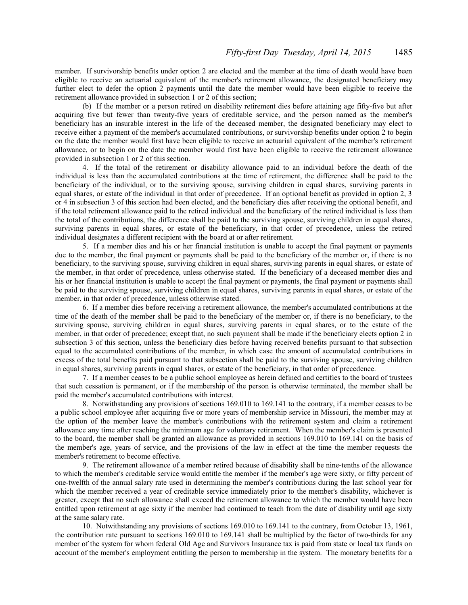member. If survivorship benefits under option 2 are elected and the member at the time of death would have been eligible to receive an actuarial equivalent of the member's retirement allowance, the designated beneficiary may further elect to defer the option 2 payments until the date the member would have been eligible to receive the retirement allowance provided in subsection 1 or 2 of this section;

(b) If the member or a person retired on disability retirement dies before attaining age fifty-five but after acquiring five but fewer than twenty-five years of creditable service, and the person named as the member's beneficiary has an insurable interest in the life of the deceased member, the designated beneficiary may elect to receive either a payment of the member's accumulated contributions, or survivorship benefits under option 2 to begin on the date the member would first have been eligible to receive an actuarial equivalent of the member's retirement allowance, or to begin on the date the member would first have been eligible to receive the retirement allowance provided in subsection 1 or 2 of this section.

4. If the total of the retirement or disability allowance paid to an individual before the death of the individual is less than the accumulated contributions at the time of retirement, the difference shall be paid to the beneficiary of the individual, or to the surviving spouse, surviving children in equal shares, surviving parents in equal shares, or estate of the individual in that order of precedence. If an optional benefit as provided in option 2, 3 or 4 in subsection 3 of this section had been elected, and the beneficiary dies after receiving the optional benefit, and if the total retirement allowance paid to the retired individual and the beneficiary of the retired individual is less than the total of the contributions, the difference shall be paid to the surviving spouse, surviving children in equal shares, surviving parents in equal shares, or estate of the beneficiary, in that order of precedence, unless the retired individual designates a different recipient with the board at or after retirement.

5. If a member dies and his or her financial institution is unable to accept the final payment or payments due to the member, the final payment or payments shall be paid to the beneficiary of the member or, if there is no beneficiary, to the surviving spouse, surviving children in equal shares, surviving parents in equal shares, or estate of the member, in that order of precedence, unless otherwise stated. If the beneficiary of a deceased member dies and his or her financial institution is unable to accept the final payment or payments, the final payment or payments shall be paid to the surviving spouse, surviving children in equal shares, surviving parents in equal shares, or estate of the member, in that order of precedence, unless otherwise stated.

6. If a member dies before receiving a retirement allowance, the member's accumulated contributions at the time of the death of the member shall be paid to the beneficiary of the member or, if there is no beneficiary, to the surviving spouse, surviving children in equal shares, surviving parents in equal shares, or to the estate of the member, in that order of precedence; except that, no such payment shall be made if the beneficiary elects option 2 in subsection 3 of this section, unless the beneficiary dies before having received benefits pursuant to that subsection equal to the accumulated contributions of the member, in which case the amount of accumulated contributions in excess of the total benefits paid pursuant to that subsection shall be paid to the surviving spouse, surviving children in equal shares, surviving parents in equal shares, or estate of the beneficiary, in that order of precedence.

7. If a member ceases to be a public school employee as herein defined and certifies to the board of trustees that such cessation is permanent, or if the membership of the person is otherwise terminated, the member shall be paid the member's accumulated contributions with interest.

8. Notwithstanding any provisions of sections 169.010 to 169.141 to the contrary, if a member ceases to be a public school employee after acquiring five or more years of membership service in Missouri, the member may at the option of the member leave the member's contributions with the retirement system and claim a retirement allowance any time after reaching the minimum age for voluntary retirement. When the member's claim is presented to the board, the member shall be granted an allowance as provided in sections 169.010 to 169.141 on the basis of the member's age, years of service, and the provisions of the law in effect at the time the member requests the member's retirement to become effective.

9. The retirement allowance of a member retired because of disability shall be nine-tenths of the allowance to which the member's creditable service would entitle the member if the member's age were sixty, or fifty percent of one-twelfth of the annual salary rate used in determining the member's contributions during the last school year for which the member received a year of creditable service immediately prior to the member's disability, whichever is greater, except that no such allowance shall exceed the retirement allowance to which the member would have been entitled upon retirement at age sixty if the member had continued to teach from the date of disability until age sixty at the same salary rate.

10. Notwithstanding any provisions of sections 169.010 to 169.141 to the contrary, from October 13, 1961, the contribution rate pursuant to sections 169.010 to 169.141 shall be multiplied by the factor of two-thirds for any member of the system for whom federal Old Age and Survivors Insurance tax is paid from state or local tax funds on account of the member's employment entitling the person to membership in the system. The monetary benefits for a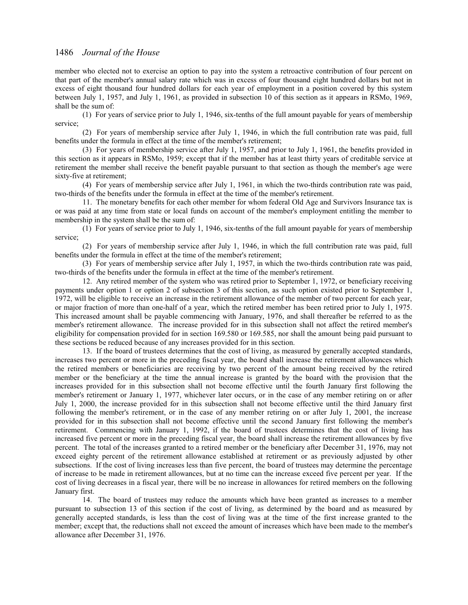member who elected not to exercise an option to pay into the system a retroactive contribution of four percent on that part of the member's annual salary rate which was in excess of four thousand eight hundred dollars but not in excess of eight thousand four hundred dollars for each year of employment in a position covered by this system between July 1, 1957, and July 1, 1961, as provided in subsection 10 of this section as it appears in RSMo, 1969, shall be the sum of:

(1) For years of service prior to July 1, 1946, six-tenths of the full amount payable for years of membership service;

(2) For years of membership service after July 1, 1946, in which the full contribution rate was paid, full benefits under the formula in effect at the time of the member's retirement;

(3) For years of membership service after July 1, 1957, and prior to July 1, 1961, the benefits provided in this section as it appears in RSMo, 1959; except that if the member has at least thirty years of creditable service at retirement the member shall receive the benefit payable pursuant to that section as though the member's age were sixty-five at retirement;

(4) For years of membership service after July 1, 1961, in which the two-thirds contribution rate was paid, two-thirds of the benefits under the formula in effect at the time of the member's retirement.

11. The monetary benefits for each other member for whom federal Old Age and Survivors Insurance tax is or was paid at any time from state or local funds on account of the member's employment entitling the member to membership in the system shall be the sum of:

(1) For years of service prior to July 1, 1946, six-tenths of the full amount payable for years of membership service;

(2) For years of membership service after July 1, 1946, in which the full contribution rate was paid, full benefits under the formula in effect at the time of the member's retirement;

(3) For years of membership service after July 1, 1957, in which the two-thirds contribution rate was paid, two-thirds of the benefits under the formula in effect at the time of the member's retirement.

12. Any retired member of the system who was retired prior to September 1, 1972, or beneficiary receiving payments under option 1 or option 2 of subsection 3 of this section, as such option existed prior to September 1, 1972, will be eligible to receive an increase in the retirement allowance of the member of two percent for each year, or major fraction of more than one-half of a year, which the retired member has been retired prior to July 1, 1975. This increased amount shall be payable commencing with January, 1976, and shall thereafter be referred to as the member's retirement allowance. The increase provided for in this subsection shall not affect the retired member's eligibility for compensation provided for in section 169.580 or 169.585, nor shall the amount being paid pursuant to these sections be reduced because of any increases provided for in this section.

13. If the board of trustees determines that the cost of living, as measured by generally accepted standards, increases two percent or more in the preceding fiscal year, the board shall increase the retirement allowances which the retired members or beneficiaries are receiving by two percent of the amount being received by the retired member or the beneficiary at the time the annual increase is granted by the board with the provision that the increases provided for in this subsection shall not become effective until the fourth January first following the member's retirement or January 1, 1977, whichever later occurs, or in the case of any member retiring on or after July 1, 2000, the increase provided for in this subsection shall not become effective until the third January first following the member's retirement, or in the case of any member retiring on or after July 1, 2001, the increase provided for in this subsection shall not become effective until the second January first following the member's retirement. Commencing with January 1, 1992, if the board of trustees determines that the cost of living has increased five percent or more in the preceding fiscal year, the board shall increase the retirement allowances by five percent. The total of the increases granted to a retired member or the beneficiary after December 31, 1976, may not exceed eighty percent of the retirement allowance established at retirement or as previously adjusted by other subsections. If the cost of living increases less than five percent, the board of trustees may determine the percentage of increase to be made in retirement allowances, but at no time can the increase exceed five percent per year. If the cost of living decreases in a fiscal year, there will be no increase in allowances for retired members on the following January first.

14. The board of trustees may reduce the amounts which have been granted as increases to a member pursuant to subsection 13 of this section if the cost of living, as determined by the board and as measured by generally accepted standards, is less than the cost of living was at the time of the first increase granted to the member; except that, the reductions shall not exceed the amount of increases which have been made to the member's allowance after December 31, 1976.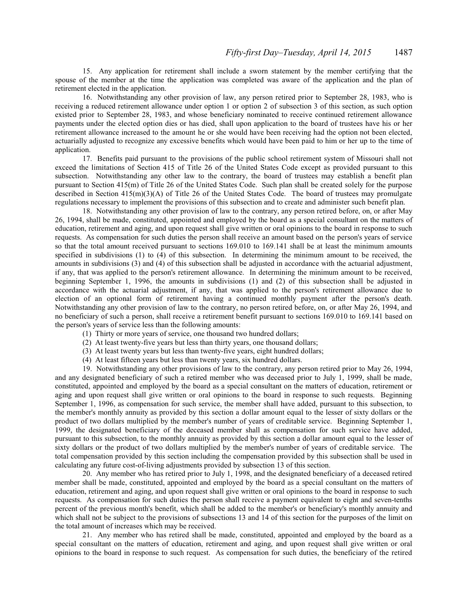15. Any application for retirement shall include a sworn statement by the member certifying that the spouse of the member at the time the application was completed was aware of the application and the plan of retirement elected in the application.

16. Notwithstanding any other provision of law, any person retired prior to September 28, 1983, who is receiving a reduced retirement allowance under option 1 or option 2 of subsection 3 of this section, as such option existed prior to September 28, 1983, and whose beneficiary nominated to receive continued retirement allowance payments under the elected option dies or has died, shall upon application to the board of trustees have his or her retirement allowance increased to the amount he or she would have been receiving had the option not been elected, actuarially adjusted to recognize any excessive benefits which would have been paid to him or her up to the time of application.

17. Benefits paid pursuant to the provisions of the public school retirement system of Missouri shall not exceed the limitations of Section 415 of Title 26 of the United States Code except as provided pursuant to this subsection. Notwithstanding any other law to the contrary, the board of trustees may establish a benefit plan pursuant to Section 415(m) of Title 26 of the United States Code. Such plan shall be created solely for the purpose described in Section 415(m)(3)(A) of Title 26 of the United States Code. The board of trustees may promulgate regulations necessary to implement the provisions of this subsection and to create and administer such benefit plan.

18. Notwithstanding any other provision of law to the contrary, any person retired before, on, or after May 26, 1994, shall be made, constituted, appointed and employed by the board as a special consultant on the matters of education, retirement and aging, and upon request shall give written or oral opinions to the board in response to such requests. As compensation for such duties the person shall receive an amount based on the person's years of service so that the total amount received pursuant to sections 169.010 to 169.141 shall be at least the minimum amounts specified in subdivisions (1) to (4) of this subsection. In determining the minimum amount to be received, the amounts in subdivisions (3) and (4) of this subsection shall be adjusted in accordance with the actuarial adjustment, if any, that was applied to the person's retirement allowance. In determining the minimum amount to be received, beginning September 1, 1996, the amounts in subdivisions (1) and (2) of this subsection shall be adjusted in accordance with the actuarial adjustment, if any, that was applied to the person's retirement allowance due to election of an optional form of retirement having a continued monthly payment after the person's death. Notwithstanding any other provision of law to the contrary, no person retired before, on, or after May 26, 1994, and no beneficiary of such a person, shall receive a retirement benefit pursuant to sections 169.010 to 169.141 based on the person's years of service less than the following amounts:

- (1) Thirty or more years of service, one thousand two hundred dollars;
- (2) At least twenty-five years but less than thirty years, one thousand dollars;
- (3) At least twenty years but less than twenty-five years, eight hundred dollars;
- (4) At least fifteen years but less than twenty years, six hundred dollars.

19. Notwithstanding any other provisions of law to the contrary, any person retired prior to May 26, 1994, and any designated beneficiary of such a retired member who was deceased prior to July 1, 1999, shall be made, constituted, appointed and employed by the board as a special consultant on the matters of education, retirement or aging and upon request shall give written or oral opinions to the board in response to such requests. Beginning September 1, 1996, as compensation for such service, the member shall have added, pursuant to this subsection, to the member's monthly annuity as provided by this section a dollar amount equal to the lesser of sixty dollars or the product of two dollars multiplied by the member's number of years of creditable service. Beginning September 1, 1999, the designated beneficiary of the deceased member shall as compensation for such service have added, pursuant to this subsection, to the monthly annuity as provided by this section a dollar amount equal to the lesser of sixty dollars or the product of two dollars multiplied by the member's number of years of creditable service. The total compensation provided by this section including the compensation provided by this subsection shall be used in calculating any future cost-of-living adjustments provided by subsection 13 of this section.

20. Any member who has retired prior to July 1, 1998, and the designated beneficiary of a deceased retired member shall be made, constituted, appointed and employed by the board as a special consultant on the matters of education, retirement and aging, and upon request shall give written or oral opinions to the board in response to such requests. As compensation for such duties the person shall receive a payment equivalent to eight and seven-tenths percent of the previous month's benefit, which shall be added to the member's or beneficiary's monthly annuity and which shall not be subject to the provisions of subsections 13 and 14 of this section for the purposes of the limit on the total amount of increases which may be received.

21. Any member who has retired shall be made, constituted, appointed and employed by the board as a special consultant on the matters of education, retirement and aging, and upon request shall give written or oral opinions to the board in response to such request. As compensation for such duties, the beneficiary of the retired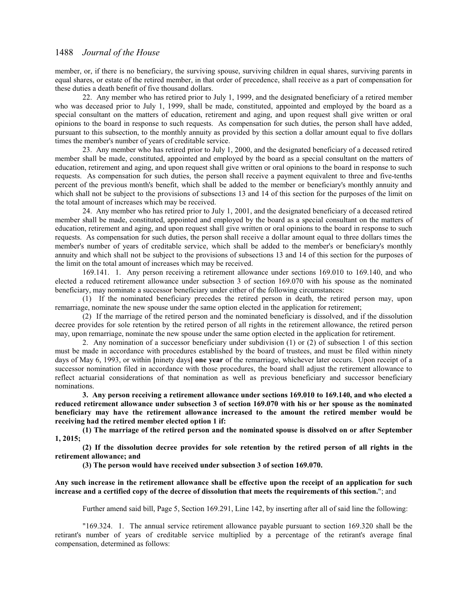member, or, if there is no beneficiary, the surviving spouse, surviving children in equal shares, surviving parents in equal shares, or estate of the retired member, in that order of precedence, shall receive as a part of compensation for these duties a death benefit of five thousand dollars.

22. Any member who has retired prior to July 1, 1999, and the designated beneficiary of a retired member who was deceased prior to July 1, 1999, shall be made, constituted, appointed and employed by the board as a special consultant on the matters of education, retirement and aging, and upon request shall give written or oral opinions to the board in response to such requests. As compensation for such duties, the person shall have added, pursuant to this subsection, to the monthly annuity as provided by this section a dollar amount equal to five dollars times the member's number of years of creditable service.

23. Any member who has retired prior to July 1, 2000, and the designated beneficiary of a deceased retired member shall be made, constituted, appointed and employed by the board as a special consultant on the matters of education, retirement and aging, and upon request shall give written or oral opinions to the board in response to such requests. As compensation for such duties, the person shall receive a payment equivalent to three and five-tenths percent of the previous month's benefit, which shall be added to the member or beneficiary's monthly annuity and which shall not be subject to the provisions of subsections 13 and 14 of this section for the purposes of the limit on the total amount of increases which may be received.

24. Any member who has retired prior to July 1, 2001, and the designated beneficiary of a deceased retired member shall be made, constituted, appointed and employed by the board as a special consultant on the matters of education, retirement and aging, and upon request shall give written or oral opinions to the board in response to such requests. As compensation for such duties, the person shall receive a dollar amount equal to three dollars times the member's number of years of creditable service, which shall be added to the member's or beneficiary's monthly annuity and which shall not be subject to the provisions of subsections 13 and 14 of this section for the purposes of the limit on the total amount of increases which may be received.

169.141. 1. Any person receiving a retirement allowance under sections 169.010 to 169.140, and who elected a reduced retirement allowance under subsection 3 of section 169.070 with his spouse as the nominated beneficiary, may nominate a successor beneficiary under either of the following circumstances:

(1) If the nominated beneficiary precedes the retired person in death, the retired person may, upon remarriage, nominate the new spouse under the same option elected in the application for retirement;

(2) If the marriage of the retired person and the nominated beneficiary is dissolved, and if the dissolution decree provides for sole retention by the retired person of all rights in the retirement allowance, the retired person may, upon remarriage, nominate the new spouse under the same option elected in the application for retirement.

2. Any nomination of a successor beneficiary under subdivision (1) or (2) of subsection 1 of this section must be made in accordance with procedures established by the board of trustees, and must be filed within ninety days of May 6, 1993, or within **[**ninety days**] one year** of the remarriage, whichever later occurs. Upon receipt of a successor nomination filed in accordance with those procedures, the board shall adjust the retirement allowance to reflect actuarial considerations of that nomination as well as previous beneficiary and successor beneficiary nominations.

**3. Any person receiving a retirement allowance under sections 169.010 to 169.140, and who elected a reduced retirement allowance under subsection 3 of section 169.070 with his or her spouse as the nominated beneficiary may have the retirement allowance increased to the amount the retired member would be receiving had the retired member elected option 1 if:**

**(1) The marriage of the retired person and the nominated spouse is dissolved on or after September 1, 2015;**

**(2) If the dissolution decree provides for sole retention by the retired person of all rights in the retirement allowance; and**

**(3) The person would have received under subsection 3 of section 169.070.**

## **Any such increase in the retirement allowance shall be effective upon the receipt of an application for such increase and a certified copy of the decree of dissolution that meets the requirements of this section.**"; and

Further amend said bill, Page 5, Section 169.291, Line 142, by inserting after all of said line the following:

"169.324. 1. The annual service retirement allowance payable pursuant to section 169.320 shall be the retirant's number of years of creditable service multiplied by a percentage of the retirant's average final compensation, determined as follows: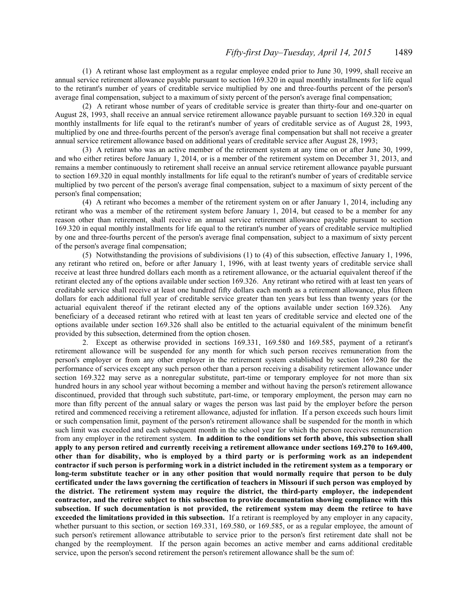(1) A retirant whose last employment as a regular employee ended prior to June 30, 1999, shall receive an annual service retirement allowance payable pursuant to section 169.320 in equal monthly installments for life equal to the retirant's number of years of creditable service multiplied by one and three-fourths percent of the person's average final compensation, subject to a maximum of sixty percent of the person's average final compensation;

(2) A retirant whose number of years of creditable service is greater than thirty-four and one-quarter on August 28, 1993, shall receive an annual service retirement allowance payable pursuant to section 169.320 in equal monthly installments for life equal to the retirant's number of years of creditable service as of August 28, 1993, multiplied by one and three-fourths percent of the person's average final compensation but shall not receive a greater annual service retirement allowance based on additional years of creditable service after August 28, 1993;

(3) A retirant who was an active member of the retirement system at any time on or after June 30, 1999, and who either retires before January 1, 2014, or is a member of the retirement system on December 31, 2013, and remains a member continuously to retirement shall receive an annual service retirement allowance payable pursuant to section 169.320 in equal monthly installments for life equal to the retirant's number of years of creditable service multiplied by two percent of the person's average final compensation, subject to a maximum of sixty percent of the person's final compensation;

(4) A retirant who becomes a member of the retirement system on or after January 1, 2014, including any retirant who was a member of the retirement system before January 1, 2014, but ceased to be a member for any reason other than retirement, shall receive an annual service retirement allowance payable pursuant to section 169.320 in equal monthly installments for life equal to the retirant's number of years of creditable service multiplied by one and three-fourths percent of the person's average final compensation, subject to a maximum of sixty percent of the person's average final compensation;

(5) Notwithstanding the provisions of subdivisions (1) to (4) of this subsection, effective January 1, 1996, any retirant who retired on, before or after January 1, 1996, with at least twenty years of creditable service shall receive at least three hundred dollars each month as a retirement allowance, or the actuarial equivalent thereof if the retirant elected any of the options available under section 169.326. Any retirant who retired with at least ten years of creditable service shall receive at least one hundred fifty dollars each month as a retirement allowance, plus fifteen dollars for each additional full year of creditable service greater than ten years but less than twenty years (or the actuarial equivalent thereof if the retirant elected any of the options available under section 169.326). Any beneficiary of a deceased retirant who retired with at least ten years of creditable service and elected one of the options available under section 169.326 shall also be entitled to the actuarial equivalent of the minimum benefit provided by this subsection, determined from the option chosen.

2. Except as otherwise provided in sections 169.331, 169.580 and 169.585, payment of a retirant's retirement allowance will be suspended for any month for which such person receives remuneration from the person's employer or from any other employer in the retirement system established by section 169.280 for the performance of services except any such person other than a person receiving a disability retirement allowance under section 169.322 may serve as a nonregular substitute, part-time or temporary employee for not more than six hundred hours in any school year without becoming a member and without having the person's retirement allowance discontinued, provided that through such substitute, part-time, or temporary employment, the person may earn no more than fifty percent of the annual salary or wages the person was last paid by the employer before the person retired and commenced receiving a retirement allowance, adjusted for inflation. If a person exceeds such hours limit or such compensation limit, payment of the person's retirement allowance shall be suspended for the month in which such limit was exceeded and each subsequent month in the school year for which the person receives remuneration from any employer in the retirement system. **In addition to the conditions set forth above, this subsection shall apply to any person retired and currently receiving a retirement allowance under sections 169.270 to 169.400, other than for disability, who is employed by a third party or is performing work as an independent contractor if such person is performing work in a district included in the retirement system as a temporary or long-term substitute teacher or in any other position that would normally require that person to be duly certificated under the laws governing the certification of teachers in Missouri if such person was employed by the district. The retirement system may require the district, the third-party employer, the independent contractor, and the retiree subject to this subsection to provide documentation showing compliance with this subsection. If such documentation is not provided, the retirement system may deem the retiree to have exceeded the limitations provided in this subsection.** If a retirant is reemployed by any employer in any capacity, whether pursuant to this section, or section 169.331, 169.580, or 169.585, or as a regular employee, the amount of such person's retirement allowance attributable to service prior to the person's first retirement date shall not be changed by the reemployment. If the person again becomes an active member and earns additional creditable service, upon the person's second retirement the person's retirement allowance shall be the sum of: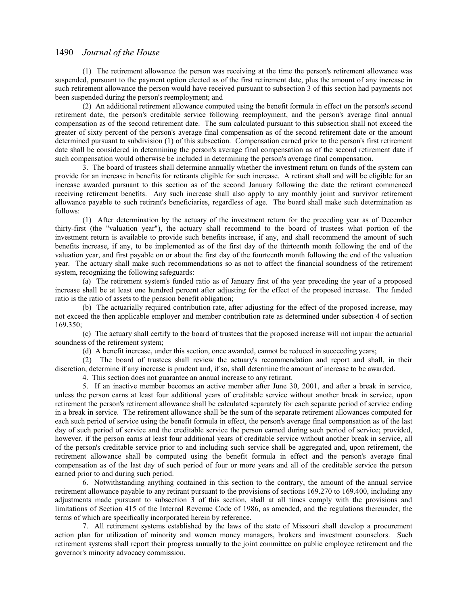(1) The retirement allowance the person was receiving at the time the person's retirement allowance was suspended, pursuant to the payment option elected as of the first retirement date, plus the amount of any increase in such retirement allowance the person would have received pursuant to subsection 3 of this section had payments not been suspended during the person's reemployment; and

(2) An additional retirement allowance computed using the benefit formula in effect on the person's second retirement date, the person's creditable service following reemployment, and the person's average final annual compensation as of the second retirement date. The sum calculated pursuant to this subsection shall not exceed the greater of sixty percent of the person's average final compensation as of the second retirement date or the amount determined pursuant to subdivision (1) of this subsection. Compensation earned prior to the person's first retirement date shall be considered in determining the person's average final compensation as of the second retirement date if such compensation would otherwise be included in determining the person's average final compensation.

3. The board of trustees shall determine annually whether the investment return on funds of the system can provide for an increase in benefits for retirants eligible for such increase. A retirant shall and will be eligible for an increase awarded pursuant to this section as of the second January following the date the retirant commenced receiving retirement benefits. Any such increase shall also apply to any monthly joint and survivor retirement allowance payable to such retirant's beneficiaries, regardless of age. The board shall make such determination as follows:

(1) After determination by the actuary of the investment return for the preceding year as of December thirty-first (the "valuation year"), the actuary shall recommend to the board of trustees what portion of the investment return is available to provide such benefits increase, if any, and shall recommend the amount of such benefits increase, if any, to be implemented as of the first day of the thirteenth month following the end of the valuation year, and first payable on or about the first day of the fourteenth month following the end of the valuation year. The actuary shall make such recommendations so as not to affect the financial soundness of the retirement system, recognizing the following safeguards:

(a) The retirement system's funded ratio as of January first of the year preceding the year of a proposed increase shall be at least one hundred percent after adjusting for the effect of the proposed increase. The funded ratio is the ratio of assets to the pension benefit obligation;

(b) The actuarially required contribution rate, after adjusting for the effect of the proposed increase, may not exceed the then applicable employer and member contribution rate as determined under subsection 4 of section 169.350;

(c) The actuary shall certify to the board of trustees that the proposed increase will not impair the actuarial soundness of the retirement system;

(d) A benefit increase, under this section, once awarded, cannot be reduced in succeeding years;

(2) The board of trustees shall review the actuary's recommendation and report and shall, in their discretion, determine if any increase is prudent and, if so, shall determine the amount of increase to be awarded.

4. This section does not guarantee an annual increase to any retirant.

5. If an inactive member becomes an active member after June 30, 2001, and after a break in service, unless the person earns at least four additional years of creditable service without another break in service, upon retirement the person's retirement allowance shall be calculated separately for each separate period of service ending in a break in service. The retirement allowance shall be the sum of the separate retirement allowances computed for each such period of service using the benefit formula in effect, the person's average final compensation as of the last day of such period of service and the creditable service the person earned during such period of service; provided, however, if the person earns at least four additional years of creditable service without another break in service, all of the person's creditable service prior to and including such service shall be aggregated and, upon retirement, the retirement allowance shall be computed using the benefit formula in effect and the person's average final compensation as of the last day of such period of four or more years and all of the creditable service the person earned prior to and during such period.

6. Notwithstanding anything contained in this section to the contrary, the amount of the annual service retirement allowance payable to any retirant pursuant to the provisions of sections 169.270 to 169.400, including any adjustments made pursuant to subsection 3 of this section, shall at all times comply with the provisions and limitations of Section 415 of the Internal Revenue Code of 1986, as amended, and the regulations thereunder, the terms of which are specifically incorporated herein by reference.

7. All retirement systems established by the laws of the state of Missouri shall develop a procurement action plan for utilization of minority and women money managers, brokers and investment counselors. Such retirement systems shall report their progress annually to the joint committee on public employee retirement and the governor's minority advocacy commission.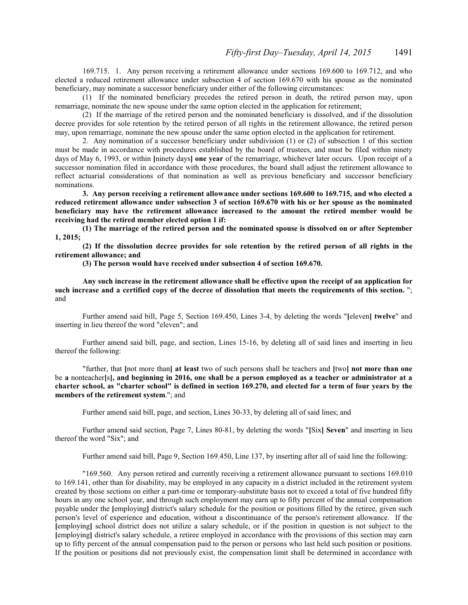169.715. 1. Any person receiving a retirement allowance under sections 169.600 to 169.712, and who elected a reduced retirement allowance under subsection 4 of section 169.670 with his spouse as the nominated beneficiary, may nominate a successor beneficiary under either of the following circumstances:

(1) If the nominated beneficiary precedes the retired person in death, the retired person may, upon remarriage, nominate the new spouse under the same option elected in the application for retirement;

(2) If the marriage of the retired person and the nominated beneficiary is dissolved, and if the dissolution decree provides for sole retention by the retired person of all rights in the retirement allowance, the retired person may, upon remarriage, nominate the new spouse under the same option elected in the application for retirement.

2. Any nomination of a successor beneficiary under subdivision (1) or (2) of subsection 1 of this section must be made in accordance with procedures established by the board of trustees, and must be filed within ninety days of May 6, 1993, or within **[**ninety days**] one year** of the remarriage, whichever later occurs. Upon receipt of a successor nomination filed in accordance with those procedures, the board shall adjust the retirement allowance to reflect actuarial considerations of that nomination as well as previous beneficiary and successor beneficiary nominations.

**3. Any person receiving a retirement allowance under sections 169.600 to 169.715, and who elected a reduced retirement allowance under subsection 3 of section 169.670 with his or her spouse as the nominated beneficiary may have the retirement allowance increased to the amount the retired member would be receiving had the retired member elected option 1 if:**

**(1) The marriage of the retired person and the nominated spouse is dissolved on or after September 1, 2015;**

**(2) If the dissolution decree provides for sole retention by the retired person of all rights in the retirement allowance; and**

**(3) The person would have received under subsection 4 of section 169.670.**

**Any such increase in the retirement allowance shall be effective upon the receipt of an application for such increase and a certified copy of the decree of dissolution that meets the requirements of this section.** "; and

Further amend said bill, Page 5, Section 169.450, Lines 3-4, by deleting the words "**[**eleven**] twelve**" and inserting in lieu thereof the word "eleven"; and

Further amend said bill, page, and section, Lines 15-16, by deleting all of said lines and inserting in lieu thereof the following:

"further, that **[**not more than**] at least** two of such persons shall be teachers and **[**two**] not more than one** be **a** nonteacher**[**s**], and beginning in 2016, one shall be a person employed as a teacher or administrator at a charter school, as "charter school" is defined in section 169.270, and elected for a term of four years by the members of the retirement system**."; and

Further amend said bill, page, and section, Lines 30-33, by deleting all of said lines; and

Further amend said section, Page 7, Lines 80-81, by deleting the words "**[**Six**] Seven**" and inserting in lieu thereof the word "Six"; and

Further amend said bill, Page 9, Section 169.450, Line 137, by inserting after all of said line the following:

"169.560. Any person retired and currently receiving a retirement allowance pursuant to sections 169.010 to 169.141, other than for disability, may be employed in any capacity in a district included in the retirement system created by those sections on either a part-time or temporary-substitute basis not to exceed a total of five hundred fifty hours in any one school year, and through such employment may earn up to fifty percent of the annual compensation payable under the **[**employing**]** district's salary schedule for the position or positions filled by the retiree, given such person's level of experience and education, without a discontinuance of the person's retirement allowance. If the **[**employing**]** school district does not utilize a salary schedule, or if the position in question is not subject to the **[**employing**]** district's salary schedule, a retiree employed in accordance with the provisions of this section may earn up to fifty percent of the annual compensation paid to the person or persons who last held such position or positions. If the position or positions did not previously exist, the compensation limit shall be determined in accordance with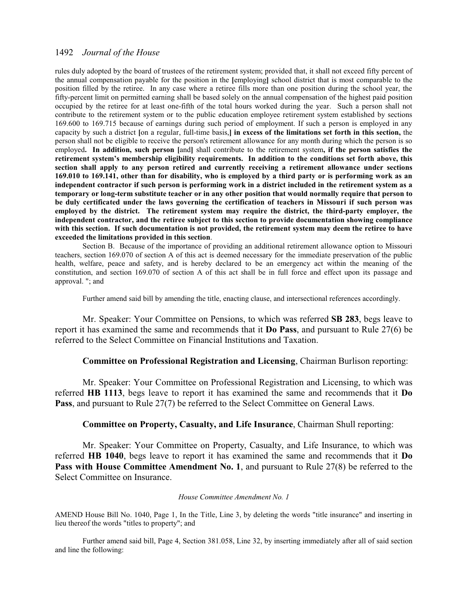rules duly adopted by the board of trustees of the retirement system; provided that, it shall not exceed fifty percent of the annual compensation payable for the position in the **[**employing**]** school district that is most comparable to the position filled by the retiree. In any case where a retiree fills more than one position during the school year, the fifty-percent limit on permitted earning shall be based solely on the annual compensation of the highest paid position occupied by the retiree for at least one-fifth of the total hours worked during the year. Such a person shall not contribute to the retirement system or to the public education employee retirement system established by sections 169.600 to 169.715 because of earnings during such period of employment. If such a person is employed in any capacity by such a district **[**on a regular, full-time basis,**] in excess of the limitations set forth in this section,** the person shall not be eligible to receive the person's retirement allowance for any month during which the person is so employed**. In addition, such person [**and**]** shall contribute to the retirement system**, if the person satisfies the retirement system's membership eligibility requirements. In addition to the conditions set forth above, this section shall apply to any person retired and currently receiving a retirement allowance under sections 169.010 to 169.141, other than for disability, who is employed by a third party or is performing work as an independent contractor if such person is performing work in a district included in the retirement system as a temporary or long-term substitute teacher or in any other position that would normally require that person to be duly certificated under the laws governing the certification of teachers in Missouri if such person was employed by the district. The retirement system may require the district, the third-party employer, the independent contractor, and the retiree subject to this section to provide documentation showing compliance with this section. If such documentation is not provided, the retirement system may deem the retiree to have exceeded the limitations provided in this section**.

Section B. Because of the importance of providing an additional retirement allowance option to Missouri teachers, section 169.070 of section A of this act is deemed necessary for the immediate preservation of the public health, welfare, peace and safety, and is hereby declared to be an emergency act within the meaning of the constitution, and section 169.070 of section A of this act shall be in full force and effect upon its passage and approval. "; and

Further amend said bill by amending the title, enacting clause, and intersectional references accordingly.

Mr. Speaker: Your Committee on Pensions, to which was referred **SB 283**, begs leave to report it has examined the same and recommends that it **Do Pass**, and pursuant to Rule 27(6) be referred to the Select Committee on Financial Institutions and Taxation.

## **Committee on Professional Registration and Licensing**, Chairman Burlison reporting:

Mr. Speaker: Your Committee on Professional Registration and Licensing, to which was referred **HB 1113**, begs leave to report it has examined the same and recommends that it **Do** Pass, and pursuant to Rule 27(7) be referred to the Select Committee on General Laws.

# **Committee on Property, Casualty, and Life Insurance**, Chairman Shull reporting:

Mr. Speaker: Your Committee on Property, Casualty, and Life Insurance, to which was referred **HB 1040**, begs leave to report it has examined the same and recommends that it **Do Pass with House Committee Amendment No. 1**, and pursuant to Rule 27(8) be referred to the Select Committee on Insurance.

#### *House Committee Amendment No. 1*

AMEND House Bill No. 1040, Page 1, In the Title, Line 3, by deleting the words "title insurance" and inserting in lieu thereof the words "titles to property"; and

Further amend said bill, Page 4, Section 381.058, Line 32, by inserting immediately after all of said section and line the following: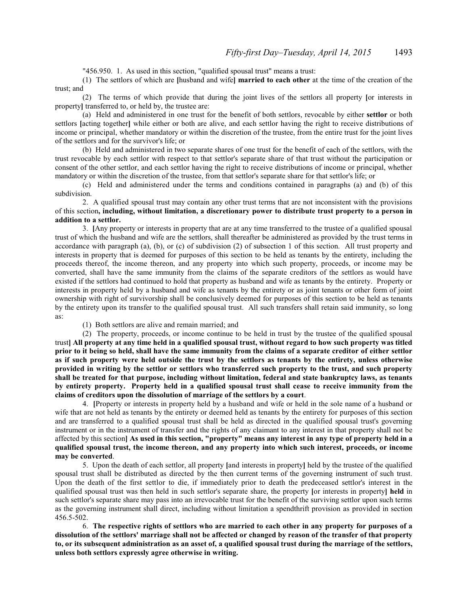"456.950. 1. As used in this section, "qualified spousal trust" means a trust:

(1) The settlors of which are **[**husband and wife**] married to each other** at the time of the creation of the trust; and

(2) The terms of which provide that during the joint lives of the settlors all property **[**or interests in property**]** transferred to, or held by, the trustee are:

(a) Held and administered in one trust for the benefit of both settlors, revocable by either **settlor** or both settlors **[**acting together**]** while either or both are alive, and each settlor having the right to receive distributions of income or principal, whether mandatory or within the discretion of the trustee, from the entire trust for the joint lives of the settlors and for the survivor's life; or

(b) Held and administered in two separate shares of one trust for the benefit of each of the settlors, with the trust revocable by each settlor with respect to that settlor's separate share of that trust without the participation or consent of the other settlor, and each settlor having the right to receive distributions of income or principal, whether mandatory or within the discretion of the trustee, from that settlor's separate share for that settlor's life; or

(c) Held and administered under the terms and conditions contained in paragraphs (a) and (b) of this subdivision.

2. A qualified spousal trust may contain any other trust terms that are not inconsistent with the provisions of this section**, including, without limitation, a discretionary power to distribute trust property to a person in addition to a settlor.**

3. **[**Any property or interests in property that are at any time transferred to the trustee of a qualified spousal trust of which the husband and wife are the settlors, shall thereafter be administered as provided by the trust terms in accordance with paragraph (a), (b), or (c) of subdivision (2) of subsection 1 of this section. All trust property and interests in property that is deemed for purposes of this section to be held as tenants by the entirety, including the proceeds thereof, the income thereon, and any property into which such property, proceeds, or income may be converted, shall have the same immunity from the claims of the separate creditors of the settlors as would have existed if the settlors had continued to hold that property as husband and wife as tenants by the entirety. Property or interests in property held by a husband and wife as tenants by the entirety or as joint tenants or other form of joint ownership with right of survivorship shall be conclusively deemed for purposes of this section to be held as tenants by the entirety upon its transfer to the qualified spousal trust. All such transfers shall retain said immunity, so long as:

(1) Both settlors are alive and remain married; and

(2) The property, proceeds, or income continue to be held in trust by the trustee of the qualified spousal trust**] All property at any time held in a qualified spousal trust, without regard to how such property was titled prior to it being so held, shall have the same immunity from the claims of a separate creditor of either settlor as if such property were held outside the trust by the settlors as tenants by the entirety, unless otherwise provided in writing by the settlor or settlors who transferred such property to the trust, and such property shall be treated for that purpose, including without limitation, federal and state bankruptcy laws, as tenants by entirety property. Property held in a qualified spousal trust shall cease to receive immunity from the claims of creditors upon the dissolution of marriage of the settlors by a court**.

4. **[**Property or interests in property held by a husband and wife or held in the sole name of a husband or wife that are not held as tenants by the entirety or deemed held as tenants by the entirety for purposes of this section and are transferred to a qualified spousal trust shall be held as directed in the qualified spousal trust's governing instrument or in the instrument of transfer and the rights of any claimant to any interest in that property shall not be affected by this section**] As used in this section, "property" means any interest in any type of property held in a qualified spousal trust, the income thereon, and any property into which such interest, proceeds, or income may be converted**.

5. Upon the death of each settlor, all property **[**and interests in property**]** held by the trustee of the qualified spousal trust shall be distributed as directed by the then current terms of the governing instrument of such trust. Upon the death of the first settlor to die, if immediately prior to death the predeceased settlor's interest in the qualified spousal trust was then held in such settlor's separate share, the property **[**or interests in property**] held** in such settlor's separate share may pass into an irrevocable trust for the benefit of the surviving settlor upon such terms as the governing instrument shall direct, including without limitation a spendthrift provision as provided in section 456.5-502.

6. **The respective rights of settlors who are married to each other in any property for purposes of a dissolution of the settlors' marriage shall not be affected or changed by reason of the transfer of that property to, or its subsequent administration as an asset of, a qualified spousal trust during the marriage of the settlors, unless both settlors expressly agree otherwise in writing.**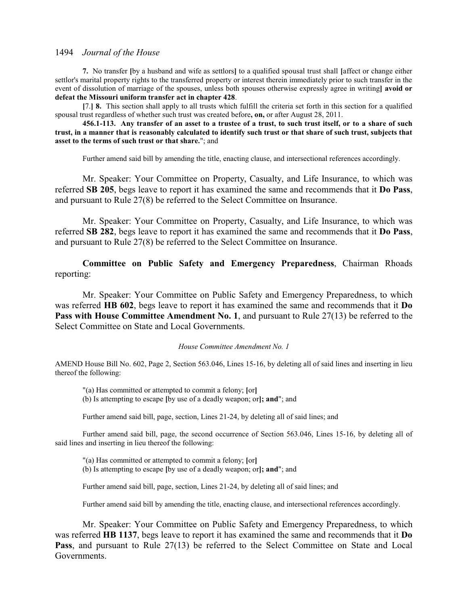**7.** No transfer **[**by a husband and wife as settlors**]** to a qualified spousal trust shall **[**affect or change either settlor's marital property rights to the transferred property or interest therein immediately prior to such transfer in the event of dissolution of marriage of the spouses, unless both spouses otherwise expressly agree in writing**] avoid or defeat the Missouri uniform transfer act in chapter 428**.

**[**7.**] 8.** This section shall apply to all trusts which fulfill the criteria set forth in this section for a qualified spousal trust regardless of whether such trust was created before**, on,** or after August 28, 2011.

**456.1-113. Any transfer of an asset to a trustee of a trust, to such trust itself, or to a share of such trust, in a manner that is reasonably calculated to identify such trust or that share of such trust, subjects that asset to the terms of such trust or that share.**"; and

Further amend said bill by amending the title, enacting clause, and intersectional references accordingly.

Mr. Speaker: Your Committee on Property, Casualty, and Life Insurance, to which was referred **SB 205**, begs leave to report it has examined the same and recommends that it **Do Pass**, and pursuant to Rule 27(8) be referred to the Select Committee on Insurance.

Mr. Speaker: Your Committee on Property, Casualty, and Life Insurance, to which was referred **SB 282**, begs leave to report it has examined the same and recommends that it **Do Pass**, and pursuant to Rule 27(8) be referred to the Select Committee on Insurance.

**Committee on Public Safety and Emergency Preparedness**, Chairman Rhoads reporting:

Mr. Speaker: Your Committee on Public Safety and Emergency Preparedness, to which was referred **HB 602**, begs leave to report it has examined the same and recommends that it **Do** Pass with House Committee Amendment No. 1, and pursuant to Rule 27(13) be referred to the Select Committee on State and Local Governments.

#### *House Committee Amendment No. 1*

AMEND House Bill No. 602, Page 2, Section 563.046, Lines 15-16, by deleting all of said lines and inserting in lieu thereof the following:

"(a) Has committed or attempted to commit a felony; **[**or**]** (b) Is attempting to escape **[**by use of a deadly weapon; or**]; and**"; and

Further amend said bill, page, section, Lines 21-24, by deleting all of said lines; and

Further amend said bill, page, the second occurrence of Section 563.046, Lines 15-16, by deleting all of said lines and inserting in lieu thereof the following:

"(a) Has committed or attempted to commit a felony; **[**or**]** (b) Is attempting to escape **[**by use of a deadly weapon; or**]; and**"; and

Further amend said bill, page, section, Lines 21-24, by deleting all of said lines; and

Further amend said bill by amending the title, enacting clause, and intersectional references accordingly.

Mr. Speaker: Your Committee on Public Safety and Emergency Preparedness, to which was referred **HB 1137**, begs leave to report it has examined the same and recommends that it **Do** Pass, and pursuant to Rule 27(13) be referred to the Select Committee on State and Local Governments.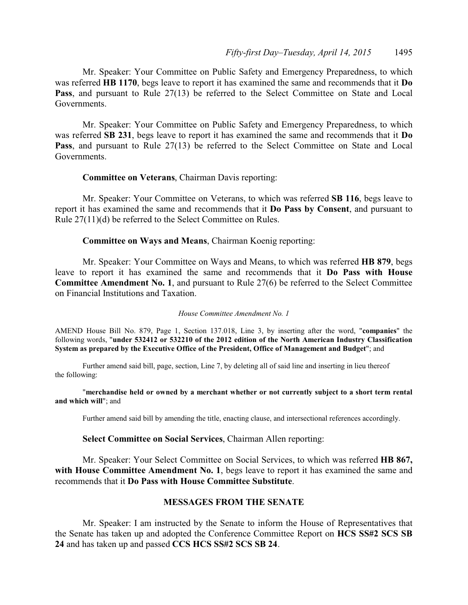Mr. Speaker: Your Committee on Public Safety and Emergency Preparedness, to which was referred **HB 1170**, begs leave to report it has examined the same and recommends that it **Do Pass**, and pursuant to Rule 27(13) be referred to the Select Committee on State and Local Governments.

Mr. Speaker: Your Committee on Public Safety and Emergency Preparedness, to which was referred **SB 231**, begs leave to report it has examined the same and recommends that it **Do Pass**, and pursuant to Rule 27(13) be referred to the Select Committee on State and Local Governments.

## **Committee on Veterans**, Chairman Davis reporting:

Mr. Speaker: Your Committee on Veterans, to which was referred **SB 116**, begs leave to report it has examined the same and recommends that it **Do Pass by Consent**, and pursuant to Rule 27(11)(d) be referred to the Select Committee on Rules.

**Committee on Ways and Means**, Chairman Koenig reporting:

Mr. Speaker: Your Committee on Ways and Means, to which was referred **HB 879**, begs leave to report it has examined the same and recommends that it **Do Pass with House Committee Amendment No. 1**, and pursuant to Rule 27(6) be referred to the Select Committee on Financial Institutions and Taxation.

### *House Committee Amendment No. 1*

AMEND House Bill No. 879, Page 1, Section 137.018, Line 3, by inserting after the word, "**companies**" the following words, "**under 532412 or 532210 of the 2012 edition of the North American Industry Classification System as prepared by the Executive Office of the President, Office of Management and Budget**"; and

Further amend said bill, page, section, Line 7, by deleting all of said line and inserting in lieu thereof the following:

"**merchandise held or owned by a merchant whether or not currently subject to a short term rental and which will**"; and

Further amend said bill by amending the title, enacting clause, and intersectional references accordingly.

## **Select Committee on Social Services**, Chairman Allen reporting:

Mr. Speaker: Your Select Committee on Social Services, to which was referred **HB 867,** with House Committee Amendment No. 1, begs leave to report it has examined the same and recommends that it **Do Pass with House Committee Substitute**.

## **MESSAGES FROM THE SENATE**

Mr. Speaker: I am instructed by the Senate to inform the House of Representatives that the Senate has taken up and adopted the Conference Committee Report on **HCS SS#2 SCS SB 24** and has taken up and passed **CCS HCS SS#2 SCS SB 24**.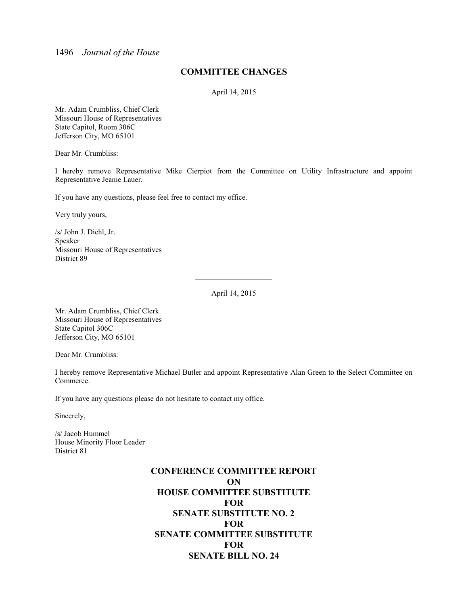# **COMMITTEE CHANGES**

April 14, 2015

Mr. Adam Crumbliss, Chief Clerk Missouri House of Representatives State Capitol, Room 306C Jefferson City, MO 65101

Dear Mr. Crumbliss:

I hereby remove Representative Mike Cierpiot from the Committee on Utility Infrastructure and appoint Representative Jeanie Lauer.

If you have any questions, please feel free to contact my office.

Very truly yours,

/s/ John J. Diehl, Jr. Speaker Missouri House of Representatives District 89

April 14, 2015

 $\overline{\phantom{a}}$  , and the set of the set of the set of the set of the set of the set of the set of the set of the set of the set of the set of the set of the set of the set of the set of the set of the set of the set of the s

Mr. Adam Crumbliss, Chief Clerk Missouri House of Representatives State Capitol 306C Jefferson City, MO 65101

Dear Mr. Crumbliss:

I hereby remove Representative Michael Butler and appoint Representative Alan Green to the Select Committee on Commerce.

If you have any questions please do not hesitate to contact my office.

Sincerely,

/s/ Jacob Hummel House Minority Floor Leader District 81

# **CONFERENCE COMMITTEE REPORT ON HOUSE COMMITTEE SUBSTITUTE FOR SENATE SUBSTITUTE NO. 2 FOR SENATE COMMITTEE SUBSTITUTE FOR SENATE BILL NO. 24**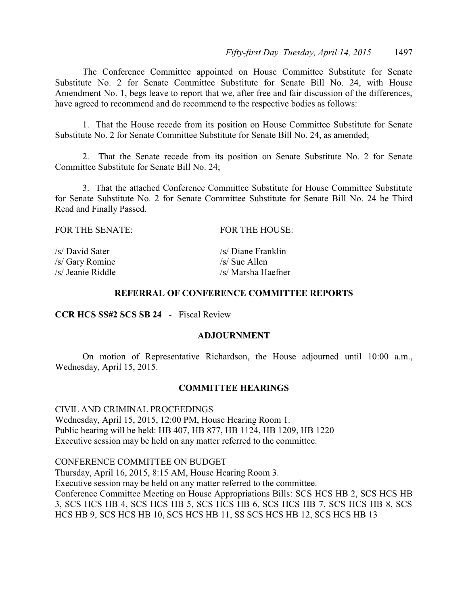The Conference Committee appointed on House Committee Substitute for Senate Substitute No. 2 for Senate Committee Substitute for Senate Bill No. 24, with House Amendment No. 1, begs leave to report that we, after free and fair discussion of the differences, have agreed to recommend and do recommend to the respective bodies as follows:

1. That the House recede from its position on House Committee Substitute for Senate Substitute No. 2 for Senate Committee Substitute for Senate Bill No. 24, as amended;

2. That the Senate recede from its position on Senate Substitute No. 2 for Senate Committee Substitute for Senate Bill No. 24;

3. That the attached Conference Committee Substitute for House Committee Substitute for Senate Substitute No. 2 for Senate Committee Substitute for Senate Bill No. 24 be Third Read and Finally Passed.

| FOR THE SENATE: | FOR THE HOUSE:       |
|-----------------|----------------------|
| /s/ David Sater | /s/ Diane Franklin   |
| /s/ Gary Romine | $\sqrt{s}$ Sue Allen |

/s/ Jeanie Riddle /s/ Marsha Haefner

# **REFERRAL OF CONFERENCE COMMITTEE REPORTS**

#### **CCR HCS SS#2 SCS SB 24** - Fiscal Review

#### **ADJOURNMENT**

On motion of Representative Richardson, the House adjourned until 10:00 a.m., Wednesday, April 15, 2015.

#### **COMMITTEE HEARINGS**

CIVIL AND CRIMINAL PROCEEDINGS Wednesday, April 15, 2015, 12:00 PM, House Hearing Room 1. Public hearing will be held: HB 407, HB 877, HB 1124, HB 1209, HB 1220 Executive session may be held on any matter referred to the committee.

CONFERENCE COMMITTEE ON BUDGET Thursday, April 16, 2015, 8:15 AM, House Hearing Room 3. Executive session may be held on any matter referred to the committee. Conference Committee Meeting on House Appropriations Bills: SCS HCS HB 2, SCS HCS HB 3, SCS HCS HB 4, SCS HCS HB 5, SCS HCS HB 6, SCS HCS HB 7, SCS HCS HB 8, SCS HCS HB 9, SCS HCS HB 10, SCS HCS HB 11, SS SCS HCS HB 12, SCS HCS HB 13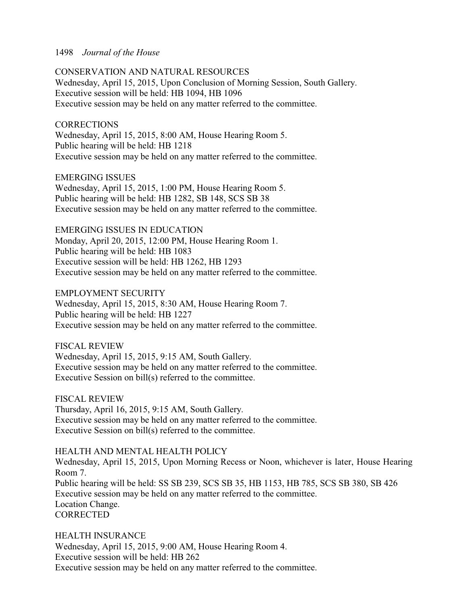#### 1498 *Journal of the House*

#### CONSERVATION AND NATURAL RESOURCES

Wednesday, April 15, 2015, Upon Conclusion of Morning Session, South Gallery. Executive session will be held: HB 1094, HB 1096 Executive session may be held on any matter referred to the committee.

#### **CORRECTIONS**

Wednesday, April 15, 2015, 8:00 AM, House Hearing Room 5. Public hearing will be held: HB 1218 Executive session may be held on any matter referred to the committee.

#### EMERGING ISSUES

Wednesday, April 15, 2015, 1:00 PM, House Hearing Room 5. Public hearing will be held: HB 1282, SB 148, SCS SB 38 Executive session may be held on any matter referred to the committee.

EMERGING ISSUES IN EDUCATION Monday, April 20, 2015, 12:00 PM, House Hearing Room 1. Public hearing will be held: HB 1083 Executive session will be held: HB 1262, HB 1293 Executive session may be held on any matter referred to the committee.

EMPLOYMENT SECURITY

Wednesday, April 15, 2015, 8:30 AM, House Hearing Room 7. Public hearing will be held: HB 1227 Executive session may be held on any matter referred to the committee.

#### FISCAL REVIEW

Wednesday, April 15, 2015, 9:15 AM, South Gallery. Executive session may be held on any matter referred to the committee. Executive Session on bill(s) referred to the committee.

FISCAL REVIEW Thursday, April 16, 2015, 9:15 AM, South Gallery. Executive session may be held on any matter referred to the committee. Executive Session on bill(s) referred to the committee.

## HEALTH AND MENTAL HEALTH POLICY

Wednesday, April 15, 2015, Upon Morning Recess or Noon, whichever is later, House Hearing Room 7. Public hearing will be held: SS SB 239, SCS SB 35, HB 1153, HB 785, SCS SB 380, SB 426 Executive session may be held on any matter referred to the committee. Location Change. **CORRECTED** 

HEALTH INSURANCE Wednesday, April 15, 2015, 9:00 AM, House Hearing Room 4. Executive session will be held: HB 262 Executive session may be held on any matter referred to the committee.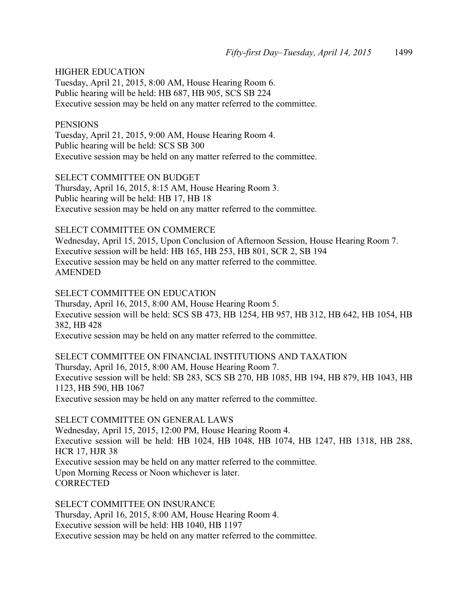#### HIGHER EDUCATION

Tuesday, April 21, 2015, 8:00 AM, House Hearing Room 6. Public hearing will be held: HB 687, HB 905, SCS SB 224 Executive session may be held on any matter referred to the committee.

#### **PENSIONS**

Tuesday, April 21, 2015, 9:00 AM, House Hearing Room 4. Public hearing will be held: SCS SB 300 Executive session may be held on any matter referred to the committee.

SELECT COMMITTEE ON BUDGET Thursday, April 16, 2015, 8:15 AM, House Hearing Room 3. Public hearing will be held: HB 17, HB 18 Executive session may be held on any matter referred to the committee.

#### SELECT COMMITTEE ON COMMERCE

Wednesday, April 15, 2015, Upon Conclusion of Afternoon Session, House Hearing Room 7. Executive session will be held: HB 165, HB 253, HB 801, SCR 2, SB 194 Executive session may be held on any matter referred to the committee. AMENDED

#### SELECT COMMITTEE ON EDUCATION

Thursday, April 16, 2015, 8:00 AM, House Hearing Room 5. Executive session will be held: SCS SB 473, HB 1254, HB 957, HB 312, HB 642, HB 1054, HB 382, HB 428

Executive session may be held on any matter referred to the committee.

SELECT COMMITTEE ON FINANCIAL INSTITUTIONS AND TAXATION Thursday, April 16, 2015, 8:00 AM, House Hearing Room 7. Executive session will be held: SB 283, SCS SB 270, HB 1085, HB 194, HB 879, HB 1043, HB 1123, HB 590, HB 1067 Executive session may be held on any matter referred to the committee.

#### SELECT COMMITTEE ON GENERAL LAWS

Wednesday, April 15, 2015, 12:00 PM, House Hearing Room 4. Executive session will be held: HB 1024, HB 1048, HB 1074, HB 1247, HB 1318, HB 288, HCR 17, HJR 38 Executive session may be held on any matter referred to the committee. Upon Morning Recess or Noon whichever is later. **CORRECTED** 

SELECT COMMITTEE ON INSURANCE Thursday, April 16, 2015, 8:00 AM, House Hearing Room 4. Executive session will be held: HB 1040, HB 1197 Executive session may be held on any matter referred to the committee.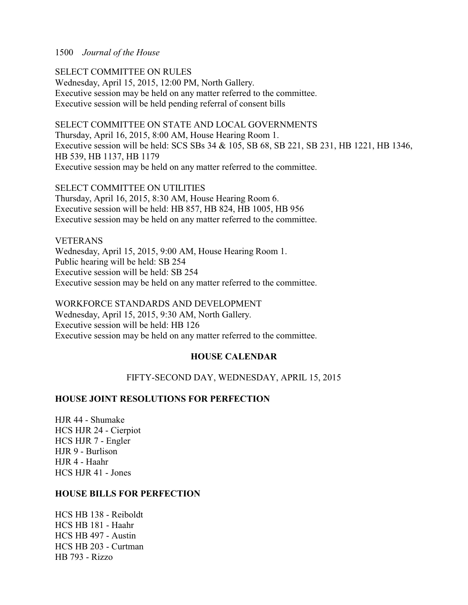#### 1500 *Journal of the House*

SELECT COMMITTEE ON RULES Wednesday, April 15, 2015, 12:00 PM, North Gallery. Executive session may be held on any matter referred to the committee.

Executive session will be held pending referral of consent bills

#### SELECT COMMITTEE ON STATE AND LOCAL GOVERNMENTS

Thursday, April 16, 2015, 8:00 AM, House Hearing Room 1. Executive session will be held: SCS SBs 34 & 105, SB 68, SB 221, SB 231, HB 1221, HB 1346, HB 539, HB 1137, HB 1179 Executive session may be held on any matter referred to the committee.

#### SELECT COMMITTEE ON UTILITIES

Thursday, April 16, 2015, 8:30 AM, House Hearing Room 6. Executive session will be held: HB 857, HB 824, HB 1005, HB 956 Executive session may be held on any matter referred to the committee.

#### VETERANS

Wednesday, April 15, 2015, 9:00 AM, House Hearing Room 1. Public hearing will be held: SB 254 Executive session will be held: SB 254 Executive session may be held on any matter referred to the committee.

WORKFORCE STANDARDS AND DEVELOPMENT Wednesday, April 15, 2015, 9:30 AM, North Gallery. Executive session will be held: HB 126 Executive session may be held on any matter referred to the committee.

## **HOUSE CALENDAR**

FIFTY-SECOND DAY, WEDNESDAY, APRIL 15, 2015

#### **HOUSE JOINT RESOLUTIONS FOR PERFECTION**

HJR 44 - Shumake HCS HJR 24 - Cierpiot HCS HJR 7 - Engler HJR 9 - Burlison HJR 4 - Haahr HCS HJR 41 - Jones

#### **HOUSE BILLS FOR PERFECTION**

HCS HB 138 - Reiboldt HCS HB 181 - Haahr HCS HB 497 - Austin HCS HB 203 - Curtman HB 793 - Rizzo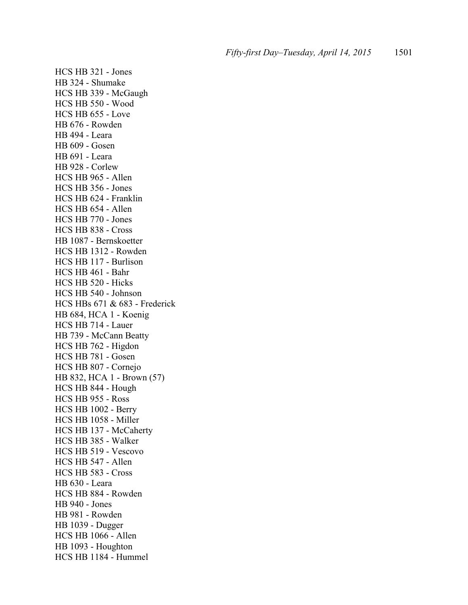HCS HB 321 - Jones HB 324 - Shumake HCS HB 339 - McGaugh HCS HB 550 - Wood HCS HB 655 - Love HB 676 - Rowden HB 494 - Leara HB 609 - Gosen HB 691 - Leara HB 928 - Corlew HCS HB 965 - Allen HCS HB 356 - Jones HCS HB 624 - Franklin HCS HB 654 - Allen HCS HB 770 - Jones HCS HB 838 - Cross HB 1087 - Bernskoetter HCS HB 1312 - Rowden HCS HB 117 - Burlison HCS HB 461 - Bahr HCS HB 520 - Hicks HCS HB 540 - Johnson HCS HBs 671 & 683 - Frederick HB 684, HCA 1 - Koenig HCS HB 714 - Lauer HB 739 - McCann Beatty HCS HB 762 - Higdon HCS HB 781 - Gosen HCS HB 807 - Cornejo HB 832, HCA 1 - Brown (57) HCS HB 844 - Hough HCS HB 955 - Ross HCS HB 1002 - Berry HCS HB 1058 - Miller HCS HB 137 - McCaherty HCS HB 385 - Walker HCS HB 519 - Vescovo HCS HB 547 - Allen HCS HB 583 - Cross HB 630 - Leara HCS HB 884 - Rowden HB 940 - Jones HB 981 - Rowden HB 1039 - Dugger HCS HB 1066 - Allen HB 1093 - Houghton HCS HB 1184 - Hummel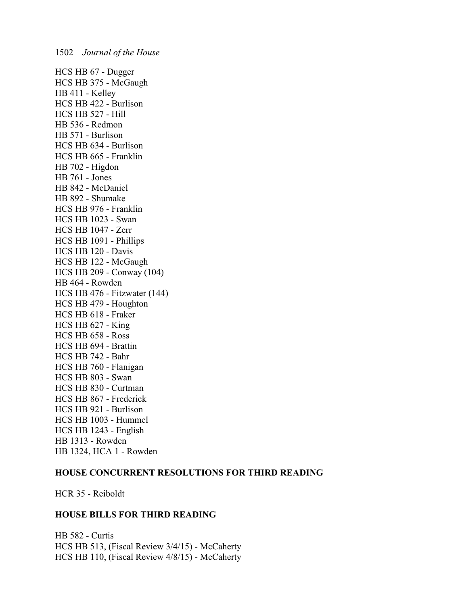HCS HB 67 - Dugger HCS HB 375 - McGaugh HB 411 - Kelley HCS HB 422 - Burlison HCS HB 527 - Hill HB 536 - Redmon HB 571 - Burlison HCS HB 634 - Burlison HCS HB 665 - Franklin HB 702 - Higdon HB 761 - Jones HB 842 - McDaniel HB 892 - Shumake HCS HB 976 - Franklin HCS HB 1023 - Swan HCS HB 1047 - Zerr HCS HB 1091 - Phillips HCS HB 120 - Davis HCS HB 122 - McGaugh HCS HB 209 - Conway (104) HB 464 - Rowden HCS HB 476 - Fitzwater (144) HCS HB 479 - Houghton HCS HB 618 - Fraker HCS HB 627 - King HCS HB 658 - Ross HCS HB 694 - Brattin HCS HB 742 - Bahr HCS HB 760 - Flanigan HCS HB 803 - Swan HCS HB 830 - Curtman HCS HB 867 - Frederick HCS HB 921 - Burlison HCS HB 1003 - Hummel HCS HB 1243 - English HB 1313 - Rowden HB 1324, HCA 1 - Rowden

#### **HOUSE CONCURRENT RESOLUTIONS FOR THIRD READING**

HCR 35 - Reiboldt

#### **HOUSE BILLS FOR THIRD READING**

HB 582 - Curtis HCS HB 513, (Fiscal Review 3/4/15) - McCaherty HCS HB 110, (Fiscal Review 4/8/15) - McCaherty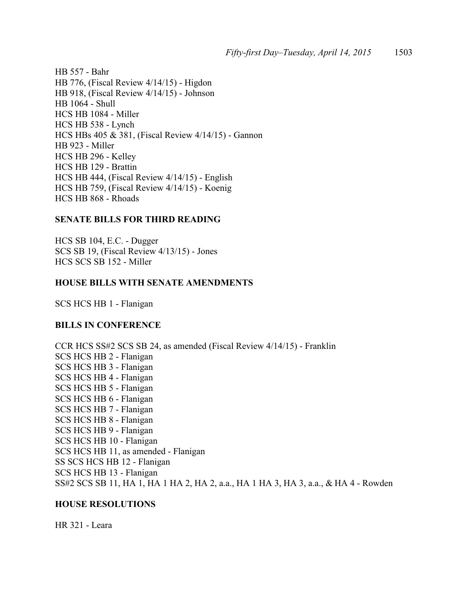HB 557 - Bahr HB 776, (Fiscal Review 4/14/15) - Higdon HB 918, (Fiscal Review 4/14/15) - Johnson HB 1064 - Shull HCS HB 1084 - Miller HCS HB 538 - Lynch HCS HBs 405 & 381, (Fiscal Review 4/14/15) - Gannon HB 923 - Miller HCS HB 296 - Kelley HCS HB 129 - Brattin HCS HB 444, (Fiscal Review 4/14/15) - English HCS HB 759, (Fiscal Review 4/14/15) - Koenig HCS HB 868 - Rhoads

#### **SENATE BILLS FOR THIRD READING**

HCS SB 104, E.C. - Dugger SCS SB 19, (Fiscal Review 4/13/15) - Jones HCS SCS SB 152 - Miller

#### **HOUSE BILLS WITH SENATE AMENDMENTS**

SCS HCS HB 1 - Flanigan

#### **BILLS IN CONFERENCE**

CCR HCS SS#2 SCS SB 24, as amended (Fiscal Review 4/14/15) - Franklin SCS HCS HB 2 - Flanigan SCS HCS HB 3 - Flanigan SCS HCS HB 4 - Flanigan SCS HCS HB 5 - Flanigan SCS HCS HB 6 - Flanigan SCS HCS HB 7 - Flanigan SCS HCS HB 8 - Flanigan SCS HCS HB 9 - Flanigan SCS HCS HB 10 - Flanigan SCS HCS HB 11, as amended - Flanigan SS SCS HCS HB 12 - Flanigan SCS HCS HB 13 - Flanigan SS#2 SCS SB 11, HA 1, HA 1 HA 2, HA 2, a.a., HA 1 HA 3, HA 3, a.a., & HA 4 - Rowden

#### **HOUSE RESOLUTIONS**

HR 321 - Leara